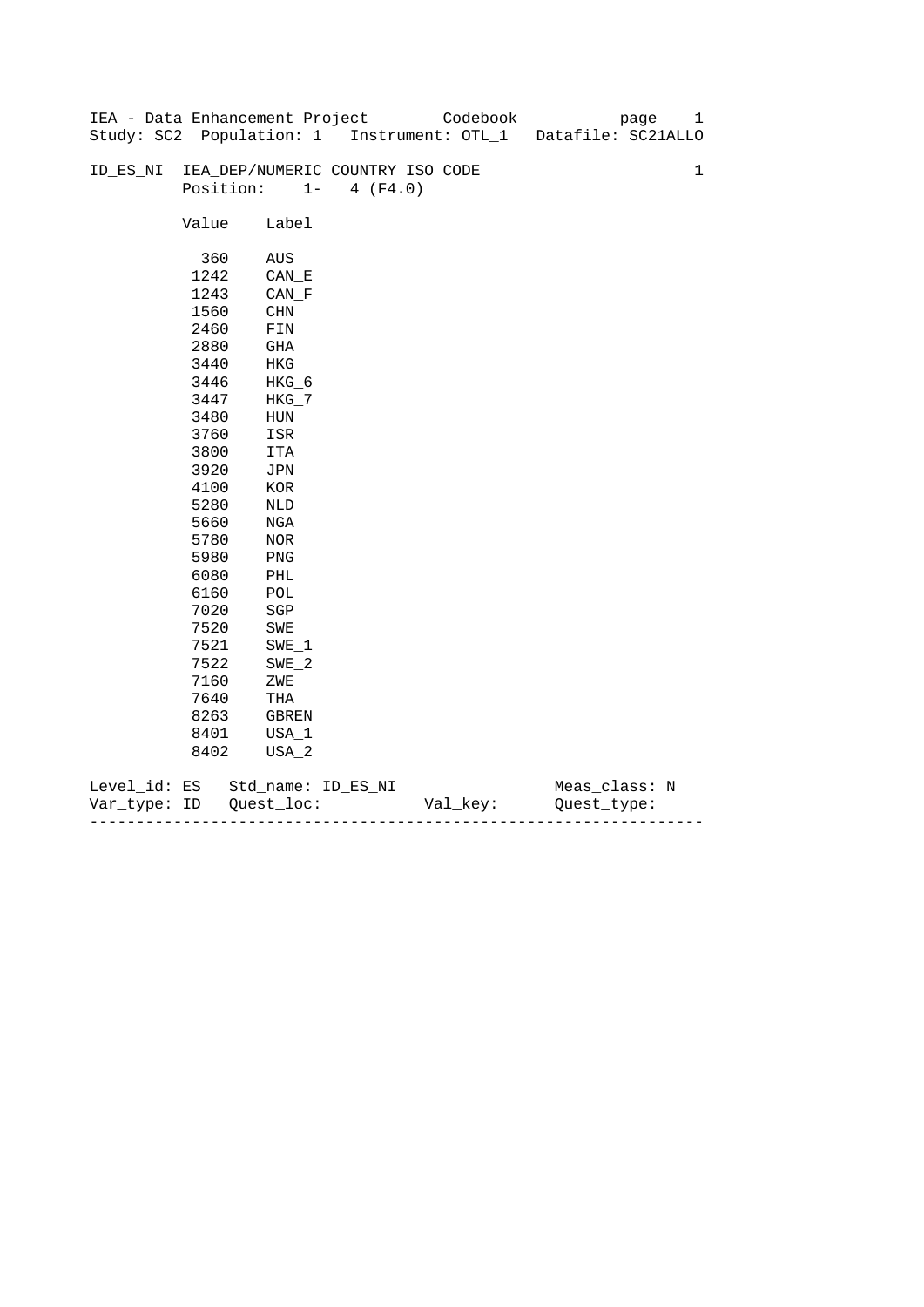|              |           | IEA - Data Enhancement Project   |          |          | Codebook | page                                                          | 1 |
|--------------|-----------|----------------------------------|----------|----------|----------|---------------------------------------------------------------|---|
|              |           |                                  |          |          |          | Study: SC2 Population: 1 Instrument: OTL_1 Datafile: SC21ALLO |   |
|              |           |                                  |          |          |          |                                                               |   |
| ID_ES_NI     |           | IEA_DEP/NUMERIC COUNTRY ISO CODE |          |          |          |                                                               | 1 |
|              | Position: | $1 -$                            | 4 (F4.0) |          |          |                                                               |   |
|              |           |                                  |          |          |          |                                                               |   |
|              | Value     | Label                            |          |          |          |                                                               |   |
|              |           |                                  |          |          |          |                                                               |   |
|              | 360       | AUS                              |          |          |          |                                                               |   |
|              | 1242      | $CAN$ <sub><math>E</math></sub>  |          |          |          |                                                               |   |
|              | 1243      | $CAN_F$                          |          |          |          |                                                               |   |
|              | 1560      | $\rm CHN$                        |          |          |          |                                                               |   |
|              | 2460      | FIN                              |          |          |          |                                                               |   |
|              | 2880      | GHA                              |          |          |          |                                                               |   |
|              | 3440      | HKG                              |          |          |          |                                                               |   |
|              | 3446      | HKG_6                            |          |          |          |                                                               |   |
|              | 3447      | $HKG_7$                          |          |          |          |                                                               |   |
|              | 3480      | HUN                              |          |          |          |                                                               |   |
|              | 3760      | ISR                              |          |          |          |                                                               |   |
|              | 3800      | ITA                              |          |          |          |                                                               |   |
|              | 3920      | JPN                              |          |          |          |                                                               |   |
|              | 4100      | KOR                              |          |          |          |                                                               |   |
|              | 5280      | $\rm NLD$                        |          |          |          |                                                               |   |
|              | 5660      | NGA                              |          |          |          |                                                               |   |
|              | 5780      | NOR                              |          |          |          |                                                               |   |
|              | 5980      | PNG                              |          |          |          |                                                               |   |
|              | 6080      | PHL                              |          |          |          |                                                               |   |
|              | 6160      | POL                              |          |          |          |                                                               |   |
|              | 7020      | SGP                              |          |          |          |                                                               |   |
|              | 7520      | SWE                              |          |          |          |                                                               |   |
|              | 7521      | $SWE_1$                          |          |          |          |                                                               |   |
|              | 7522      | $SWE_2$                          |          |          |          |                                                               |   |
|              | 7160      | ZWE                              |          |          |          |                                                               |   |
|              | 7640      | THA                              |          |          |          |                                                               |   |
|              | 8263      | GBREN                            |          |          |          |                                                               |   |
|              | 8401      | USA_1                            |          |          |          |                                                               |   |
|              | 8402      | $USA_2$                          |          |          |          |                                                               |   |
|              |           |                                  |          |          |          |                                                               |   |
| Level_id: ES |           | Std_name: ID_ES_NI               |          |          |          | Meas_class: N                                                 |   |
| Var_type: ID |           | Quest loc:                       |          | Val_key: |          | Quest type:                                                   |   |

------------------------------------------------------------------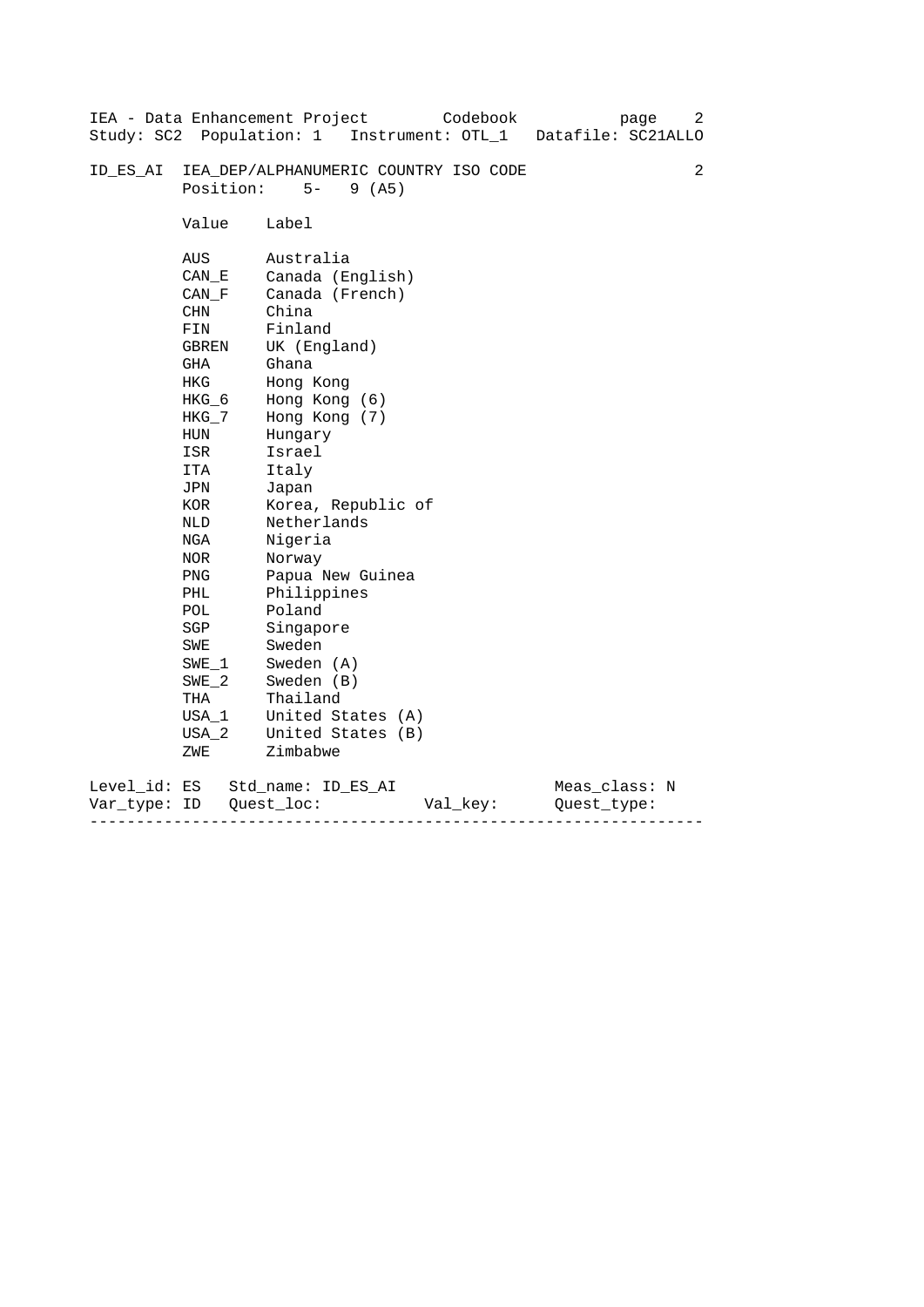|                           |                                                                                                                                                                                                      | Codebook<br>IEA - Data Enhancement Project<br>Study: SC2 Population: 1 Instrument: OTL_1 Datafile: SC21ALLO                                                                                                                                                                                                                                               | page                         | 2 |
|---------------------------|------------------------------------------------------------------------------------------------------------------------------------------------------------------------------------------------------|-----------------------------------------------------------------------------------------------------------------------------------------------------------------------------------------------------------------------------------------------------------------------------------------------------------------------------------------------------------|------------------------------|---|
| ID ES AI                  | Position:                                                                                                                                                                                            | IEA_DEP/ALPHANUMERIC COUNTRY ISO CODE<br>$5 -$<br>9(AB)                                                                                                                                                                                                                                                                                                   |                              | 2 |
|                           | Value                                                                                                                                                                                                | Label                                                                                                                                                                                                                                                                                                                                                     |                              |   |
|                           | AUS<br>CAN E<br>CAN F<br>CHN<br>FIN<br>GBREN<br>GHA<br>HKG<br>$HKG_6$<br>HKG_7<br>HUN<br>ISR<br>ITA<br>JPN<br>KOR<br>NLD<br>NGA<br>NOR<br>PNG<br>PHL<br>POL<br>SGP<br>SWE<br>SWE 1<br>$SWE_2$<br>THA | Australia<br>Canada (English)<br>Canada (French)<br>China<br>Finland<br>UK (England)<br>Ghana<br>Hong Kong<br>Hong Kong (6)<br>Hong Kong (7)<br>Hungary<br>Israel<br>Italy<br>Japan<br>Korea, Republic of<br>Netherlands<br>Nigeria<br>Norway<br>Papua New Guinea<br>Philippines<br>Poland<br>Singapore<br>Sweden<br>Sweden (A)<br>Sweden (B)<br>Thailand |                              |   |
|                           | USA 1<br>USA 2<br>ZWE                                                                                                                                                                                | United States (A)<br>United States (B)<br>Zimbabwe                                                                                                                                                                                                                                                                                                        |                              |   |
| Level_id: ES<br>Var type: | ID                                                                                                                                                                                                   | Std name: ID ES AI<br>Quest loc:<br>Val_key:                                                                                                                                                                                                                                                                                                              | Meas_class: N<br>Ouest type: |   |

------------------------------------------------------------------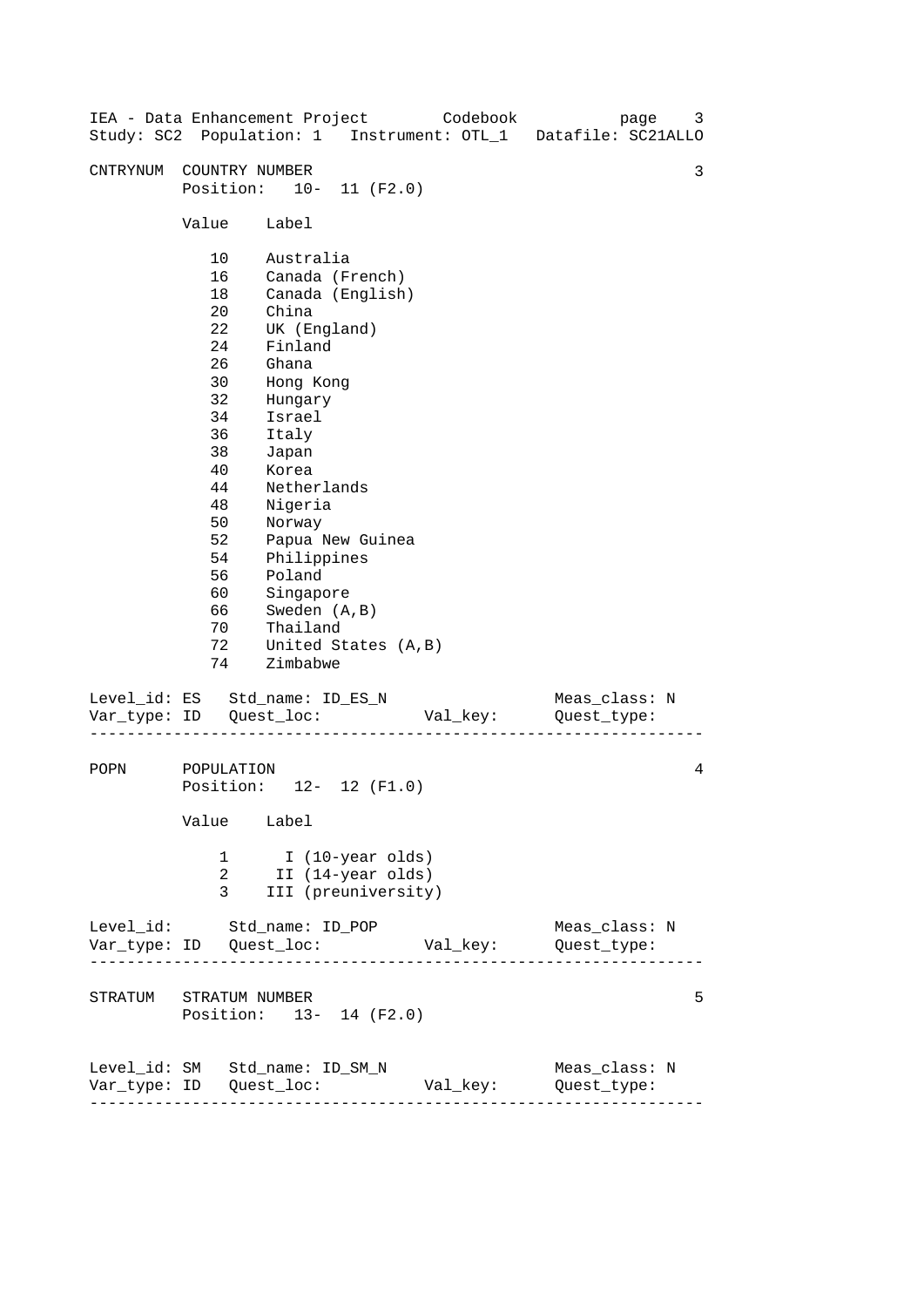| IEA - Data Enhancement Project Codebook |                                                                                                                                       |                                                                                                                                                                                                                                               |                                                              |          |  | page<br>Study: SC2 Population: 1 Instrument: OTL_1 Datafile: SC21ALLO | 3 |
|-----------------------------------------|---------------------------------------------------------------------------------------------------------------------------------------|-----------------------------------------------------------------------------------------------------------------------------------------------------------------------------------------------------------------------------------------------|--------------------------------------------------------------|----------|--|-----------------------------------------------------------------------|---|
| CNTRYNUM                                | COUNTRY NUMBER<br>Position: 10- 11 (F2.0)                                                                                             |                                                                                                                                                                                                                                               |                                                              |          |  |                                                                       | 3 |
|                                         | Value                                                                                                                                 | Label                                                                                                                                                                                                                                         |                                                              |          |  |                                                                       |   |
|                                         | 10<br>16<br>18<br>$20 \,$<br>22<br>24<br>26<br>30<br>32<br>34<br>36<br>38<br>40<br>44<br>48<br>50<br>52<br>54<br>56<br>60<br>66<br>70 | Australia<br>Canada (French)<br>China<br>UK (England)<br>Finland<br>Ghana<br>Hong Kong<br>Hungary<br>Israel<br>Italy<br>Japan<br>Korea<br>Netherlands<br>Nigeria<br>Norway<br>Philippines<br>Poland<br>Singapore<br>Sweden (A, B)<br>Thailand | Canada (English)<br>Papua New Guinea                         |          |  |                                                                       |   |
|                                         | 72<br>74                                                                                                                              | Zimbabwe                                                                                                                                                                                                                                      | United States (A, B)                                         |          |  |                                                                       |   |
| Level_id: ES Std_name: ID_ES_N          |                                                                                                                                       |                                                                                                                                                                                                                                               |                                                              | Val_key: |  | Meas_class: N<br>Quest_type:                                          |   |
| POPN                                    | POPULATION<br>Position: 12- 12 (F1.0)<br>Value Label                                                                                  |                                                                                                                                                                                                                                               |                                                              |          |  |                                                                       | 4 |
|                                         | 1<br>2<br>3                                                                                                                           |                                                                                                                                                                                                                                               | I (10-year olds)<br>II (14-year olds)<br>III (preuniversity) |          |  |                                                                       |   |
| Level_id: Std_name: ID_POP              |                                                                                                                                       |                                                                                                                                                                                                                                               |                                                              |          |  | Meas_class: N                                                         |   |
| STRATUM STRATUM NUMBER                  | Position: 13- 14 (F2.0)                                                                                                               |                                                                                                                                                                                                                                               |                                                              |          |  |                                                                       | 5 |
| Level_id: SM Std_name: ID_SM_N          | ---------------------                                                                                                                 |                                                                                                                                                                                                                                               |                                                              | Val_key: |  | Meas_class: N<br>Quest_type:                                          |   |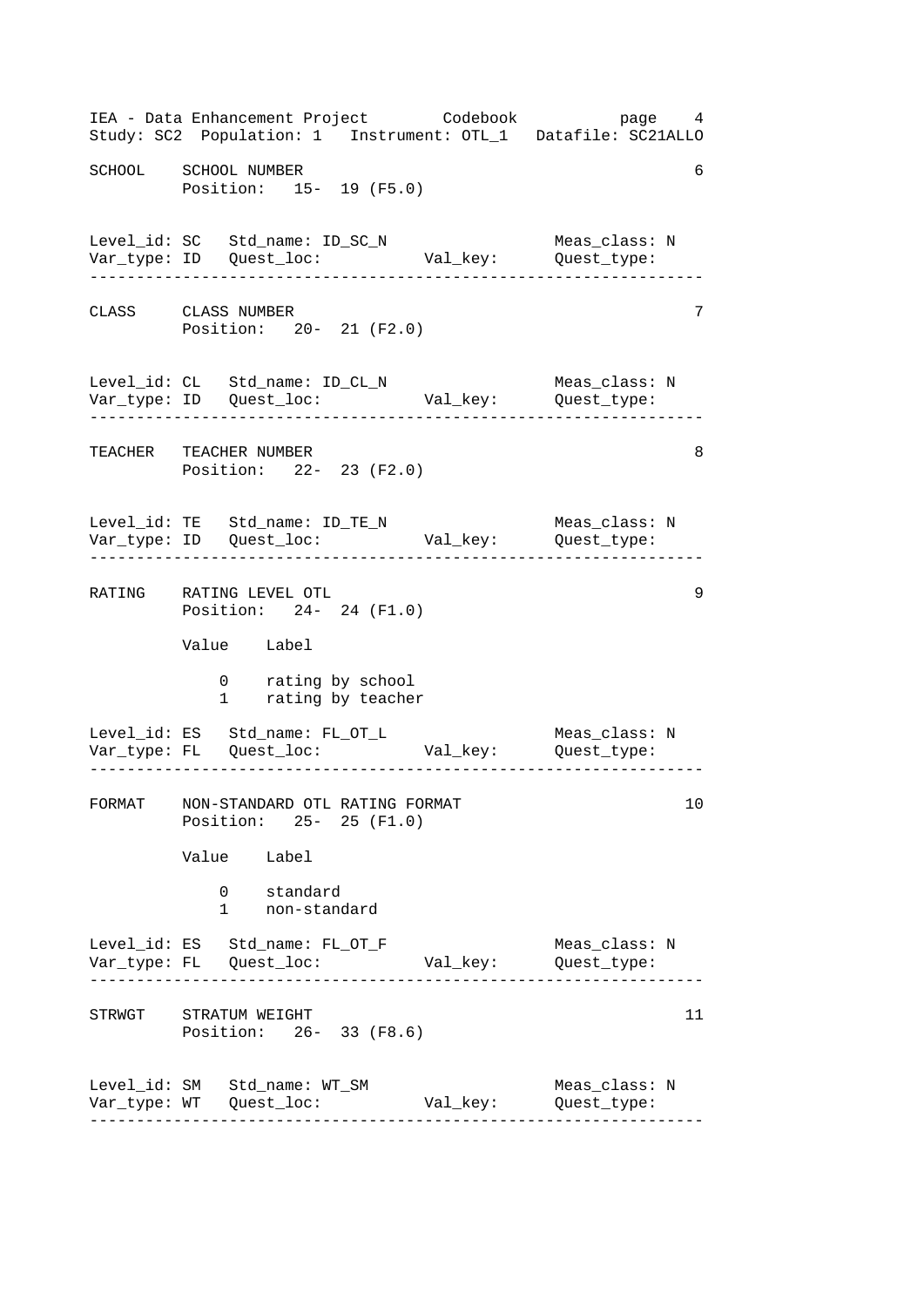------------------------------------------------------------------ ------------------------------------------------------------------ ------------------------------------------------------------------ ------------------------------------------------------------------ ------------------------------------------------------------------ ------------------------------------------------------------------ IEA - Data Enhancement Project Codebook page 4 Study: SC2 Population: 1 Instrument: OTL\_1 Datafile: SC21ALLO SCHOOL SCHOOL NUMBER 6 Position: 15- 19 (F5.0) Level\_id: SC Std\_name: ID\_SC\_N Meas\_class: N Var\_type: ID Quest\_loc: Val\_key: Quest\_type: CLASS CLASS NUMBER 7 Position: 20- 21 (F2.0) Level\_id: CL Std\_name: ID\_CL\_N Meas\_class: N Var\_type: ID Quest\_loc: Val\_key: Quest\_type: TEACHER TEACHER NUMBER 8 Position: 22- 23 (F2.0) Level\_id: TE Std\_name: ID\_TE\_N Meas\_class: N Var\_type: ID Quest\_loc: Val\_key: Quest\_type: RATING RATING LEVEL OTL 9 Position: 24- 24 (F1.0) Value Label 0 rating by school 1 rating by teacher Level\_id: ES Std\_name: FL\_OT\_L Meas\_class: N Var\_type: FL Quest\_loc: Val\_key: Quest\_type: FORMAT NON-STANDARD OTL RATING FORMAT 10 Position: 25- 25 (F1.0) Value Label 0 standard 1 non-standard Level\_id: ES Std\_name: FL\_OT\_F Meas\_class: N Var\_type: FL Quest\_loc: Val\_key: Quest\_type: STRWGT STRATUM WEIGHT 11 Position: 26- 33 (F8.6) Level\_id: SM Std\_name: WT\_SM Meas\_class: N Var\_type: WT Quest\_loc: Val\_key: Quest\_type: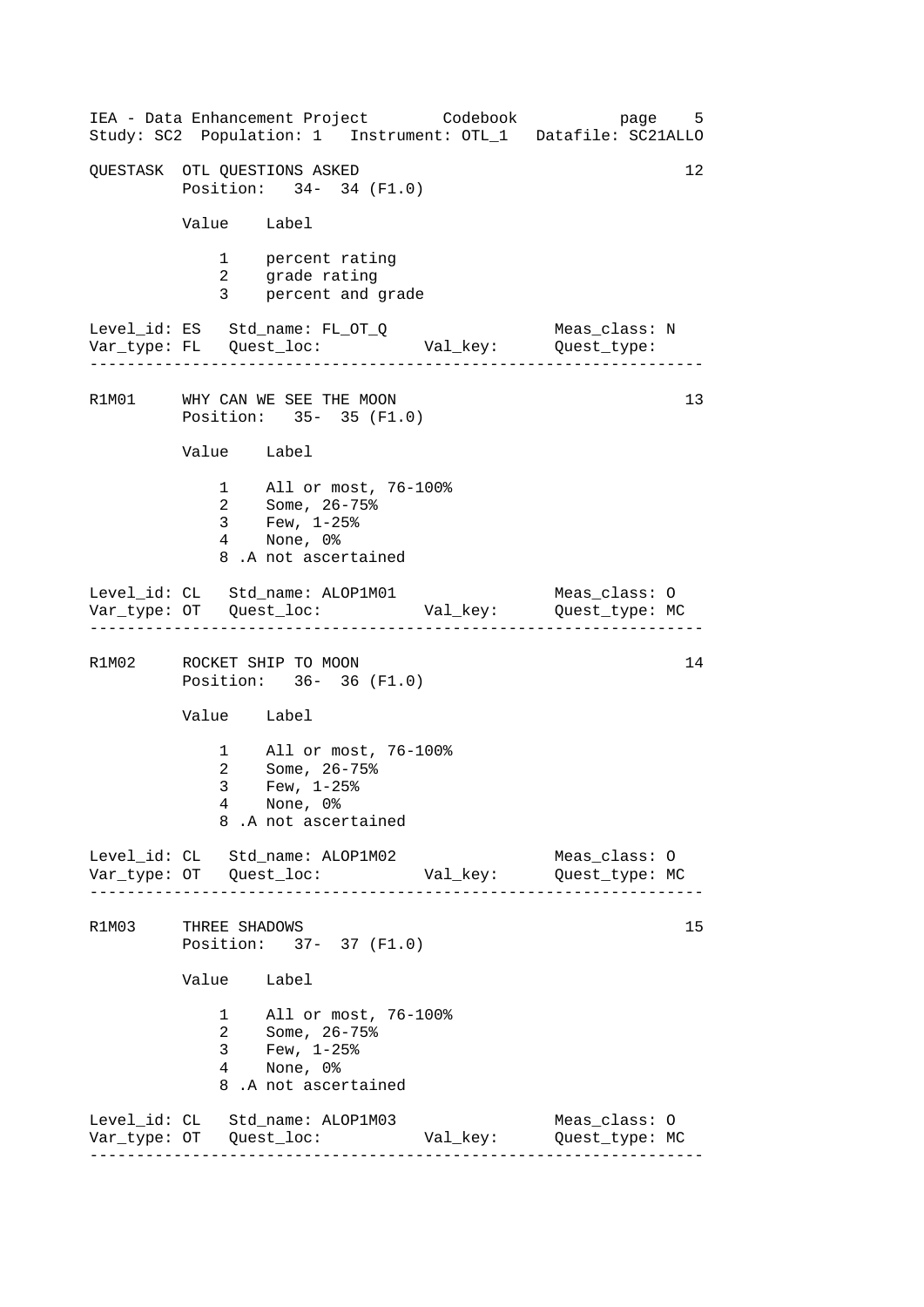------------------------------------------------------------------ ------------------------------------------------------------------ ------------------------------------------------------------------ ------------------------------------------------------------------ IEA - Data Enhancement Project Codebook page 5 Study: SC2 Population: 1 Instrument: OTL\_1 Datafile: SC21ALLO OUESTASK OTL OUESTIONS ASKED 12 Position: 34- 34 (F1.0) Value Label 1 percent rating 2 grade rating 3 percent and grade Level\_id: ES Std\_name: FL\_OT\_Q Meas\_class: N Var\_type: FL Quest\_loc: Val\_key: Quest\_type: R1M01 WHY CAN WE SEE THE MOON Position: 35- 35 (F1.0) Value Label 1 All or most, 76-100% 2 Some, 26-75% 3 Few, 1-25% 4 None, 0% 8 .A not ascertained Level\_id: CL Std\_name: ALOP1M01 Meas\_class: O Var\_type: OT Quest\_loc: Val\_key: Quest\_type: MC R1M02 ROCKET SHIP TO MOON 14 Position: 36- 36 (F1.0) Value Label 1 All or most, 76-100% 2 Some, 26-75% 3 Few, 1-25% 4 None, 0% 8 .A not ascertained Level\_id: CL Std\_name: ALOP1M02 Meas\_class: O Var\_type: OT Quest\_loc: Val\_key: Quest\_type: MC R1M03 THREE SHADOWS 15 Position: 37- 37 (F1.0) Value Label 1 All or most, 76-100% 2 Some, 26-75% 3 Few, 1-25% 4 None, 0% 8 .A not ascertained Level\_id: CL Std\_name: ALOP1M03 Meas\_class: O Var\_type: OT Quest\_loc: Val\_key: Quest\_type: MC 13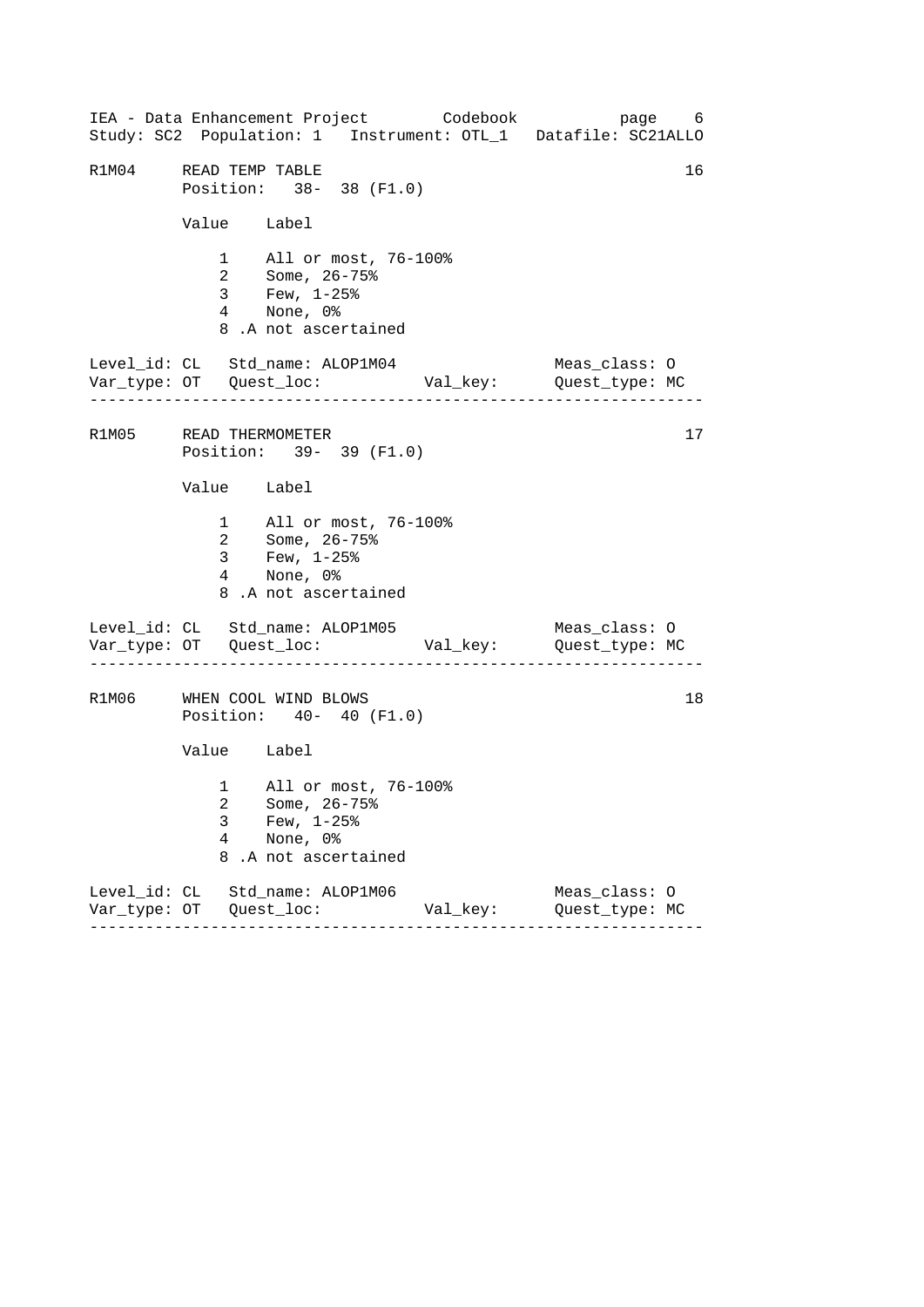------------------------------------------------------------------ ------------------------------------------------------------------ ------------------------------------------------------------------ IEA - Data Enhancement Project Codebook page 6 Study: SC2 Population: 1 Instrument: OTL\_1 Datafile: SC21ALLO R1M04 READ TEMP TABLE 16 Position: 38- 38 (F1.0) Value Label 1 All or most, 76-100% 2 Some, 26-75% 3 Few, 1-25% 4 None, 0% 8 .A not ascertained Level\_id: CL Std\_name: ALOP1M04 Meas\_class: O Var\_type: OT Quest\_loc: Val\_key: Quest\_type: MC R1M05 READ THERMOMETER 17 Position: 39- 39 (F1.0) Value Label 1 All or most, 76-100% 2 Some, 26-75% 3 Few, 1-25% 4 None, 0% 8 .A not ascertained Level\_id: CL Std\_name: ALOP1M05 Meas\_class: 0 Var\_type: OT Quest\_loc: Val\_key: Quest\_type: MC R1M06 WHEN COOL WIND BLOWS 18 Position: 40- 40 (F1.0) Value Label 1 All or most, 76-100% 2 Some, 26-75% 3 Few, 1-25% 4 None, 0% 8 .A not ascertained Level\_id: CL Std\_name: ALOP1M06 Meas\_class: O Var\_type: OT Quest\_loc: Val\_key: Quest\_type: MC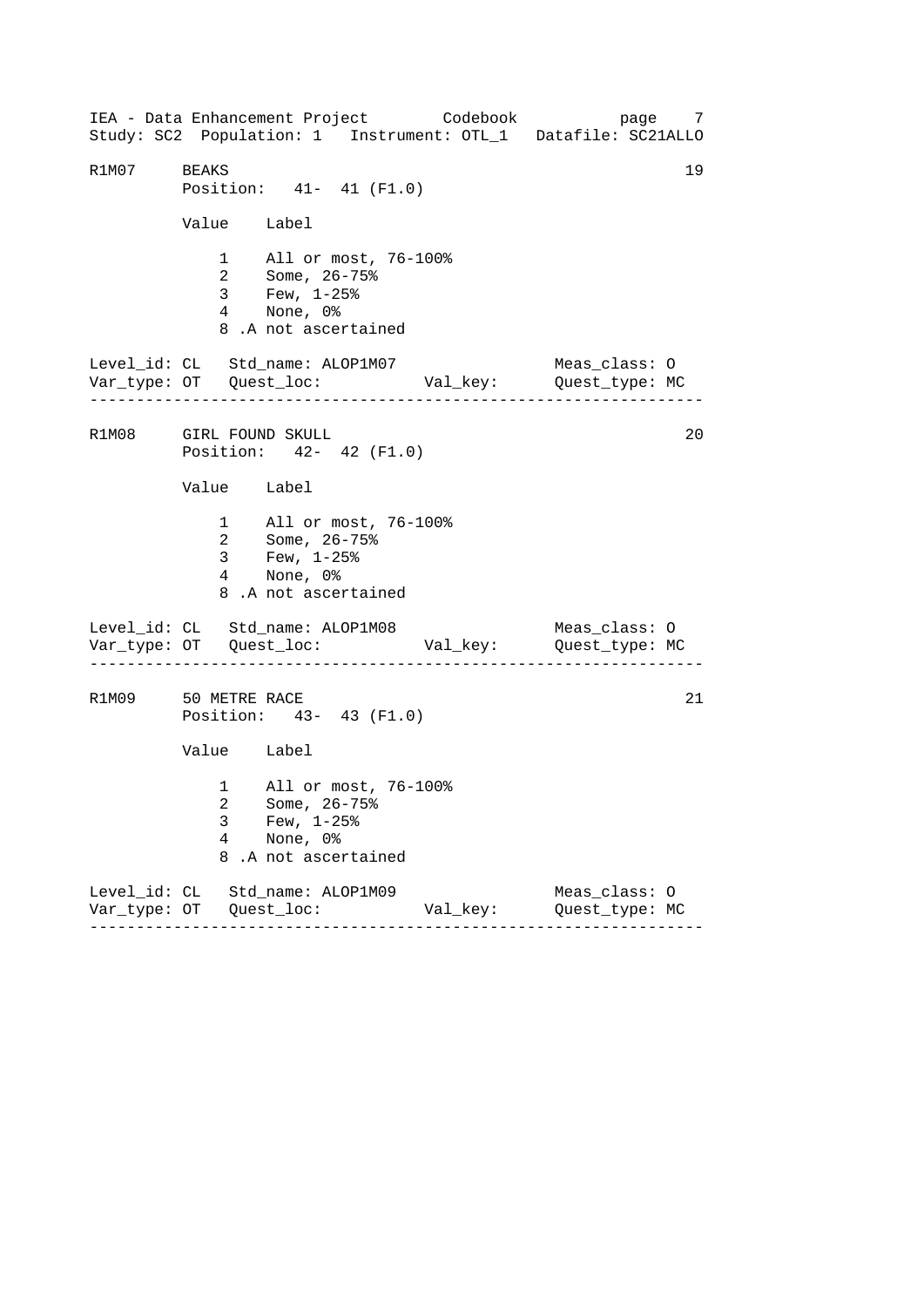------------------------------------------------------------------ ------------------------------------------------------------------ ------------------------------------------------------------------ IEA - Data Enhancement Project Codebook page 7 Study: SC2 Population: 1 Instrument: OTL\_1 Datafile: SC21ALLO R1M07 BEAKS 19 Position: 41- 41 (F1.0) Value Label 1 All or most, 76-100% 2 Some, 26-75% 3 Few, 1-25% 4 None, 0% 8 .A not ascertained Level\_id: CL Std\_name: ALOP1M07 Meas\_class: O Var\_type: OT Quest\_loc: Val\_key: Quest\_type: MC R1M08 GIRL FOUND SKULL 20 Position: 42- 42 (F1.0) Value Label 1 All or most, 76-100% 2 Some, 26-75% 3 Few, 1-25% 4 None, 0% 8 .A not ascertained Level\_id: CL Std\_name: ALOP1M08 Meas\_class: 0 Var\_type: OT Quest\_loc: Val\_key: Quest\_type: MC R1M09 50 METRE RACE 21 Position: 43- 43 (F1.0) Value Label 1 All or most, 76-100% 2 Some, 26-75% 3 Few, 1-25% 4 None, 0% 8 .A not ascertained Level\_id: CL Std\_name: ALOP1M09 Meas\_class: O Var\_type: OT Quest\_loc: Val\_key: Quest\_type: MC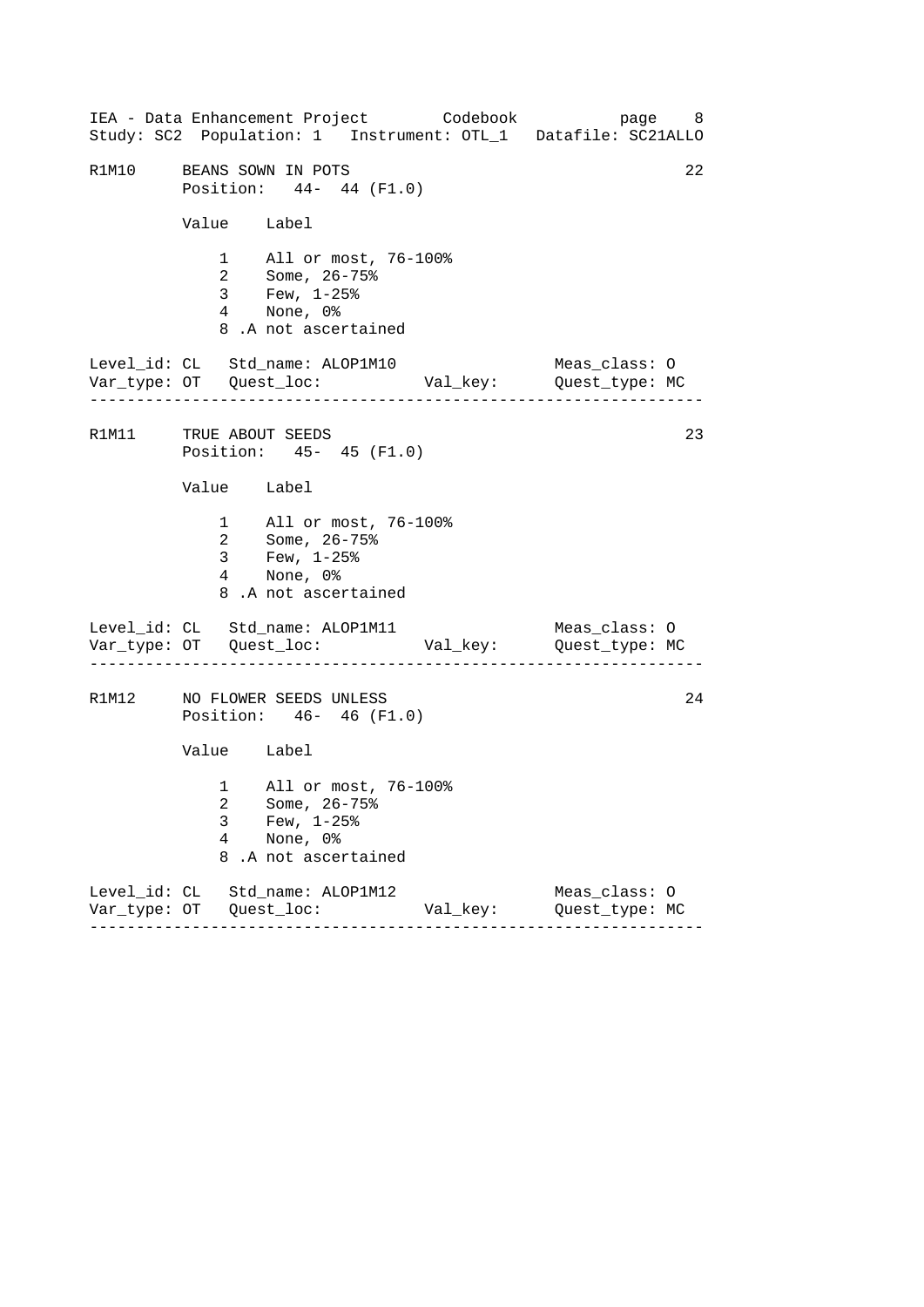------------------------------------------------------------------ ------------------------------------------------------------------ ------------------------------------------------------------------ IEA - Data Enhancement Project Codebook page 8 Study: SC2 Population: 1 Instrument: OTL\_1 Datafile: SC21ALLO R1M10 BEANS SOWN IN POTS 22 Position: 44- 44 (F1.0) Value Label 1 All or most, 76-100% 2 Some, 26-75% 3 Few, 1-25% 4 None, 0% 8 .A not ascertained Level\_id: CL Std\_name: ALOP1M10 Meas\_class: O Var\_type: OT Quest\_loc: Val\_key: Quest\_type: MC R1M11 TRUE ABOUT SEEDS 23 Position: 45- 45 (F1.0) Value Label 1 All or most, 76-100% 2 Some, 26-75% 3 Few, 1-25% 4 None, 0% 8 .A not ascertained Level\_id: CL Std\_name: ALOP1M11 Meas\_class: O Var\_type: OT Quest\_loc: Val\_key: Quest\_type: MC R1M12 NO FLOWER SEEDS UNLESS 24 Position: 46- 46 (F1.0) Value Label 1 All or most, 76-100% 2 Some, 26-75% 3 Few, 1-25% 4 None, 0% 8 .A not ascertained Level\_id: CL Std\_name: ALOP1M12 Meas\_class: O Var\_type: OT Quest\_loc: Val\_key: Quest\_type: MC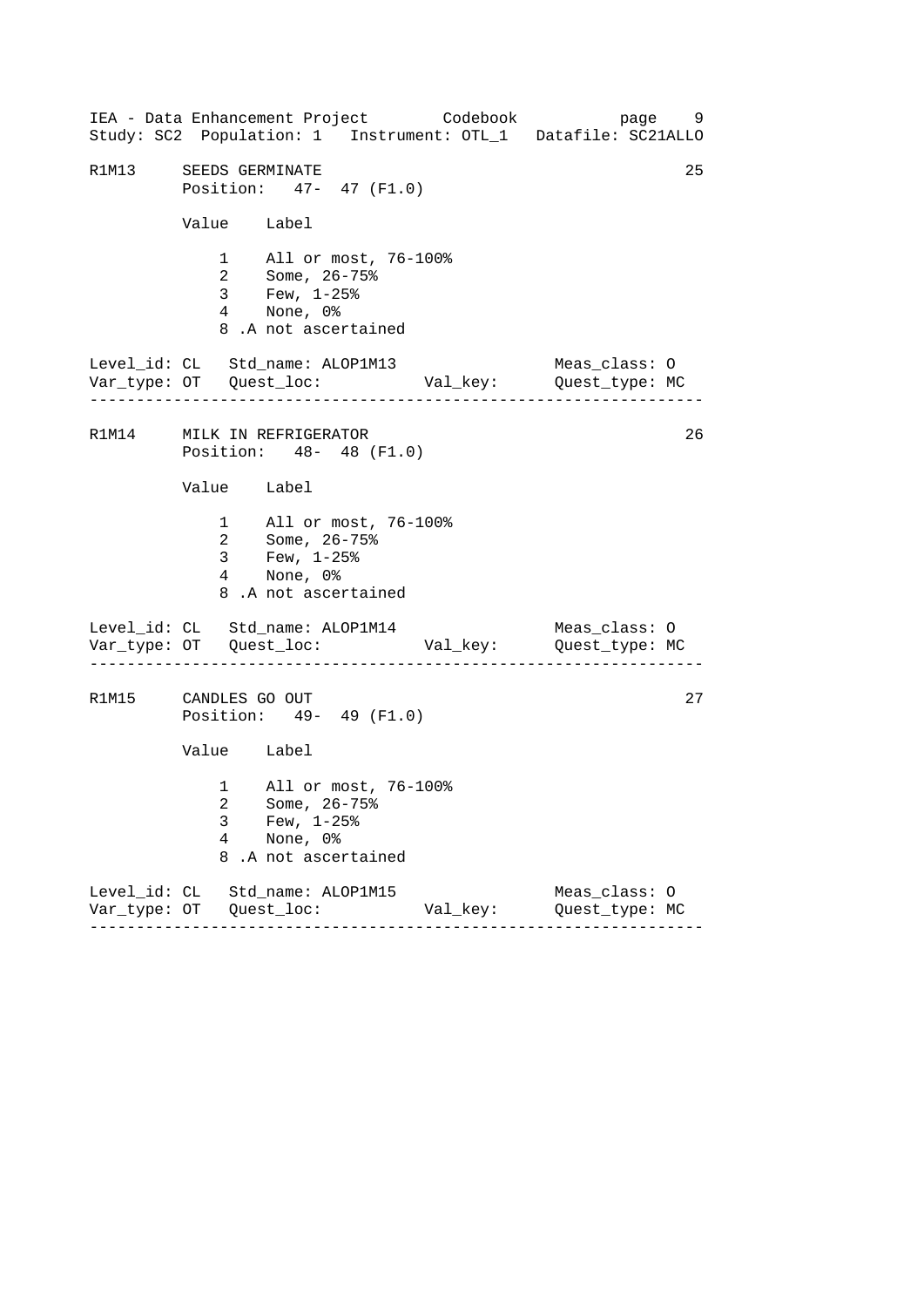------------------------------------------------------------------ ------------------------------------------------------------------ ------------------------------------------------------------------ IEA - Data Enhancement Project Codebook page 9 Study: SC2 Population: 1 Instrument: OTL\_1 Datafile: SC21ALLO R1M13 SEEDS GERMINATE Position: 47- 47 (F1.0) Value Label 1 All or most, 76-100% 2 Some, 26-75% 3 Few, 1-25% 4 None, 0% 8 .A not ascertained Level\_id: CL Std\_name: ALOP1M13 Meas\_class: O Var\_type: OT Quest\_loc: Val\_key: Quest\_type: MC R1M14 MILK IN REFRIGERATOR 26 Position: 48- 48 (F1.0) Value Label 1 All or most, 76-100% 2 Some, 26-75% 3 Few, 1-25% 4 None, 0% 8 .A not ascertained Level\_id: CL Std\_name: ALOP1M14 Meas\_class: 0 Var\_type: OT Quest\_loc: Val\_key: Quest\_type: MC R1M15 CANDLES GO OUT 27 Position: 49- 49 (F1.0) Value Label 1 All or most, 76-100% 2 Some, 26-75% 3 Few, 1-25% 4 None, 0% 8 .A not ascertained Level\_id: CL Std\_name: ALOP1M15 Meas\_class: O Var\_type: OT Quest\_loc: Val\_key: Quest\_type: MC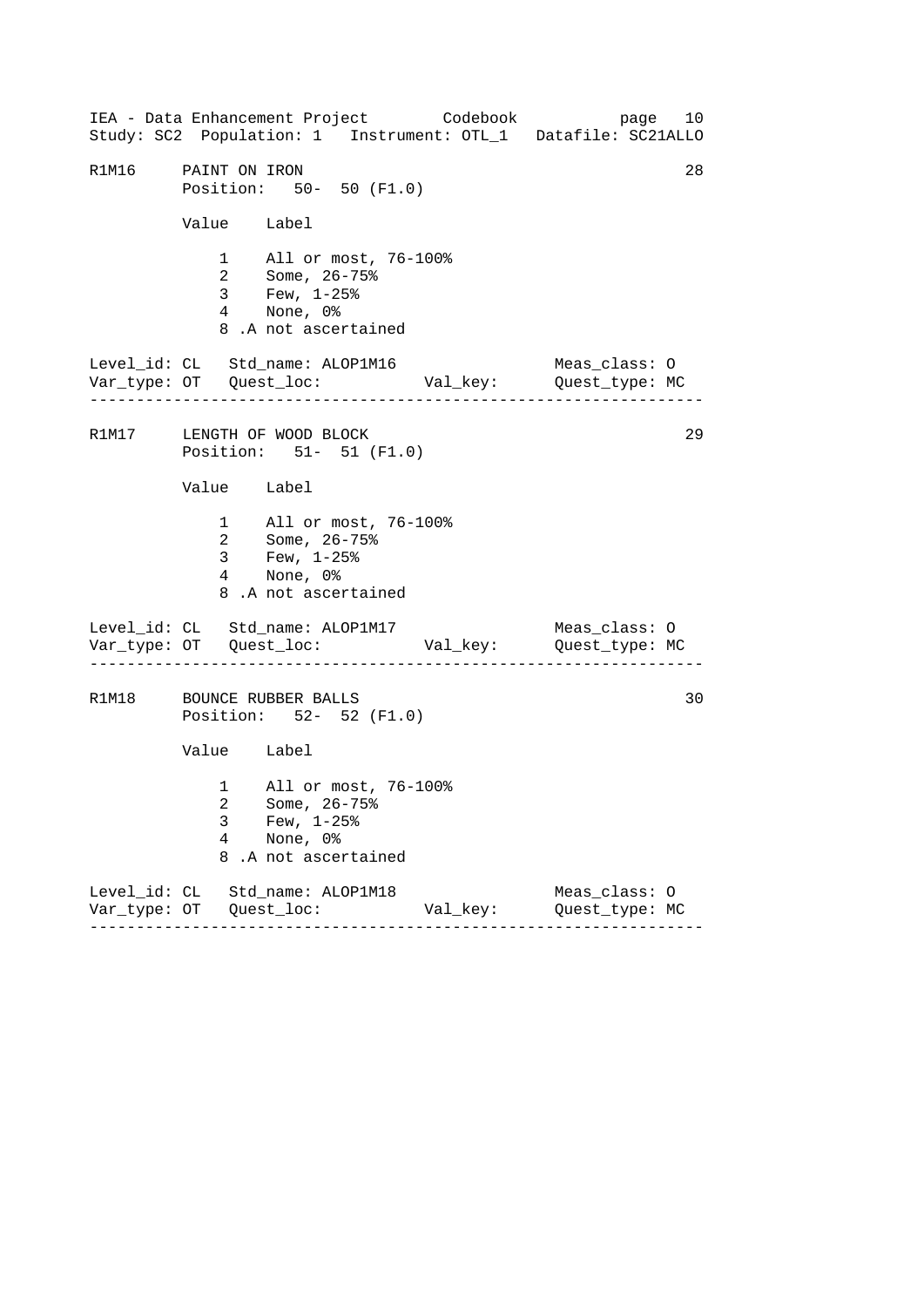------------------------------------------------------------------ ------------------------------------------------------------------ ------------------------------------------------------------------ IEA - Data Enhancement Project Codebook page 10 Study: SC2 Population: 1 Instrument: OTL\_1 Datafile: SC21ALLO R1M16 PAINT ON IRON 28 Position: 50- 50 (F1.0) Value Label 1 All or most, 76-100% 2 Some, 26-75% 3 Few, 1-25% 4 None, 0% 8 .A not ascertained Level\_id: CL Std\_name: ALOP1M16 Meas\_class: O Var\_type: OT Quest\_loc: Val\_key: Quest\_type: MC R1M17 LENGTH OF WOOD BLOCK 29 Position: 51- 51 (F1.0) Value Label 1 All or most, 76-100% 2 Some, 26-75% 3 Few, 1-25% 4 None, 0% 8 .A not ascertained Level\_id: CL Std\_name: ALOP1M17 Meas\_class: 0 Var\_type: OT Quest\_loc: Val\_key: Quest\_type: MC R1M18 BOUNCE RUBBER BALLS 30 Position: 52- 52 (F1.0) Value Label 1 All or most, 76-100% 2 Some, 26-75% 3 Few, 1-25% 4 None, 0% 8 .A not ascertained Level\_id: CL Std\_name: ALOP1M18 Meas\_class: O Var\_type: OT Quest\_loc: Val\_key: Quest\_type: MC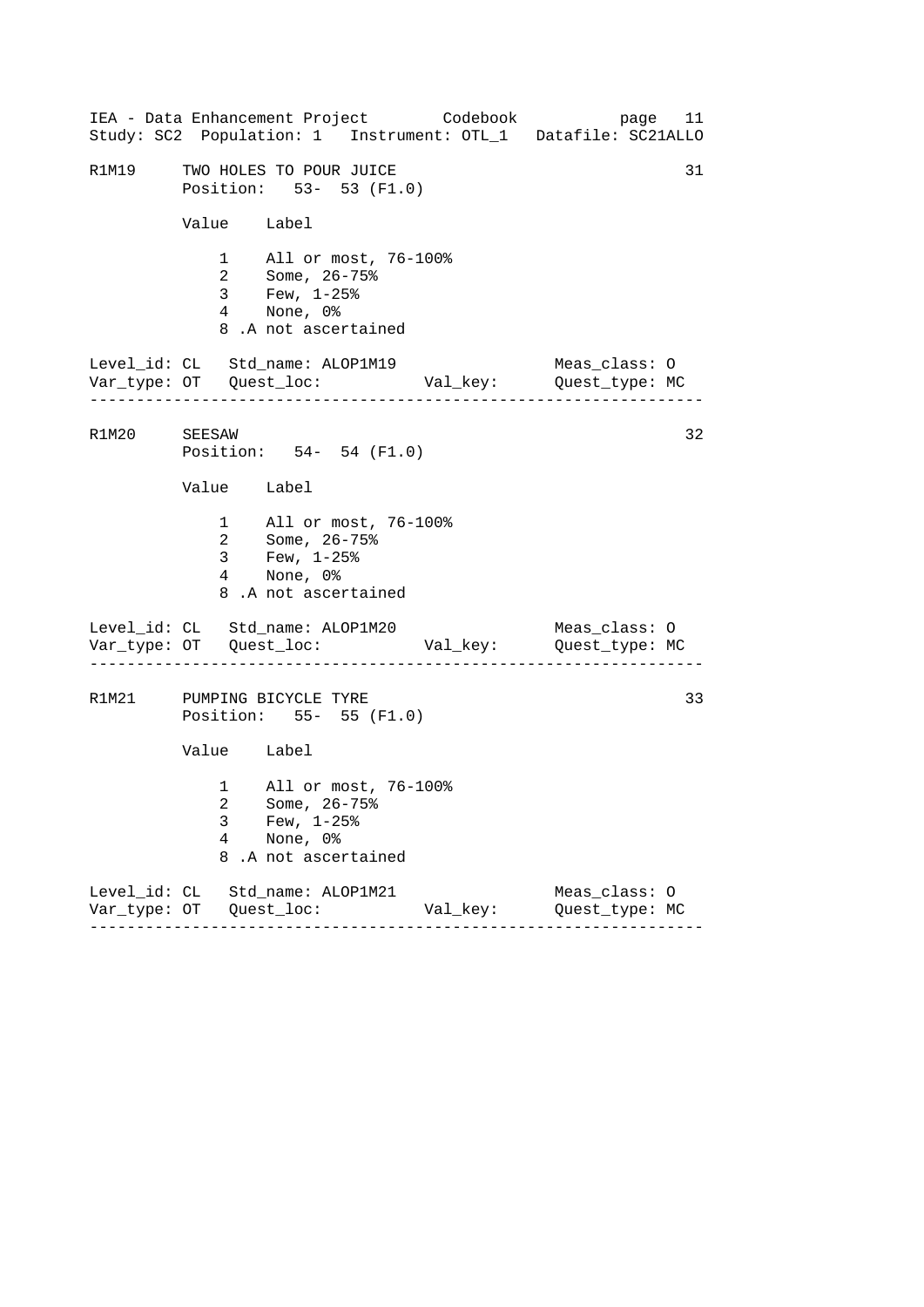------------------------------------------------------------------ ------------------------------------------------------------------ ------------------------------------------------------------------ IEA - Data Enhancement Project Codebook page 11 Study: SC2 Population: 1 Instrument: OTL\_1 Datafile: SC21ALLO R1M19 TWO HOLES TO POUR JUICE **1998** S1 Position: 53- 53 (F1.0) Value Label 1 All or most, 76-100% 2 Some, 26-75% 3 Few, 1-25% 4 None, 0% 8 .A not ascertained Level\_id: CL Std\_name: ALOP1M19 Meas\_class: O Var\_type: OT Quest\_loc: Val\_key: Quest\_type: MC R1M20 SEESAW 32 Position: 54- 54 (F1.0) Value Label 1 All or most, 76-100% 2 Some, 26-75% 3 Few, 1-25% 4 None, 0% 8 .A not ascertained Level\_id: CL Std\_name: ALOP1M20 Meas\_class: 0 Var\_type: OT Quest\_loc: Val\_key: Quest\_type: MC R1M21 PUMPING BICYCLE TYRE 33 Position: 55- 55 (F1.0) Value Label 1 All or most, 76-100% 2 Some, 26-75% 3 Few, 1-25% 4 None, 0% 8 .A not ascertained Level\_id: CL Std\_name: ALOP1M21 Meas\_class: O Var\_type: OT Quest\_loc: Val\_key: Quest\_type: MC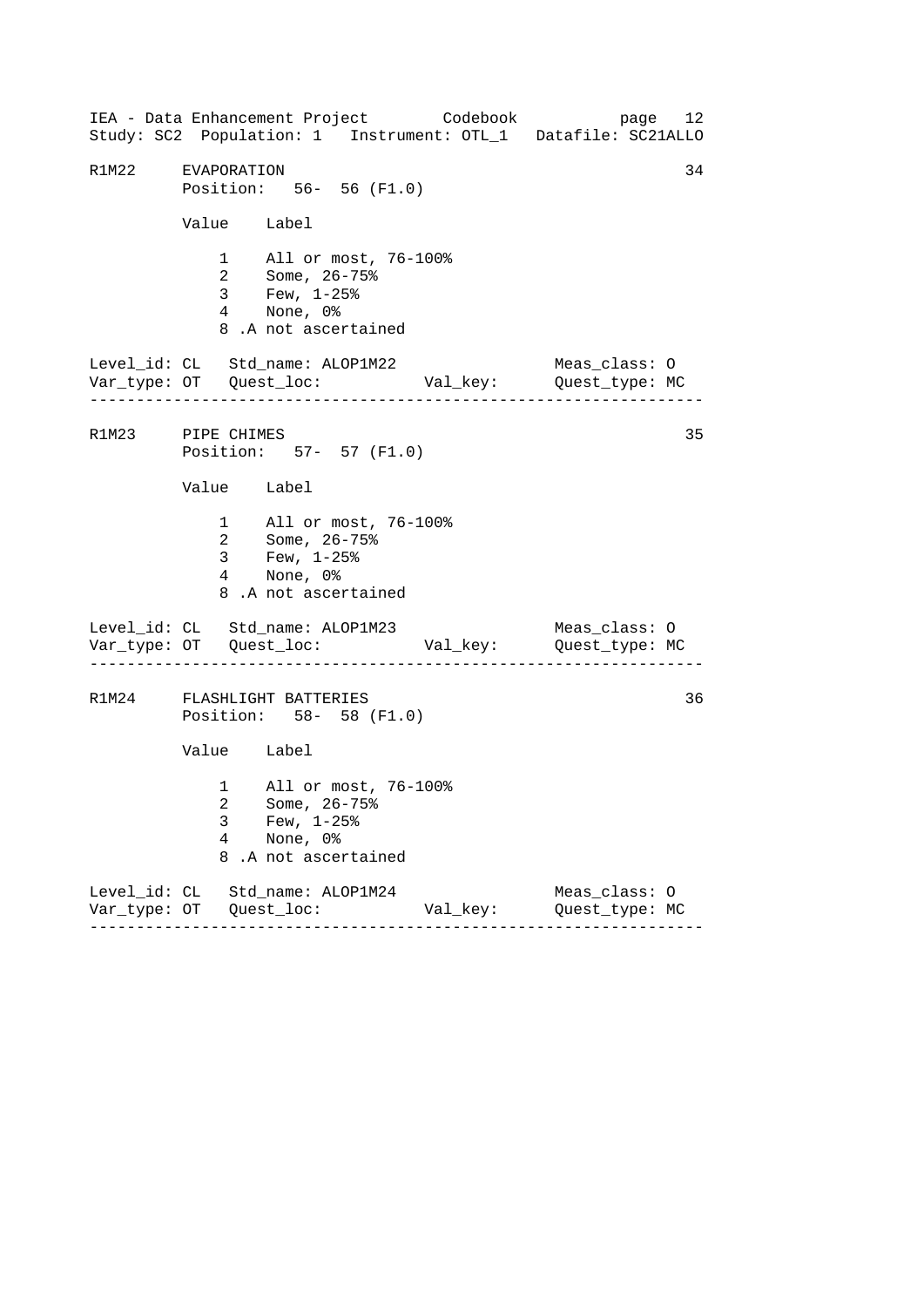------------------------------------------------------------------ ------------------------------------------------------------------ ------------------------------------------------------------------ IEA - Data Enhancement Project Codebook page 12 Study: SC2 Population: 1 Instrument: OTL\_1 Datafile: SC21ALLO R1M22 EVAPORATION 34 Position: 56- 56 (F1.0) Value Label 1 All or most, 76-100% 2 Some, 26-75% 3 Few, 1-25% 4 None, 0% 8 .A not ascertained Level\_id: CL Std\_name: ALOP1M22 Meas\_class: O Var\_type: OT Quest\_loc: Val\_key: Quest\_type: MC R1M23 PIPE CHIMES 35 Position: 57- 57 (F1.0) Value Label 1 All or most, 76-100% 2 Some, 26-75% 3 Few, 1-25% 4 None, 0% 8 .A not ascertained Level\_id: CL Std\_name: ALOP1M23 Meas\_class: 0 Var\_type: OT Quest\_loc: Val\_key: Quest\_type: MC R1M24 FLASHLIGHT BATTERIES 36 Position: 58- 58 (F1.0) Value Label 1 All or most, 76-100% 2 Some, 26-75% 3 Few, 1-25% 4 None, 0% 8 .A not ascertained Level\_id: CL Std\_name: ALOP1M24 Meas\_class: O Var\_type: OT Quest\_loc: Val\_key: Quest\_type: MC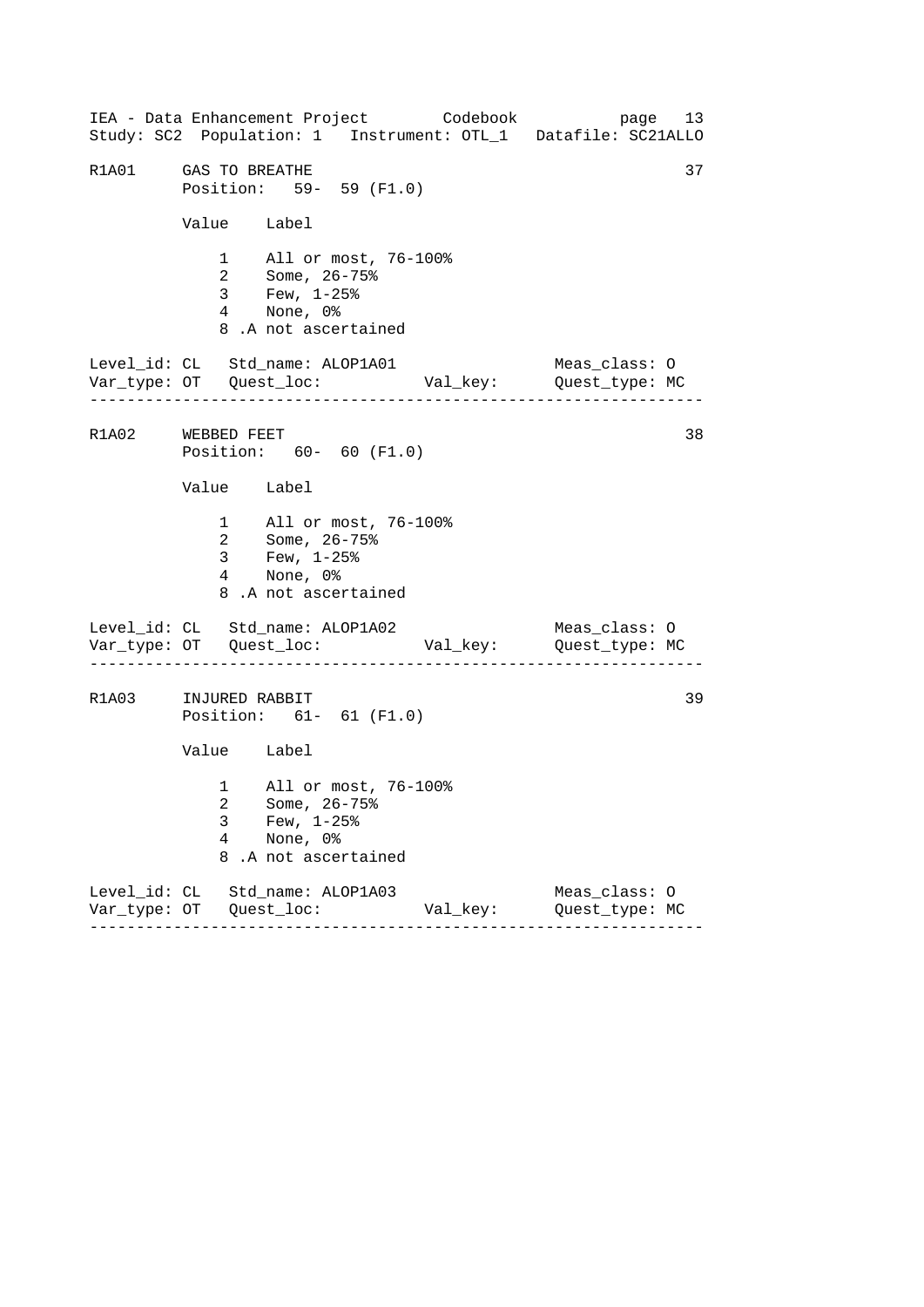------------------------------------------------------------------ ------------------------------------------------------------------ ------------------------------------------------------------------ IEA - Data Enhancement Project Codebook page 13 Study: SC2 Population: 1 Instrument: OTL\_1 Datafile: SC21ALLO R1A01 GAS TO BREATHE 37 Position: 59- 59 (F1.0) Value Label 1 All or most, 76-100% 2 Some, 26-75% 3 Few, 1-25% 4 None, 0% 8 .A not ascertained Level\_id: CL Std\_name: ALOP1A01 Meas\_class: O Var\_type: OT Quest\_loc: Val\_key: Quest\_type: MC R1A02 WEBBED FEET 38 Position: 60- 60 (F1.0) Value Label 1 All or most, 76-100% 2 Some, 26-75% 3 Few, 1-25% 4 None, 0% 8 .A not ascertained Level\_id: CL Std\_name: ALOP1A02 Meas\_class: 0 Var\_type: OT Quest\_loc: Val\_key: Quest\_type: MC R1A03 INJURED RABBIT Position: 61- 61 (F1.0) Value Label 1 All or most, 76-100% 2 Some, 26-75% 3 Few, 1-25% 4 None, 0% 8 .A not ascertained Level\_id: CL Std\_name: ALOP1A03 Meas\_class: O Var\_type: OT Quest\_loc: Val\_key: Quest\_type: MC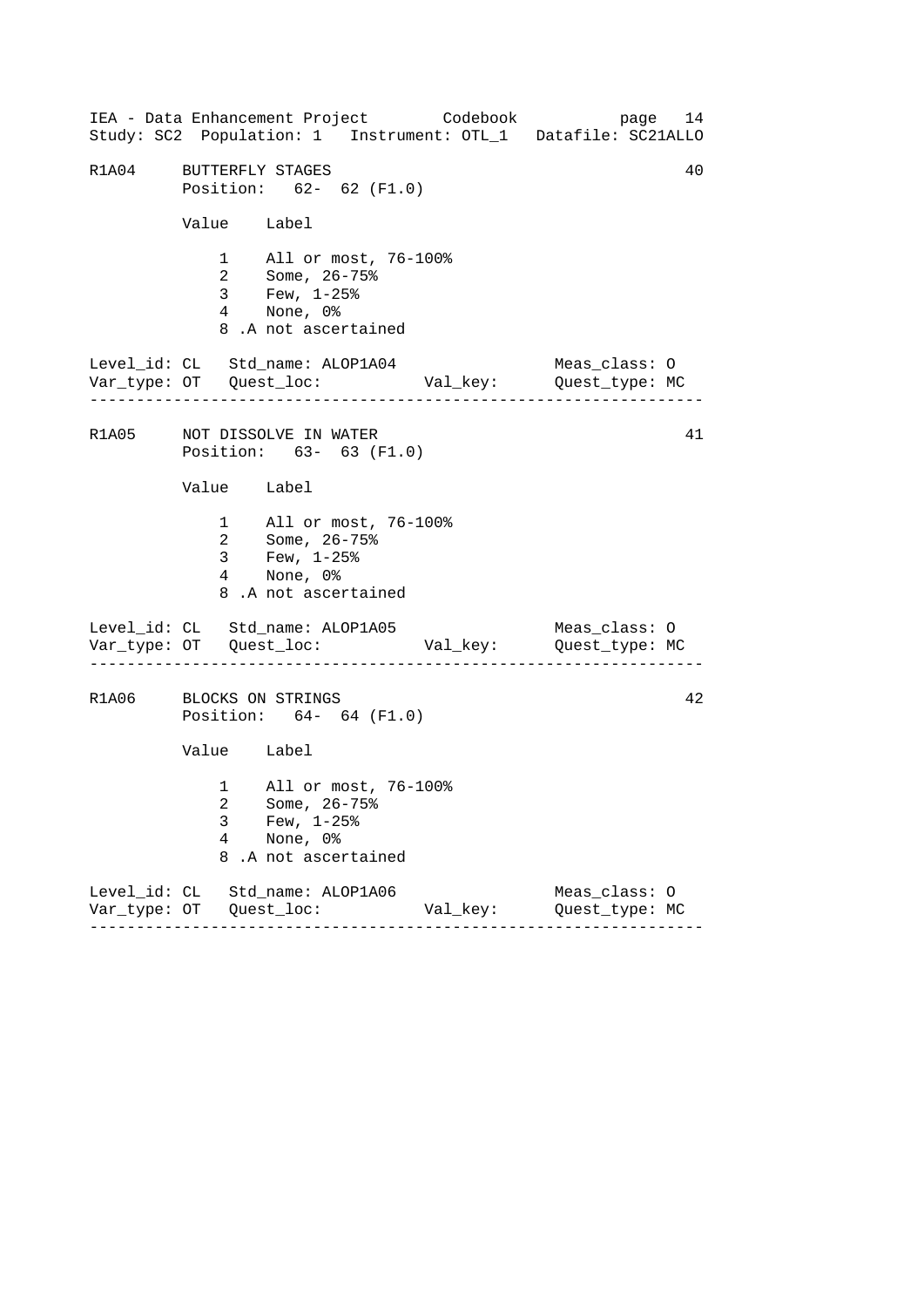------------------------------------------------------------------ ------------------------------------------------------------------ ------------------------------------------------------------------ IEA - Data Enhancement Project Codebook page 14 Study: SC2 Population: 1 Instrument: OTL\_1 Datafile: SC21ALLO R1A04 BUTTERFLY STAGES 40 Position: 62- 62 (F1.0) Value Label 1 All or most, 76-100% 2 Some, 26-75% 3 Few, 1-25% 4 None, 0% 8 .A not ascertained Level\_id: CL Std\_name: ALOP1A04 Meas\_class: O Var\_type: OT Quest\_loc: Val\_key: Quest\_type: MC R1A05 NOT DISSOLVE IN WATER 41 Position: 63- 63 (F1.0) Value Label 1 All or most, 76-100% 2 Some, 26-75% 3 Few, 1-25% 4 None, 0% 8 .A not ascertained Level\_id: CL Std\_name: ALOP1A05 Meas\_class: 0 Var\_type: OT Quest\_loc: Val\_key: Quest\_type: MC R1A06 BLOCKS ON STRINGS 42 Position: 64- 64 (F1.0) Value Label 1 All or most, 76-100% 2 Some, 26-75% 3 Few, 1-25% 4 None, 0% 8 .A not ascertained Level\_id: CL Std\_name: ALOP1A06 Meas\_class: O Var\_type: OT Quest\_loc: Val\_key: Quest\_type: MC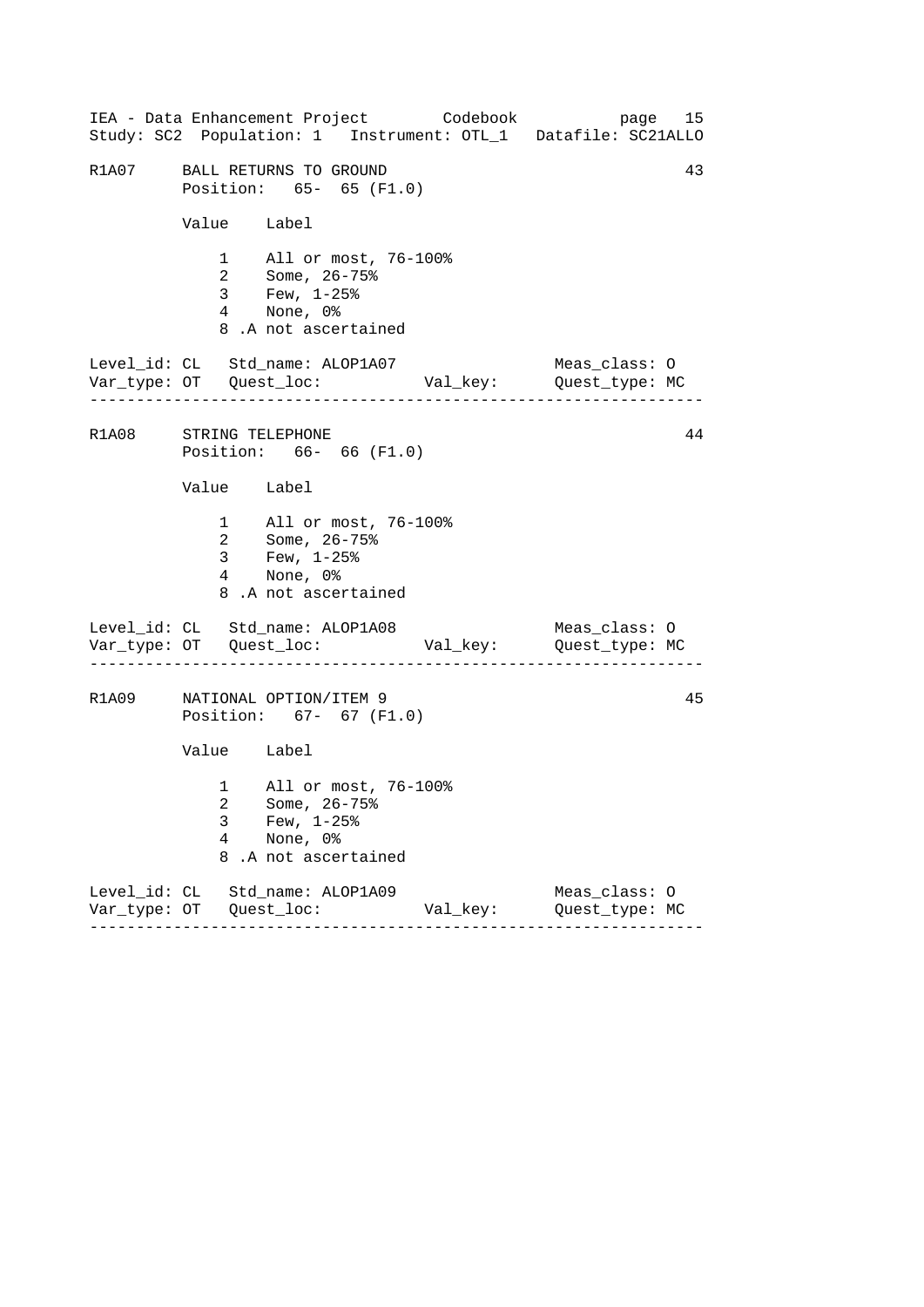------------------------------------------------------------------ ------------------------------------------------------------------ ------------------------------------------------------------------ IEA - Data Enhancement Project Codebook page 15 Study: SC2 Population: 1 Instrument: OTL\_1 Datafile: SC21ALLO R1A07 BALL RETURNS TO GROUND 43 Position: 65- 65 (F1.0) Value Label 1 All or most, 76-100% 2 Some, 26-75% 3 Few, 1-25% 4 None, 0% 8 .A not ascertained Level\_id: CL Std\_name: ALOP1A07 Meas\_class: O Var\_type: OT Quest\_loc: Val\_key: Quest\_type: MC R1A08 STRING TELEPHONE 44 Position: 66- 66 (F1.0) Value Label 1 All or most, 76-100% 2 Some, 26-75% 3 Few, 1-25% 4 None, 0% 8 .A not ascertained Level\_id: CL Std\_name: ALOP1A08 Meas\_class: 0 Var\_type: OT Quest\_loc: Val\_key: Quest\_type: MC R1A09 NATIONAL OPTION/ITEM 9 45 Position: 67- 67 (F1.0) Value Label 1 All or most, 76-100% 2 Some, 26-75% 3 Few, 1-25% 4 None, 0% 8 .A not ascertained Level\_id: CL Std\_name: ALOP1A09 Meas\_class: O Var\_type: OT Quest\_loc: Val\_key: Quest\_type: MC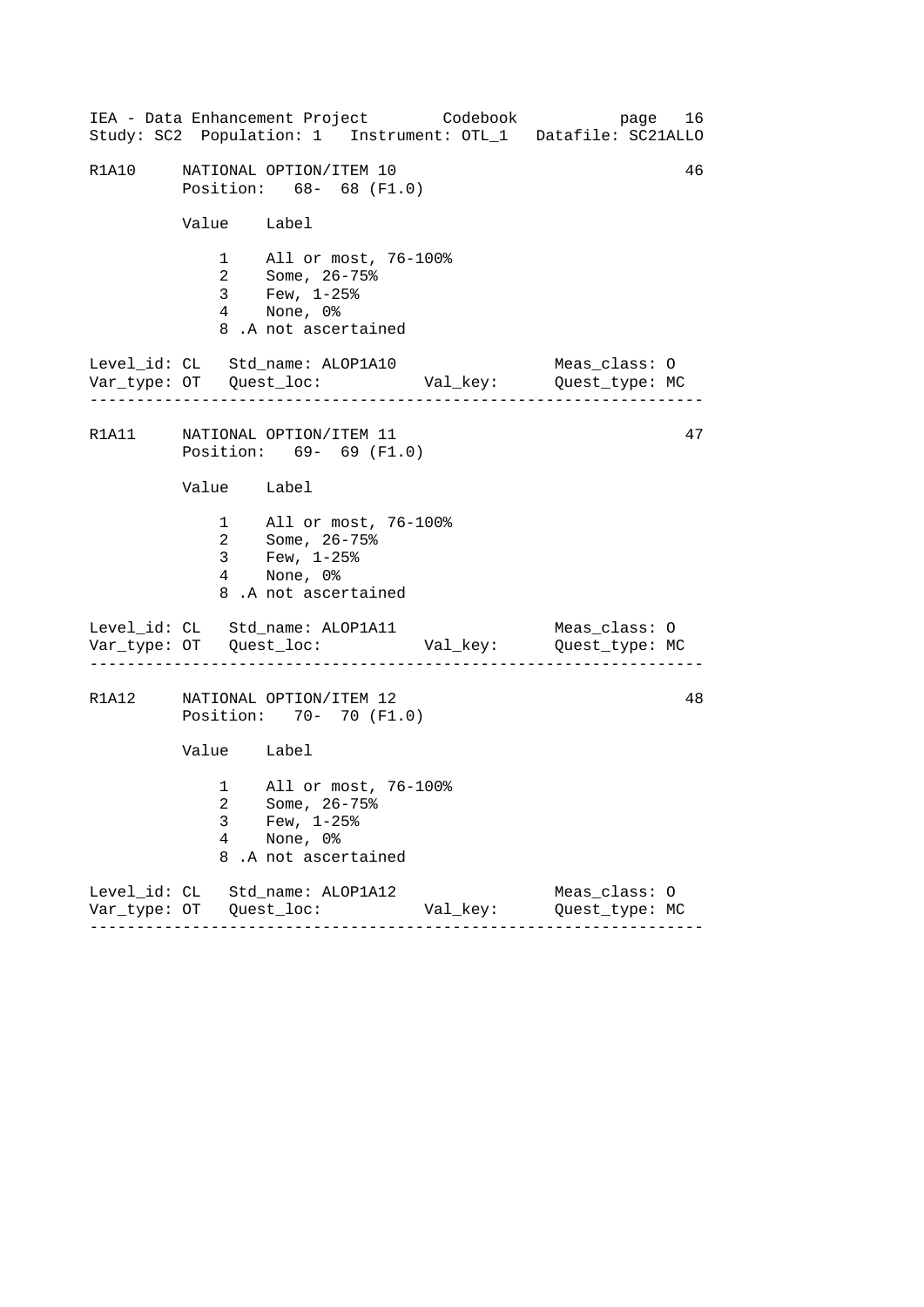------------------------------------------------------------------ ------------------------------------------------------------------ ------------------------------------------------------------------ IEA - Data Enhancement Project Codebook page 16 Study: SC2 Population: 1 Instrument: OTL\_1 Datafile: SC21ALLO R1A10 NATIONAL OPTION/ITEM 10 46 Position: 68- 68 (F1.0) Value Label 1 All or most, 76-100% 2 Some, 26-75% 3 Few, 1-25% 4 None, 0% 8 .A not ascertained Level\_id: CL Std\_name: ALOP1A10 Meas\_class: O Var\_type: OT Quest\_loc: Val\_key: Quest\_type: MC R1A11 MATIONAL OPTION/ITEM 11 47 Position: 69- 69 (F1.0) Value Label 1 All or most, 76-100% 2 Some, 26-75% 3 Few, 1-25% 4 None, 0% 8 .A not ascertained Level\_id: CL Std\_name: ALOP1A11 Meas\_class: 0 Var\_type: OT Quest\_loc: Val\_key: Quest\_type: MC R1A12 NATIONAL OPTION/ITEM 12 48 Position: 70- 70 (F1.0) Value Label 1 All or most, 76-100% 2 Some, 26-75% 3 Few, 1-25% 4 None, 0% 8 .A not ascertained Level\_id: CL Std\_name: ALOP1A12 Meas\_class: O Var\_type: OT Quest\_loc: Val\_key: Quest\_type: MC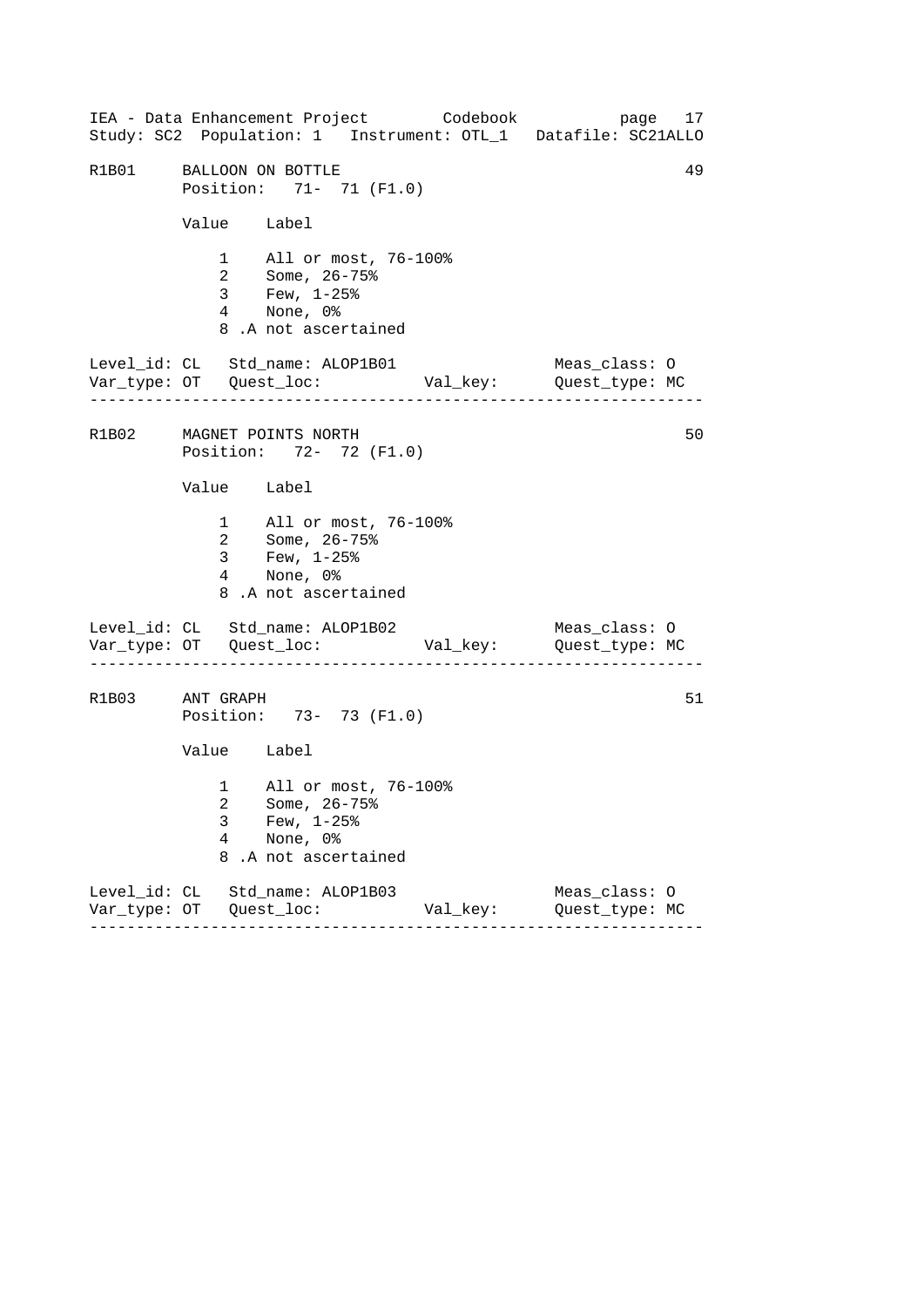------------------------------------------------------------------ ------------------------------------------------------------------ ------------------------------------------------------------------ IEA - Data Enhancement Project Codebook page 17 Study: SC2 Population: 1 Instrument: OTL\_1 Datafile: SC21ALLO R1B01 BALLOON ON BOTTLE 49 Position: 71- 71 (F1.0) Value Label 1 All or most, 76-100% 2 Some, 26-75% 3 Few, 1-25% 4 None, 0% 8 .A not ascertained Level\_id: CL Std\_name: ALOP1B01 Meas\_class: O Var\_type: OT Quest\_loc: Val\_key: Quest\_type: MC R1B02 MAGNET POINTS NORTH 50 Position: 72- 72 (F1.0) Value Label 1 All or most, 76-100% 2 Some, 26-75% 3 Few, 1-25% 4 None, 0% 8 .A not ascertained Level\_id: CL Std\_name: ALOP1B02 Meas\_class: 0 Var\_type: OT Quest\_loc: Val\_key: Quest\_type: MC R1B03 ANT GRAPH 51 Position: 73- 73 (F1.0) Value Label 1 All or most, 76-100% 2 Some, 26-75% 3 Few, 1-25% 4 None, 0% 8 .A not ascertained Level\_id: CL Std\_name: ALOP1B03 Meas\_class: O Var\_type: OT Quest\_loc: Val\_key: Quest\_type: MC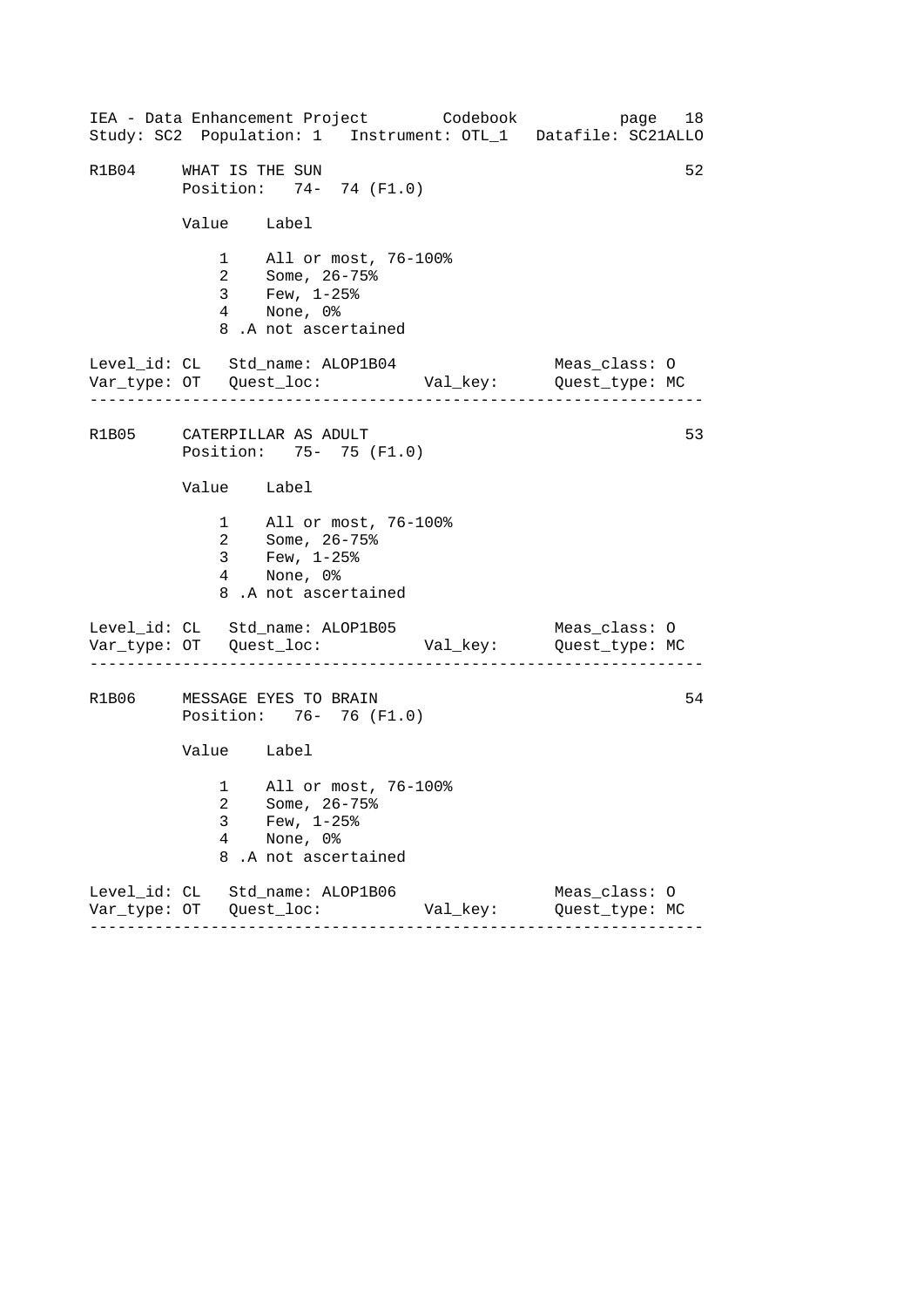------------------------------------------------------------------ ------------------------------------------------------------------ ------------------------------------------------------------------ IEA - Data Enhancement Project Codebook page 18 Study: SC2 Population: 1 Instrument: OTL\_1 Datafile: SC21ALLO R1B04 WHAT IS THE SUN 52 Position: 74- 74 (F1.0) Value Label 1 All or most, 76-100% 2 Some, 26-75% 3 Few, 1-25% 4 None, 0% 8 .A not ascertained Level\_id: CL Std\_name: ALOP1B04 Meas\_class: O Var\_type: OT Quest\_loc: Val\_key: Quest\_type: MC R1B05 CATERPILLAR AS ADULT 53 Position: 75- 75 (F1.0) Value Label 1 All or most, 76-100% 2 Some, 26-75% 3 Few, 1-25% 4 None, 0% 8 .A not ascertained Level\_id: CL Std\_name: ALOP1B05 Meas\_class: 0 Var\_type: OT Quest\_loc: Val\_key: Quest\_type: MC R1B06 MESSAGE EYES TO BRAIN 64 Position: 76- 76 (F1.0) Value Label 1 All or most, 76-100% 2 Some, 26-75% 3 Few, 1-25% 4 None, 0% 8 .A not ascertained Level\_id: CL Std\_name: ALOP1B06 Meas\_class: O Var\_type: OT Quest\_loc: Val\_key: Quest\_type: MC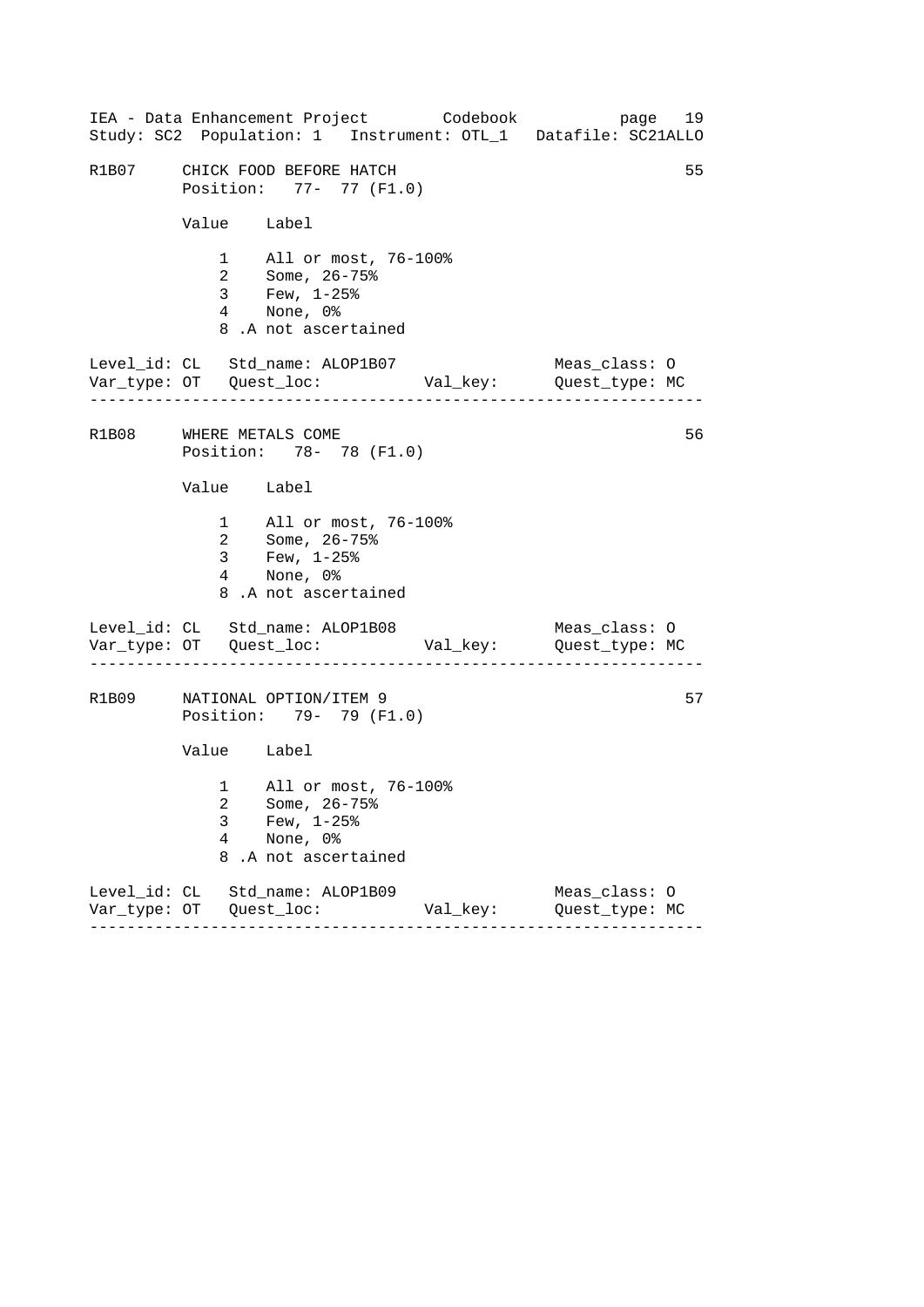------------------------------------------------------------------ ------------------------------------------------------------------ ------------------------------------------------------------------ IEA - Data Enhancement Project Codebook page 19 Study: SC2 Population: 1 Instrument: OTL\_1 Datafile: SC21ALLO R1B07 CHICK FOOD BEFORE HATCH 55 Position: 77- 77 (F1.0) Value Label 1 All or most, 76-100% 2 Some, 26-75% 3 Few, 1-25% 4 None, 0% 8 .A not ascertained Level\_id: CL Std\_name: ALOP1B07 Meas\_class: O Var\_type: OT Quest\_loc: Val\_key: Quest\_type: MC R1B08 WHERE METALS COME 356 Position: 78- 78 (F1.0) Value Label 1 All or most, 76-100% 2 Some, 26-75% 3 Few, 1-25% 4 None, 0% 8 .A not ascertained Level\_id: CL Std\_name: ALOP1B08 Meas\_class: 0 Var\_type: OT Quest\_loc: Val\_key: Quest\_type: MC R1B09 NATIONAL OPTION/ITEM 9 57 Position: 79- 79 (F1.0) Value Label 1 All or most, 76-100% 2 Some, 26-75% 3 Few, 1-25% 4 None, 0% 8 .A not ascertained Level\_id: CL Std\_name: ALOP1B09 Meas\_class: O Var\_type: OT Quest\_loc: Val\_key: Quest\_type: MC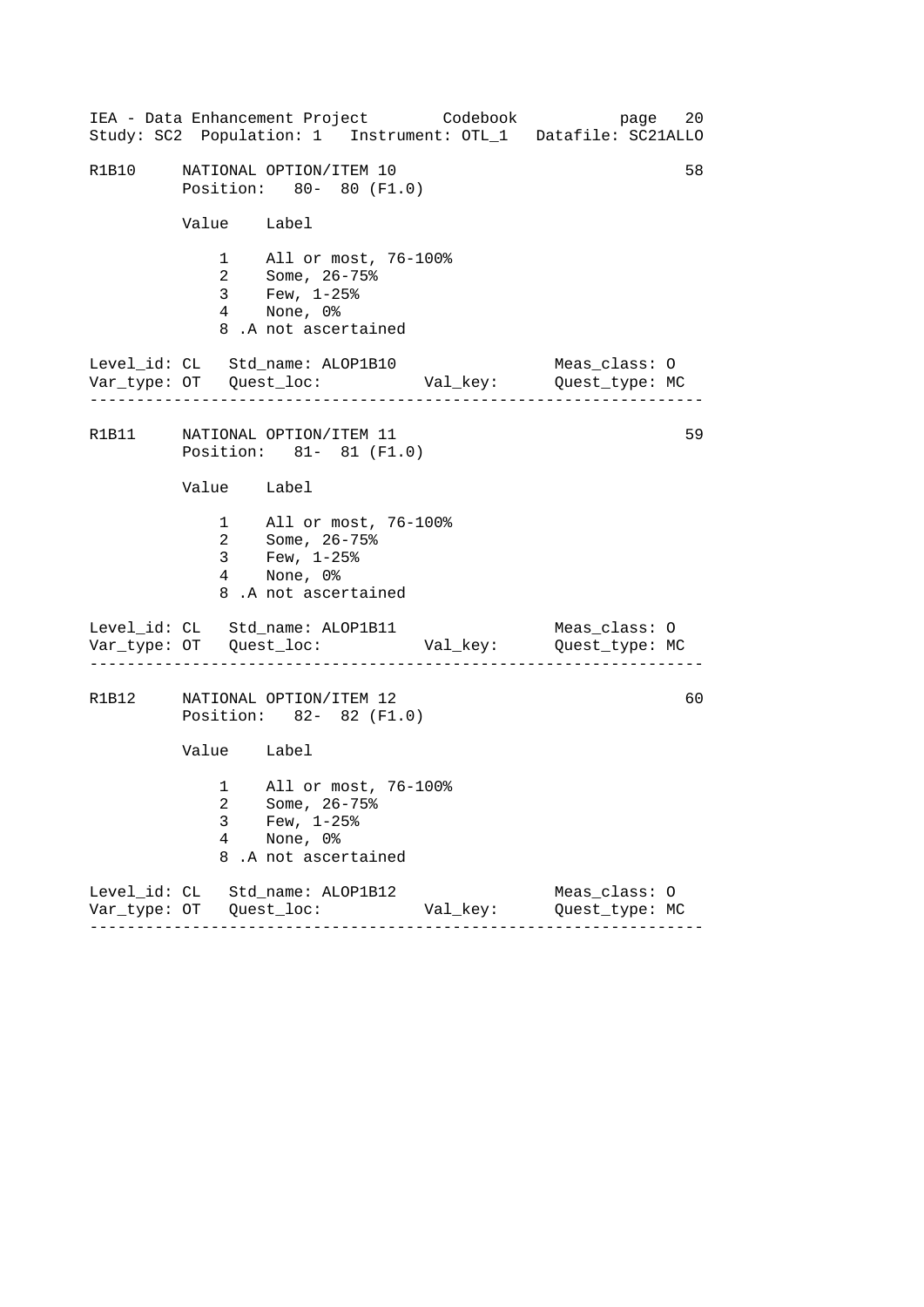------------------------------------------------------------------ ------------------------------------------------------------------ ------------------------------------------------------------------ IEA - Data Enhancement Project Codebook page 20 Study: SC2 Population: 1 Instrument: OTL\_1 Datafile: SC21ALLO R1B10 NATIONAL OPTION/ITEM 10 58 Position: 80- 80 (F1.0) Value Label 1 All or most, 76-100% 2 Some, 26-75% 3 Few, 1-25% 4 None, 0% 8 .A not ascertained Level\_id: CL Std\_name: ALOP1B10 Meas\_class: O Var\_type: OT Quest\_loc: Val\_key: Quest\_type: MC R1B11 NATIONAL OPTION/ITEM 11 59 Position: 81- 81 (F1.0) Value Label 1 All or most, 76-100% 2 Some, 26-75% 3 Few, 1-25% 4 None, 0% 8 .A not ascertained Level\_id: CL Std\_name: ALOP1B11 Meas\_class: 0 Var\_type: OT Quest\_loc: Val\_key: Quest\_type: MC R1B12 NATIONAL OPTION/ITEM 12 60 Position: 82- 82 (F1.0) Value Label 1 All or most, 76-100% 2 Some, 26-75% 3 Few, 1-25% 4 None, 0% 8 .A not ascertained Level\_id: CL Std\_name: ALOP1B12 Meas\_class: O Var\_type: OT Quest\_loc: Val\_key: Quest\_type: MC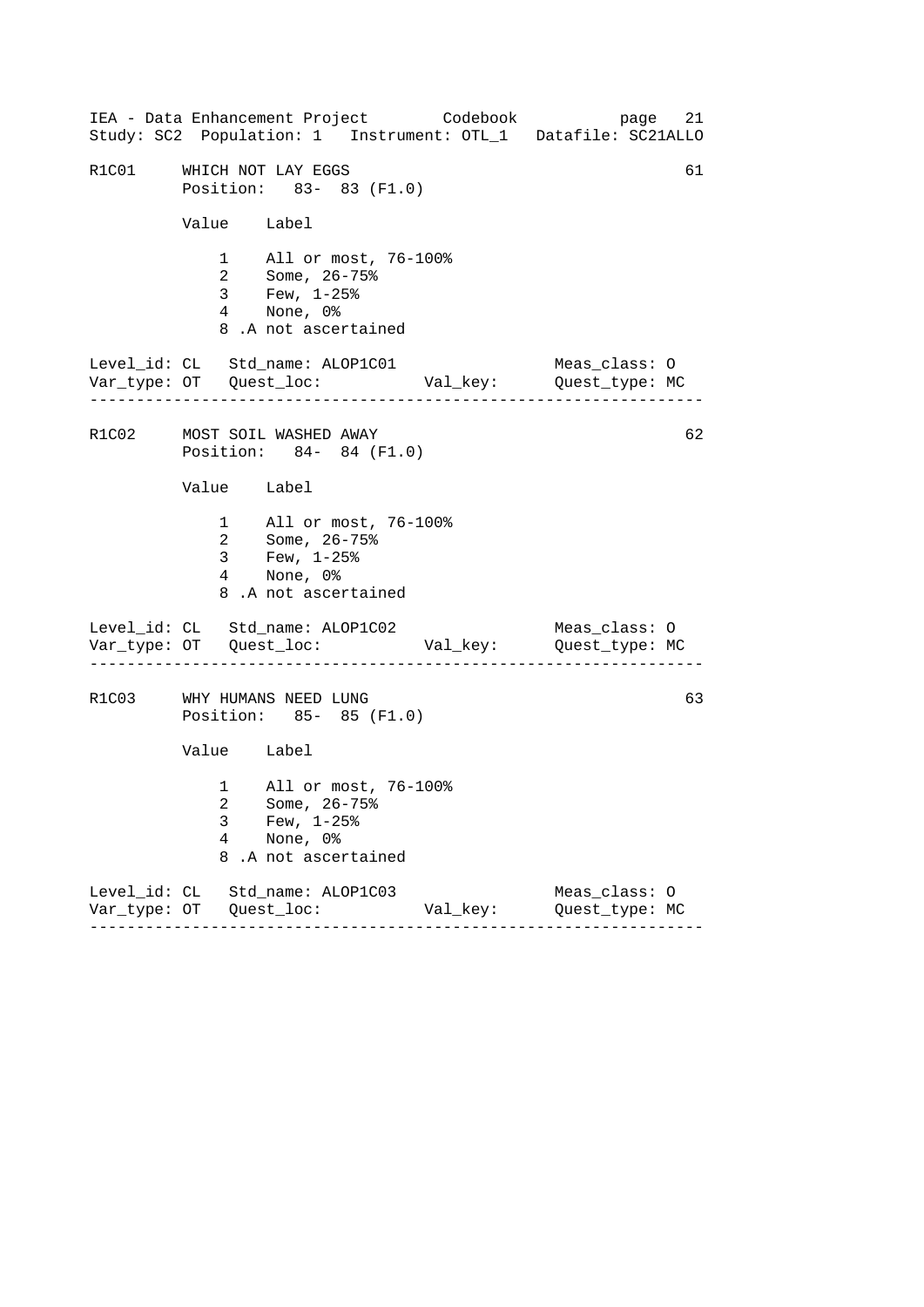------------------------------------------------------------------ ------------------------------------------------------------------ ------------------------------------------------------------------ IEA - Data Enhancement Project Codebook page 21 Study: SC2 Population: 1 Instrument: OTL\_1 Datafile: SC21ALLO R1C01 WHICH NOT LAY EGGS 61 Position: 83- 83 (F1.0) Value Label 1 All or most, 76-100% 2 Some, 26-75% 3 Few, 1-25% 4 None, 0% 8 .A not ascertained Level\_id: CL Std\_name: ALOP1C01 Meas\_class: O Var\_type: OT Quest\_loc: Val\_key: Quest\_type: MC R1C02 MOST SOIL WASHED AWAY 62 Position: 84- 84 (F1.0) Value Label 1 All or most, 76-100% 2 Some, 26-75% 3 Few, 1-25% 4 None, 0% 8 .A not ascertained Level\_id: CL Std\_name: ALOP1C02 Meas\_class: 0 Var\_type: OT Quest\_loc: Val\_key: Quest\_type: MC R1C03 WHY HUMANS NEED LUNG 63 Position: 85- 85 (F1.0) Value Label 1 All or most, 76-100% 2 Some, 26-75% 3 Few, 1-25% 4 None, 0% 8 .A not ascertained Level\_id: CL Std\_name: ALOP1C03 Meas\_class: O Var\_type: OT Quest\_loc: Val\_key: Quest\_type: MC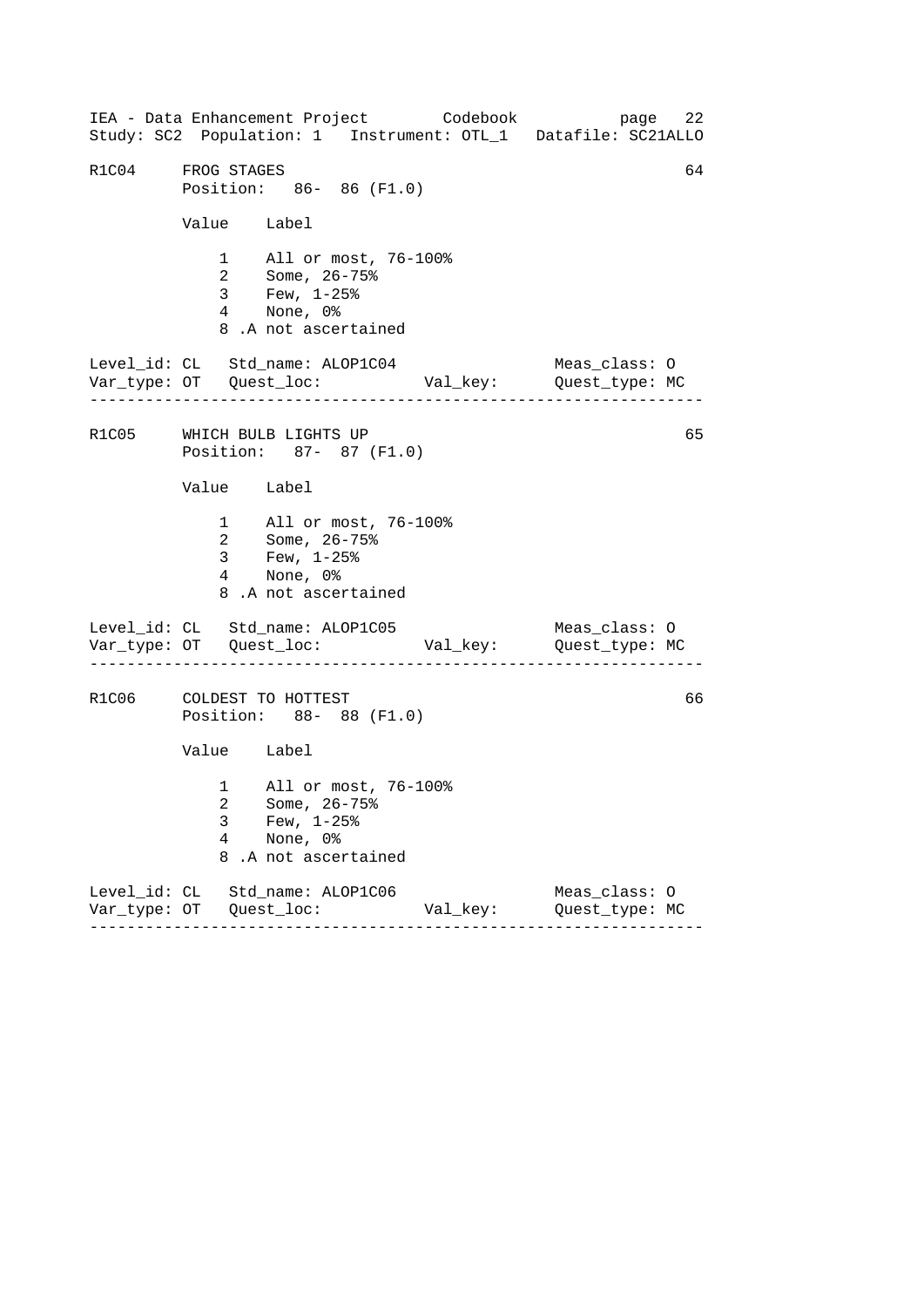------------------------------------------------------------------ ------------------------------------------------------------------ ------------------------------------------------------------------ IEA - Data Enhancement Project Codebook page 22 Study: SC2 Population: 1 Instrument: OTL\_1 Datafile: SC21ALLO R1C04 FROG STAGES 64 Position: 86- 86 (F1.0) Value Label 1 All or most, 76-100% 2 Some, 26-75% 3 Few, 1-25% 4 None, 0% 8 .A not ascertained Level\_id: CL Std\_name: ALOP1C04 Meas\_class: O Var\_type: OT Quest\_loc: Val\_key: Quest\_type: MC R1C05 WHICH BULB LIGHTS UP 65 Position: 87- 87 (F1.0) Value Label 1 All or most, 76-100% 2 Some, 26-75% 3 Few, 1-25% 4 None, 0% 8 .A not ascertained Level\_id: CL Std\_name: ALOP1C05 Meas\_class: 0 Var\_type: OT Quest\_loc: Val\_key: Quest\_type: MC R1C06 COLDEST TO HOTTEST 66 Position: 88- 88 (F1.0) Value Label 1 All or most, 76-100% 2 Some, 26-75% 3 Few, 1-25% 4 None, 0% 8 .A not ascertained Level\_id: CL Std\_name: ALOP1C06 Meas\_class: O Var\_type: OT Quest\_loc: Val\_key: Quest\_type: MC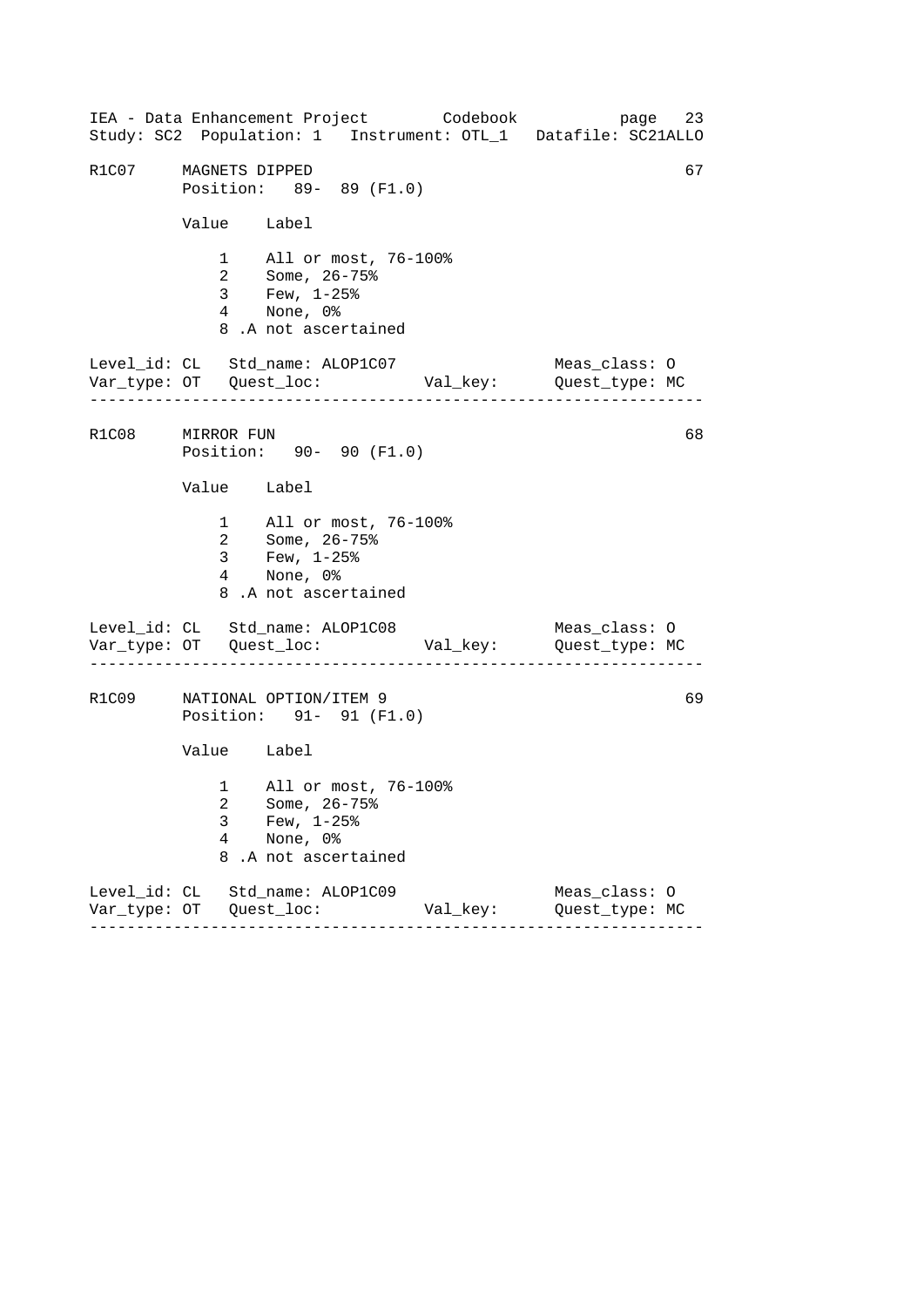------------------------------------------------------------------ ------------------------------------------------------------------ ------------------------------------------------------------------ IEA - Data Enhancement Project Codebook page 23 Study: SC2 Population: 1 Instrument: OTL\_1 Datafile: SC21ALLO R1C07 MAGNETS DIPPED 67 Position: 89- 89 (F1.0) Value Label 1 All or most, 76-100% 2 Some, 26-75% 3 Few, 1-25% 4 None, 0% 8 .A not ascertained Level\_id: CL Std\_name: ALOP1C07 Meas\_class: O Var\_type: OT Quest\_loc: Val\_key: Quest\_type: MC R1C08 MIRROR FUN 68 Position: 90- 90 (F1.0) Value Label 1 All or most, 76-100% 2 Some, 26-75% 3 Few, 1-25% 4 None, 0% 8 .A not ascertained Level\_id: CL Std\_name: ALOP1C08 Meas\_class: O Var\_type: OT Quest\_loc: Val\_key: Quest\_type: MC R1C09 NATIONAL OPTION/ITEM 9 69 Position: 91- 91 (F1.0) Value Label 1 All or most, 76-100% 2 Some, 26-75% 3 Few, 1-25% 4 None, 0% 8 .A not ascertained Level\_id: CL Std\_name: ALOP1C09 Meas\_class: O Var\_type: OT Quest\_loc: Val\_key: Quest\_type: MC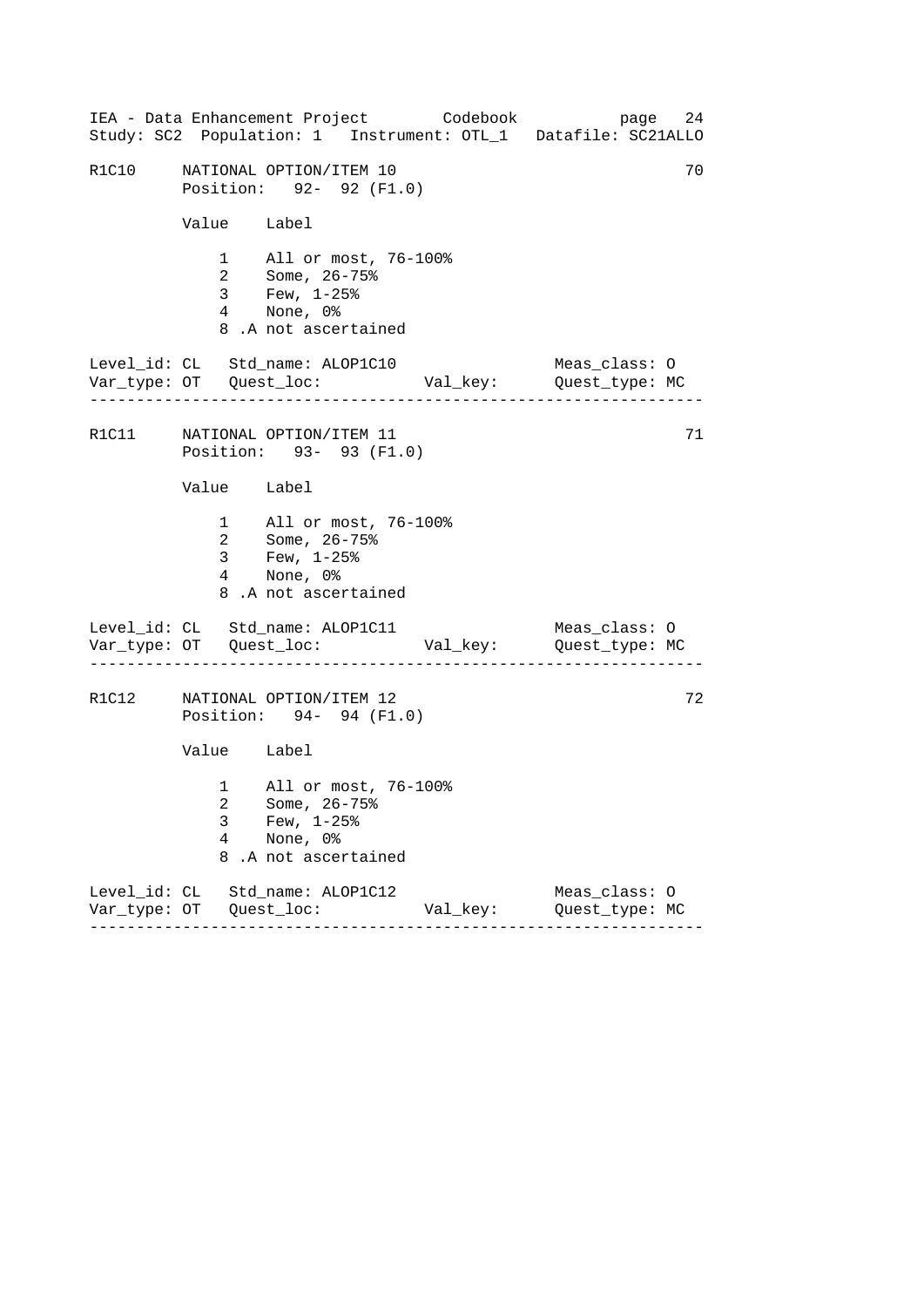------------------------------------------------------------------ ------------------------------------------------------------------ ------------------------------------------------------------------ IEA - Data Enhancement Project Codebook page 24 Study: SC2 Population: 1 Instrument: OTL\_1 Datafile: SC21ALLO R1C10 NATIONAL OPTION/ITEM 10 70 Position: 92- 92 (F1.0) Value Label 1 All or most, 76-100% 2 Some, 26-75% 3 Few, 1-25% 4 None, 0% 8 .A not ascertained Level\_id: CL Std\_name: ALOP1C10 Meas\_class: O Var\_type: OT Quest\_loc: Val\_key: Quest\_type: MC R1C11 MATIONAL OPTION/ITEM 11 71 Position: 93- 93 (F1.0) Value Label 1 All or most, 76-100% 2 Some, 26-75% 3 Few, 1-25% 4 None, 0% 8 .A not ascertained Level\_id: CL Std\_name: ALOP1C11 Meas\_class: 0 Var\_type: OT Quest\_loc: Val\_key: Quest\_type: MC R1C12 NATIONAL OPTION/ITEM 12 72 Position: 94- 94 (F1.0) Value Label 1 All or most, 76-100% 2 Some, 26-75% 3 Few, 1-25% 4 None, 0% 8 .A not ascertained Level\_id: CL Std\_name: ALOP1C12 Meas\_class: O Var\_type: OT Quest\_loc: Val\_key: Quest\_type: MC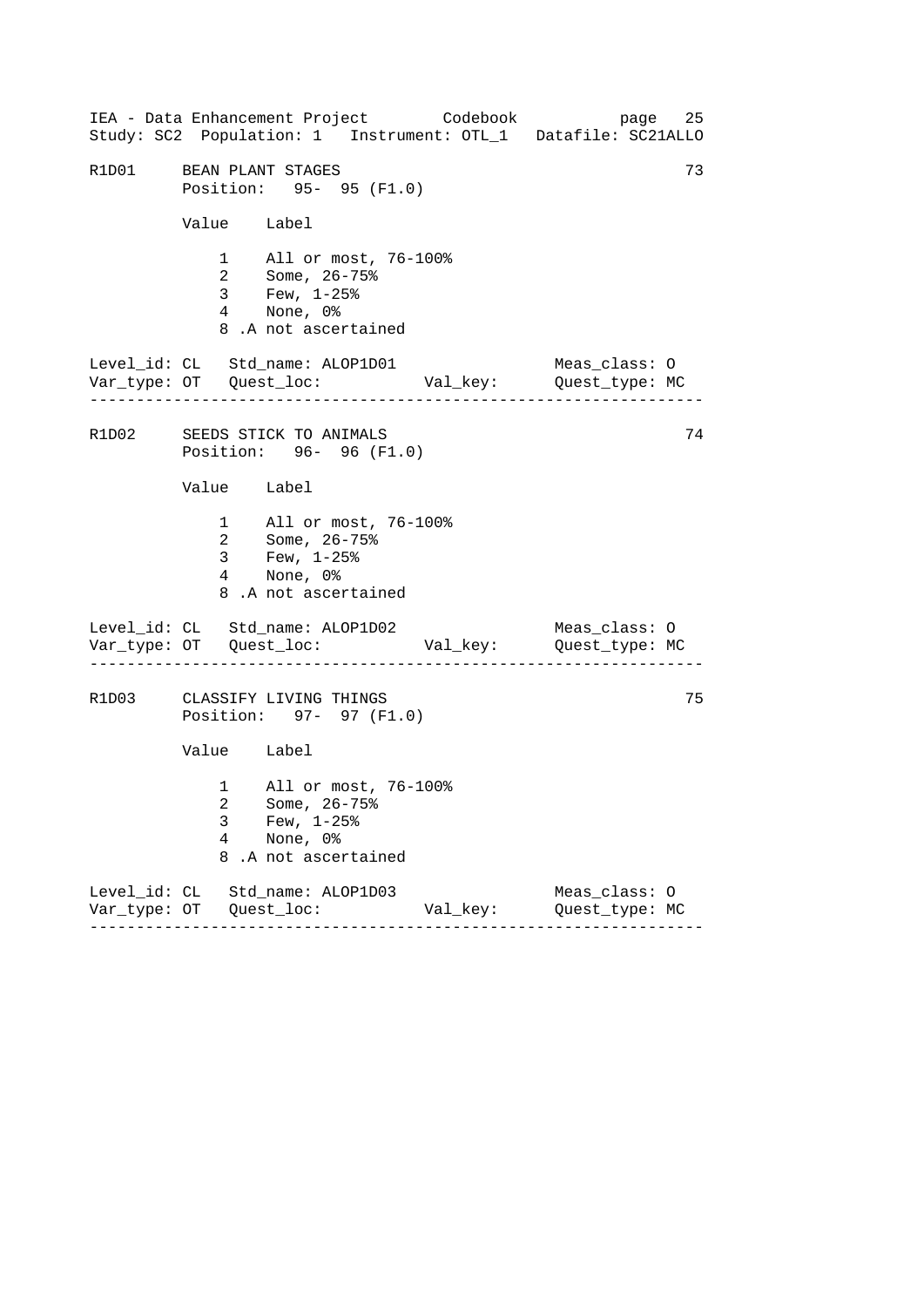------------------------------------------------------------------ ------------------------------------------------------------------ ------------------------------------------------------------------ IEA - Data Enhancement Project Codebook page 25 Study: SC2 Population: 1 Instrument: OTL\_1 Datafile: SC21ALLO R1D01 BEAN PLANT STAGES 73 Position: 95- 95 (F1.0) Value Label 1 All or most, 76-100% 2 Some, 26-75% 3 Few, 1-25% 4 None, 0% 8 .A not ascertained Level\_id: CL Std\_name: ALOP1D01 Meas\_class: O Var\_type: OT Quest\_loc: Val\_key: Quest\_type: MC R1D02 SEEDS STICK TO ANIMALS 74 Position: 96- 96 (F1.0) Value Label 1 All or most, 76-100% 2 Some, 26-75% 3 Few, 1-25% 4 None, 0% 8 .A not ascertained Level\_id: CL Std\_name: ALOP1D02 Meas\_class: 0 Var\_type: OT Quest\_loc: Val\_key: Quest\_type: MC R1D03 CLASSIFY LIVING THINGS 75 Position: 97- 97 (F1.0) Value Label 1 All or most, 76-100% 2 Some, 26-75% 3 Few, 1-25% 4 None, 0% 8 .A not ascertained Level\_id: CL Std\_name: ALOP1D03 Meas\_class: O Var\_type: OT Quest\_loc: Val\_key: Quest\_type: MC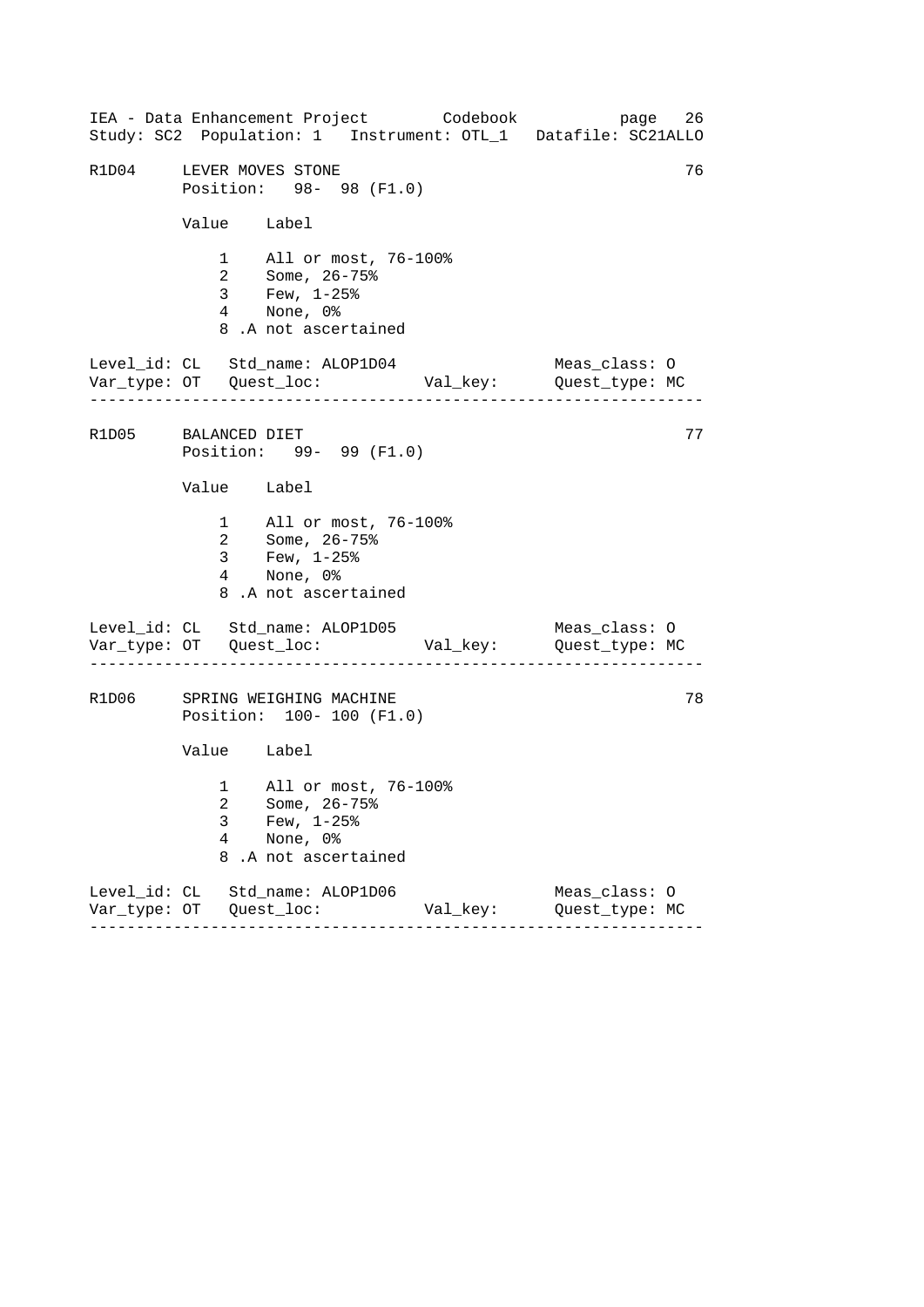------------------------------------------------------------------ ------------------------------------------------------------------ ------------------------------------------------------------------ IEA - Data Enhancement Project Codebook page 26 Study: SC2 Population: 1 Instrument: OTL\_1 Datafile: SC21ALLO R1D04 LEVER MOVES STONE 76 Position: 98- 98 (F1.0) Value Label 1 All or most, 76-100% 2 Some, 26-75% 3 Few, 1-25% 4 None, 0% 8 .A not ascertained Level\_id: CL Std\_name: ALOP1D04 Meas\_class: O Var\_type: OT Quest\_loc: Val\_key: Quest\_type: MC R1D05 BALANCED DIET 77 Position: 99- 99 (F1.0) Value Label 1 All or most, 76-100% 2 Some, 26-75% 3 Few, 1-25% 4 None, 0% 8 .A not ascertained Level\_id: CL Std\_name: ALOP1D05 Meas\_class: 0 Var\_type: OT Quest\_loc: Val\_key: Quest\_type: MC R1D06 SPRING WEIGHING MACHINE 678 Position: 100- 100 (F1.0) Value Label 1 All or most, 76-100% 2 Some, 26-75% 3 Few, 1-25%<br>4 None, 0% None, 0% 8 .A not ascertained Level\_id: CL Std\_name: ALOP1D06 Meas\_class: O Var\_type: OT Quest\_loc: Val\_key: Quest\_type: MC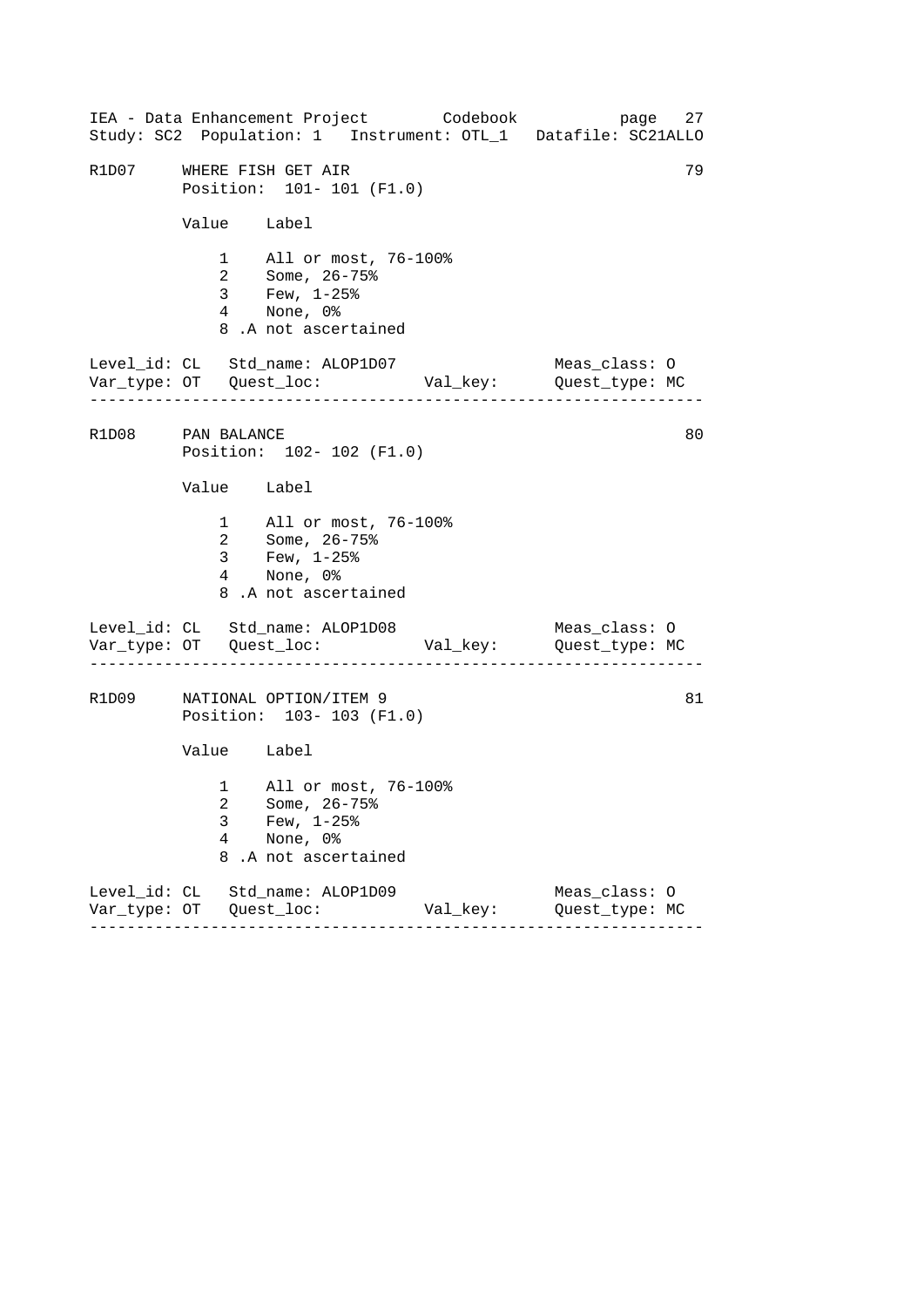------------------------------------------------------------------ ------------------------------------------------------------------ ------------------------------------------------------------------ IEA - Data Enhancement Project Codebook page 27 Study: SC2 Population: 1 Instrument: OTL\_1 Datafile: SC21ALLO R1D07 WHERE FISH GET AIR 79 Position: 101- 101 (F1.0) Value Label 1 All or most, 76-100% 2 Some, 26-75% 3 Few, 1-25% 4 None, 0% 8 .A not ascertained Level\_id: CL Std\_name: ALOP1D07 Meas\_class: O Var\_type: OT Quest\_loc: Val\_key: Quest\_type: MC R1D08 PAN BALANCE 80 Position: 102- 102 (F1.0) Value Label 1 All or most, 76-100% 2 Some, 26-75% 3 Few, 1-25% 4 None, 0% 8 .A not ascertained Level\_id: CL Std\_name: ALOP1D08 Meas\_class: 0 Var\_type: OT Quest\_loc: Val\_key: Quest\_type: MC R1D09 NATIONAL OPTION/ITEM 9 81 Position: 103- 103 (F1.0) Value Label 1 All or most, 76-100% 2 Some, 26-75% 3 Few,  $1-25$ %<br>4 None, 0% None, 0% 8 .A not ascertained Level\_id: CL Std\_name: ALOP1D09 Meas\_class: O Var\_type: OT Quest\_loc: Val\_key: Quest\_type: MC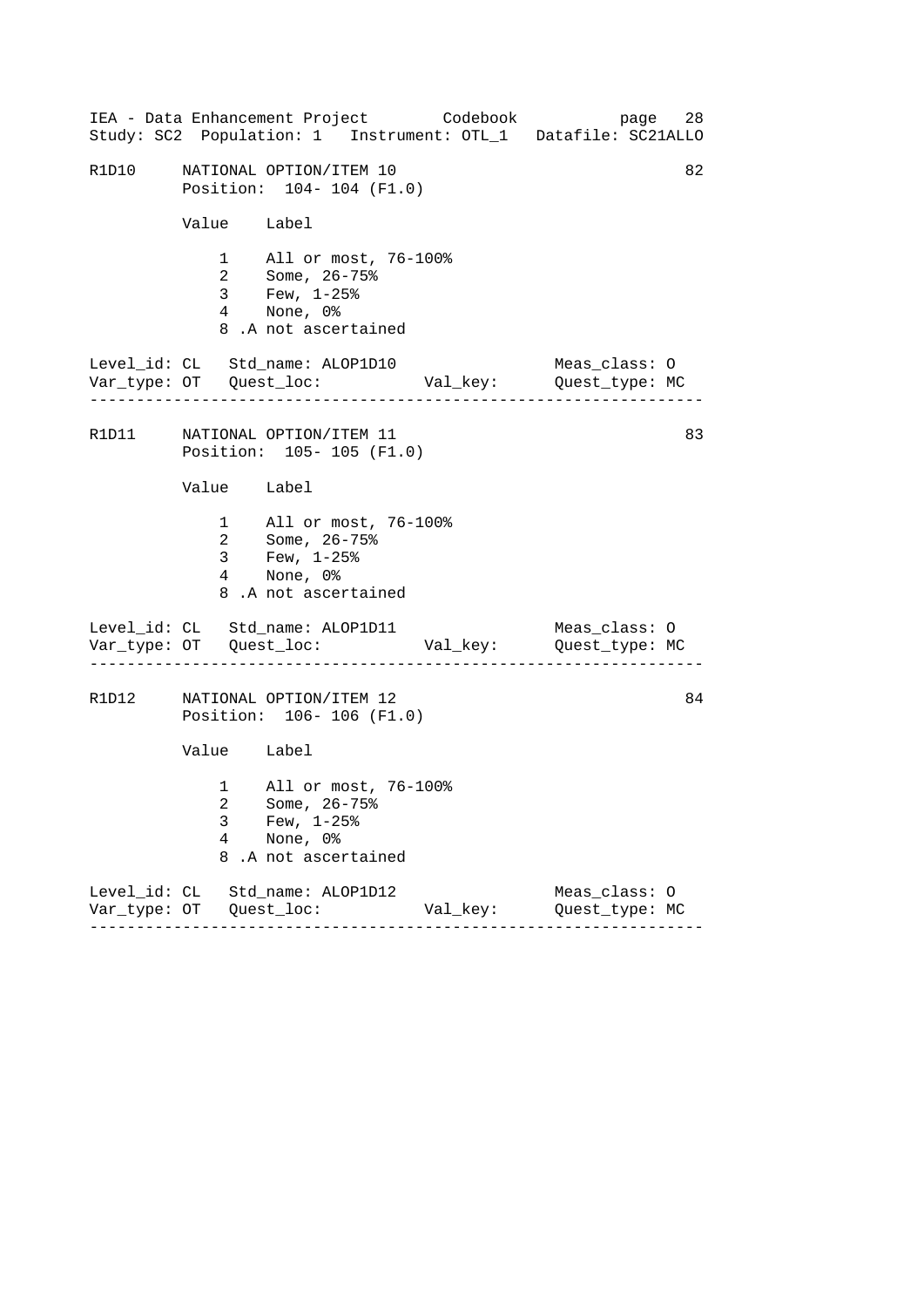|       |             | IEA - Data Enhancement Project Codebook                                                            |          | 28<br>page<br>Study: SC2 Population: 1 Instrument: OTL_1 Datafile: SC21ALLO |
|-------|-------------|----------------------------------------------------------------------------------------------------|----------|-----------------------------------------------------------------------------|
| R1D10 |             | NATIONAL OPTION/ITEM 10<br>Position: 104- 104 (F1.0)                                               |          | 82                                                                          |
|       | Value Label |                                                                                                    |          |                                                                             |
|       |             | 1 All or most, 76-100%<br>2 Some, 26-75%<br>3 Few, 1-25%<br>4 None, 0%<br>8.A not ascertained      |          |                                                                             |
|       |             | Level_id: CL Std_name: ALOP1D10                                                                    |          | Meas_class: O                                                               |
|       |             | R1D11 NATIONAL OPTION/ITEM 11<br>Position: 105- 105 (F1.0)                                         |          | 83                                                                          |
|       | Value Label |                                                                                                    |          |                                                                             |
|       |             | 1 All or most, 76-100%<br>2 Some, 26-75%<br>3 Few, $1-25$ $%$<br>4 None, 0%<br>8.A not ascertained |          |                                                                             |
|       |             | Level_id: CL Std_name: ALOP1D11                                                                    |          | Meas_class: O                                                               |
| R1D12 |             | NATIONAL OPTION/ITEM 12<br>Position: 106-106 (F1.0)                                                |          | 84                                                                          |
|       | Value Label |                                                                                                    |          |                                                                             |
|       | 3<br>4<br>8 | 1 All or most, 76-100%<br>2 Some, 26-75%<br>Few, $1-25$ $%$<br>None, 0%<br>.A not ascertained      |          |                                                                             |
|       |             | Level_id: CL Std_name: ALOP1D12                                                                    | Val_key: | Meas_class: 0<br>Quest_type: MC                                             |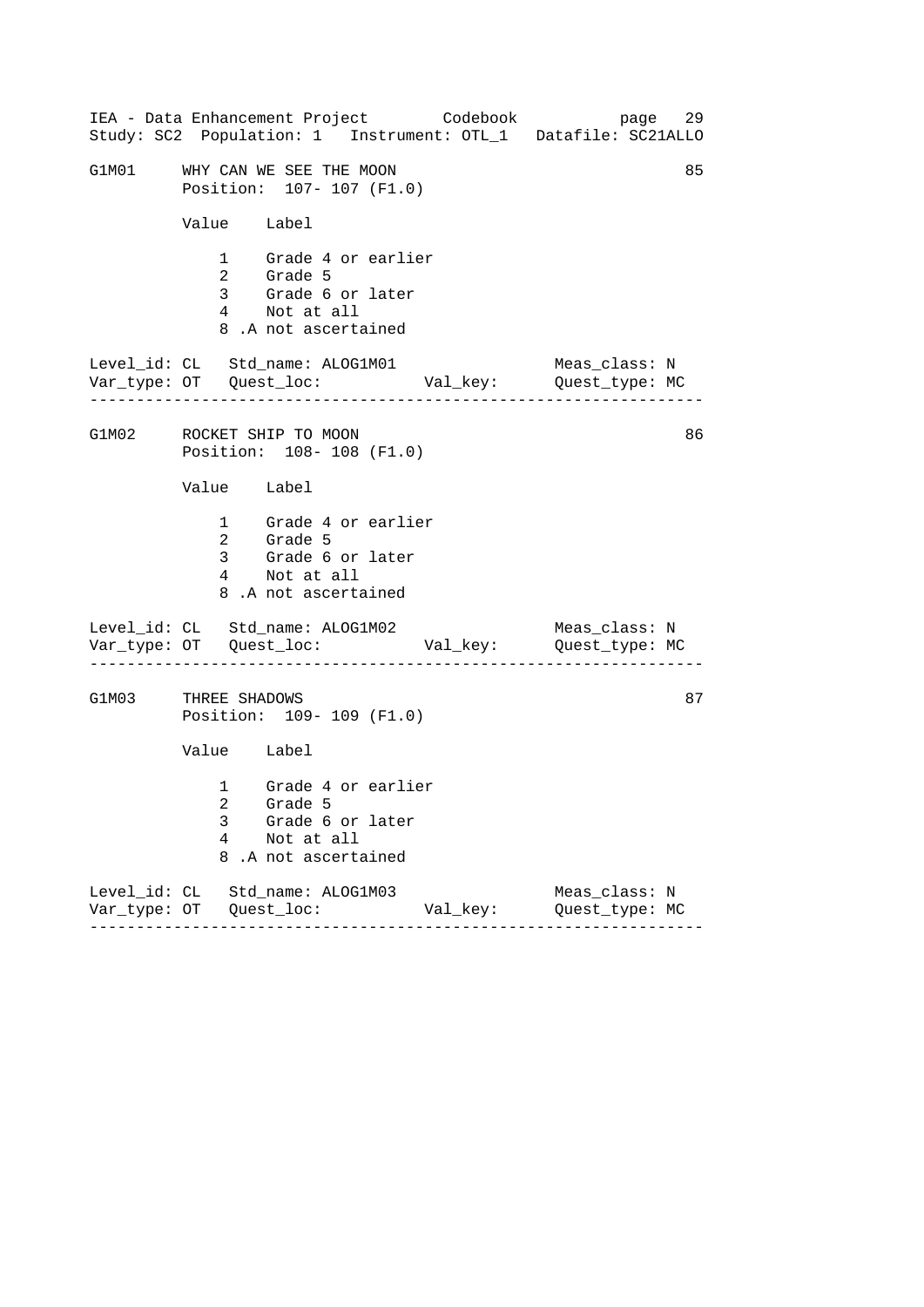| IEA - Data Enhancement Project Codebook<br>Study: SC2 Population: 1 Instrument: OTL_1 Datafile: SC21ALLO | 29<br>page                      |
|----------------------------------------------------------------------------------------------------------|---------------------------------|
| G1M01 WHY CAN WE SEE THE MOON<br>Position: 107- 107 (F1.0)                                               | 85                              |
| Value Label                                                                                              |                                 |
| 1 Grade 4 or earlier<br>2 Grade 5<br>3 Grade 6 or later<br>4 Not at all<br>8.A not ascertained           |                                 |
| Level_id: CL Std_name: ALOG1M01                                                                          | Meas_class: N                   |
| G1M02 ROCKET SHIP TO MOON<br>Position: 108-108 (F1.0)                                                    | 86                              |
| Value Label                                                                                              |                                 |
| 1 Grade 4 or earlier<br>2 Grade 5<br>3 Grade 6 or later<br>4 Not at all<br>8.A not ascertained           |                                 |
| Level_id: CL Std_name: ALOG1M02                                                                          | Meas_class: N                   |
| G1M03 THREE SHADOWS<br>Position: 109- 109 (F1.0)                                                         | 87                              |
| Value Label                                                                                              |                                 |
| 1 Grade 4 or earlier<br>2 Grade 5<br>3<br>Grade 6 or later<br>4<br>Not at all<br>8<br>.A not ascertained |                                 |
| Level_id: CL Std_name: ALOG1M03<br>Val_key:                                                              | Meas_class: N<br>Quest_type: MC |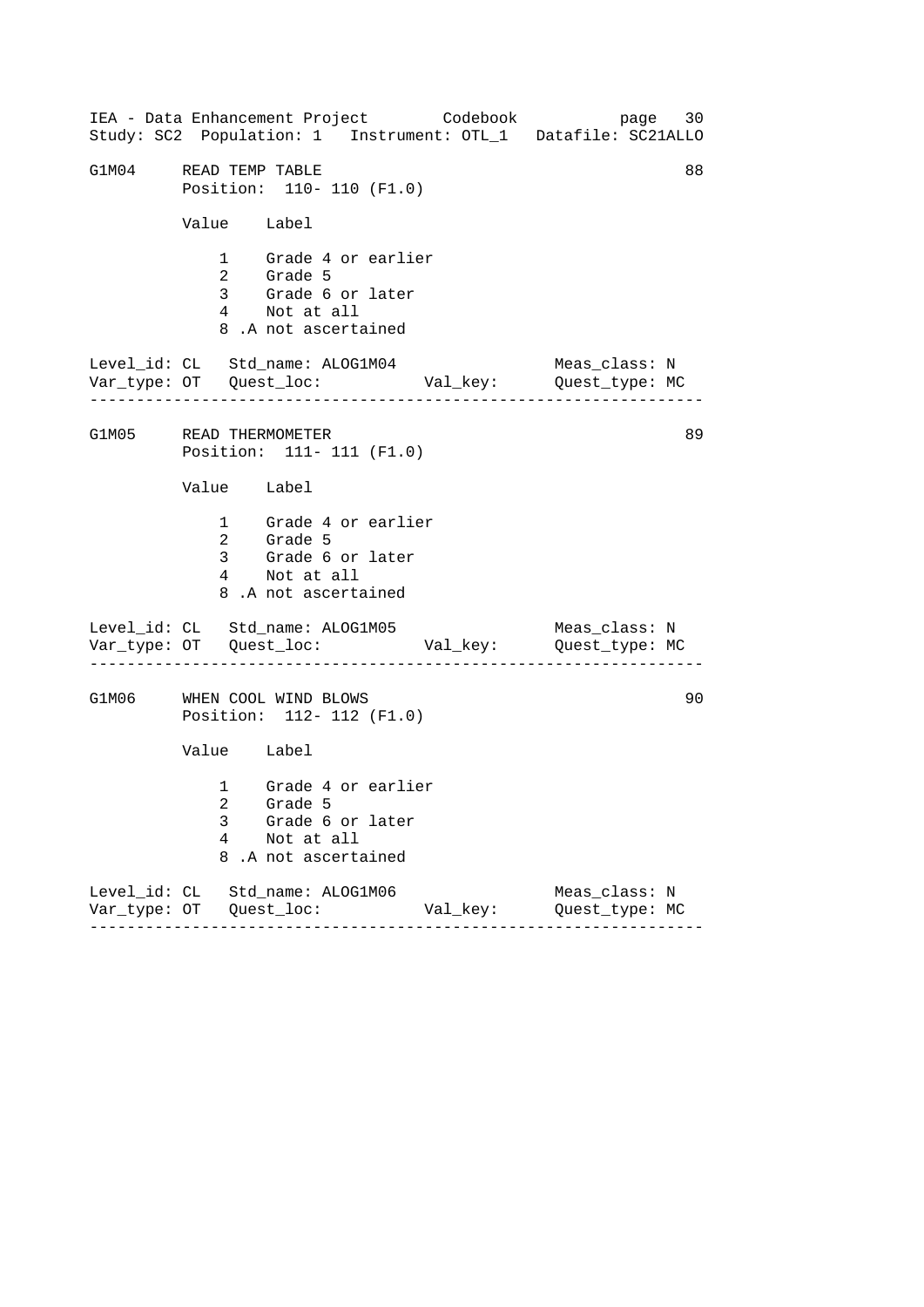------------------------------------------------------------------ ------------------------------------------------------------------ ------------------------------------------------------------------ IEA - Data Enhancement Project Codebook page 30 Study: SC2 Population: 1 Instrument: OTL\_1 Datafile: SC21ALLO G1M04 READ TEMP TABLE 88 Position: 110- 110 (F1.0) Value Label 1 Grade 4 or earlier 2 Grade 5 3 Grade 6 or later 4 Not at all 8 .A not ascertained Level\_id: CL Std\_name: ALOG1M04 Meas\_class: N Var\_type: OT Quest\_loc: Val\_key: Quest\_type: MC G1M05 READ THERMOMETER Position: 111- 111 (F1.0) Value Label 1 Grade 4 or earlier 2 Grade 5 3 Grade 6 or later 4 Not at all 8 .A not ascertained Level\_id: CL Std\_name: ALOG1M05 Var\_type: OT Quest\_loc: Val\_key: Quest\_type: MC Meas\_class: N G1M06 WHEN COOL WIND BLOWS Position: 112- 112 (F1.0) Value Label 1 Grade 4 or earlier 2 Grade 5 3 Grade 6 or later 4 Not at all 8 .A not ascertained Level\_id: CL Std\_name: ALOG1M06 Meas\_class: N Var\_type: OT Quest\_loc: Val\_key: Quest\_type: MC 89 90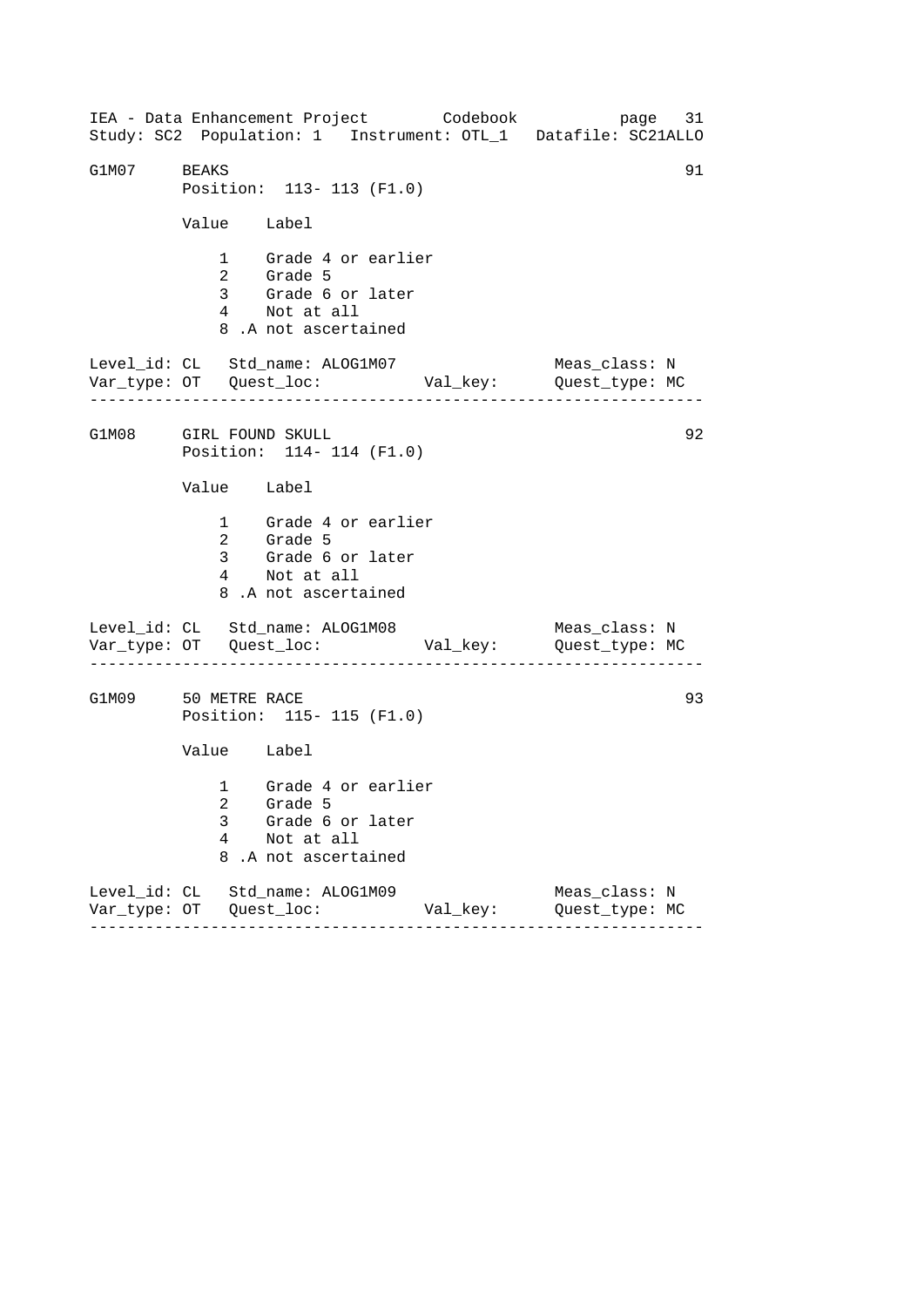------------------------------------------------------------------ ------------------------------------------------------------------ ------------------------------------------------------------------ IEA - Data Enhancement Project Codebook page 31 Study: SC2 Population: 1 Instrument: OTL\_1 Datafile: SC21ALLO G1M07 BEAKS 91 Position: 113- 113 (F1.0) Value Label 1 Grade 4 or earlier 2 Grade 5 3 Grade 6 or later 4 Not at all 8 .A not ascertained Level\_id: CL Std\_name: ALOG1M07 Meas\_class: N Var\_type: OT Quest\_loc: Val\_key: Quest\_type: MC G1M08 GIRL FOUND SKULL Position: 114- 114 (F1.0) Value Label 1 Grade 4 or earlier 2 Grade 5 3 Grade 6 or later 4 Not at all 8 .A not ascertained Level\_id: CL Std\_name: ALOG1M08 Var\_type: OT Quest\_loc: Val\_key: Quest\_type: MC Meas\_class: N G1M09 50 METRE RACE Position: 115- 115 (F1.0) Value Label 1 Grade 4 or earlier 2 Grade 5 3 Grade 6 or later 4 Not at all 8 .A not ascertained Level\_id: CL Std\_name: ALOG1M09 Meas\_class: N Var\_type: OT Quest\_loc: Val\_key: Quest\_type: MC 92 93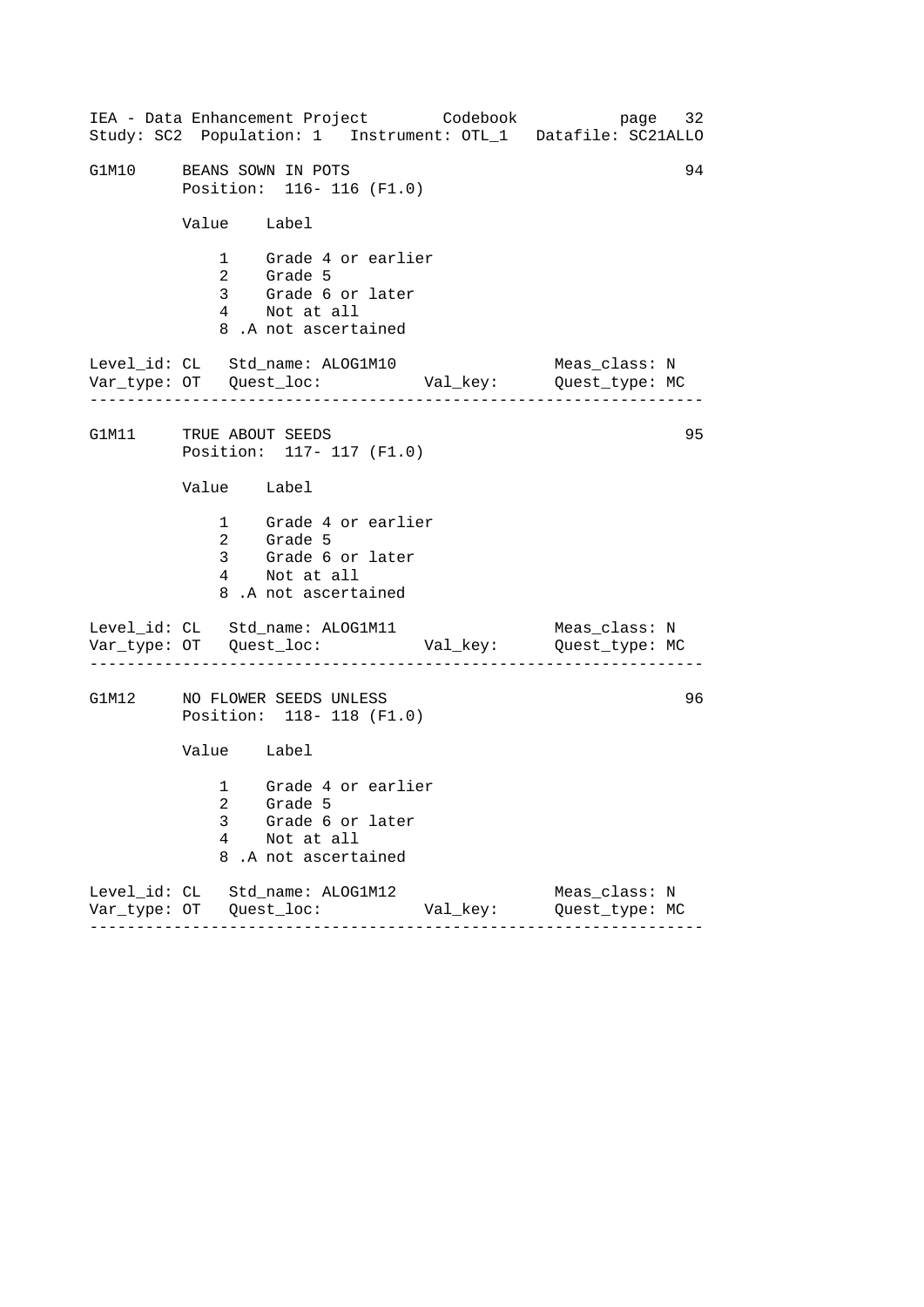| IEA - Data Enhancement Project Codebook<br>Study: SC2 Population: 1 Instrument: OTL_1 Datafile: SC21ALLO | page 32                         |
|----------------------------------------------------------------------------------------------------------|---------------------------------|
| G1M10 BEANS SOWN IN POTS<br>Position: 116- 116 (F1.0)                                                    | 94                              |
| Value Label                                                                                              |                                 |
| 1 Grade 4 or earlier<br>2 Grade 5<br>3 Grade 6 or later<br>4 Not at all<br>8.A not ascertained           |                                 |
| Level_id: CL Std_name: ALOG1M10                                                                          | Meas_class: N                   |
| G1M11 TRUE ABOUT SEEDS<br>Position: 117- 117 (F1.0)                                                      | 95                              |
| Value Label                                                                                              |                                 |
| 1 Grade 4 or earlier<br>2 Grade 5<br>3 Grade 6 or later<br>4 Not at all<br>8.A not ascertained           |                                 |
| Level_id: CL Std_name: ALOG1M11                                                                          | Meas_class: N                   |
| G1M12 NO FLOWER SEEDS UNLESS<br>Position: 118- 118 (F1.0)                                                | 96                              |
| Value Label                                                                                              |                                 |
| 1 Grade 4 or earlier<br>2 Grade 5<br>3<br>Grade 6 or later<br>4<br>Not at all<br>8<br>.A not ascertained |                                 |
| Level_id: CL Std_name: ALOG1M12<br>Val_key:<br>-------                                                   | Meas_class: N<br>Quest_type: MC |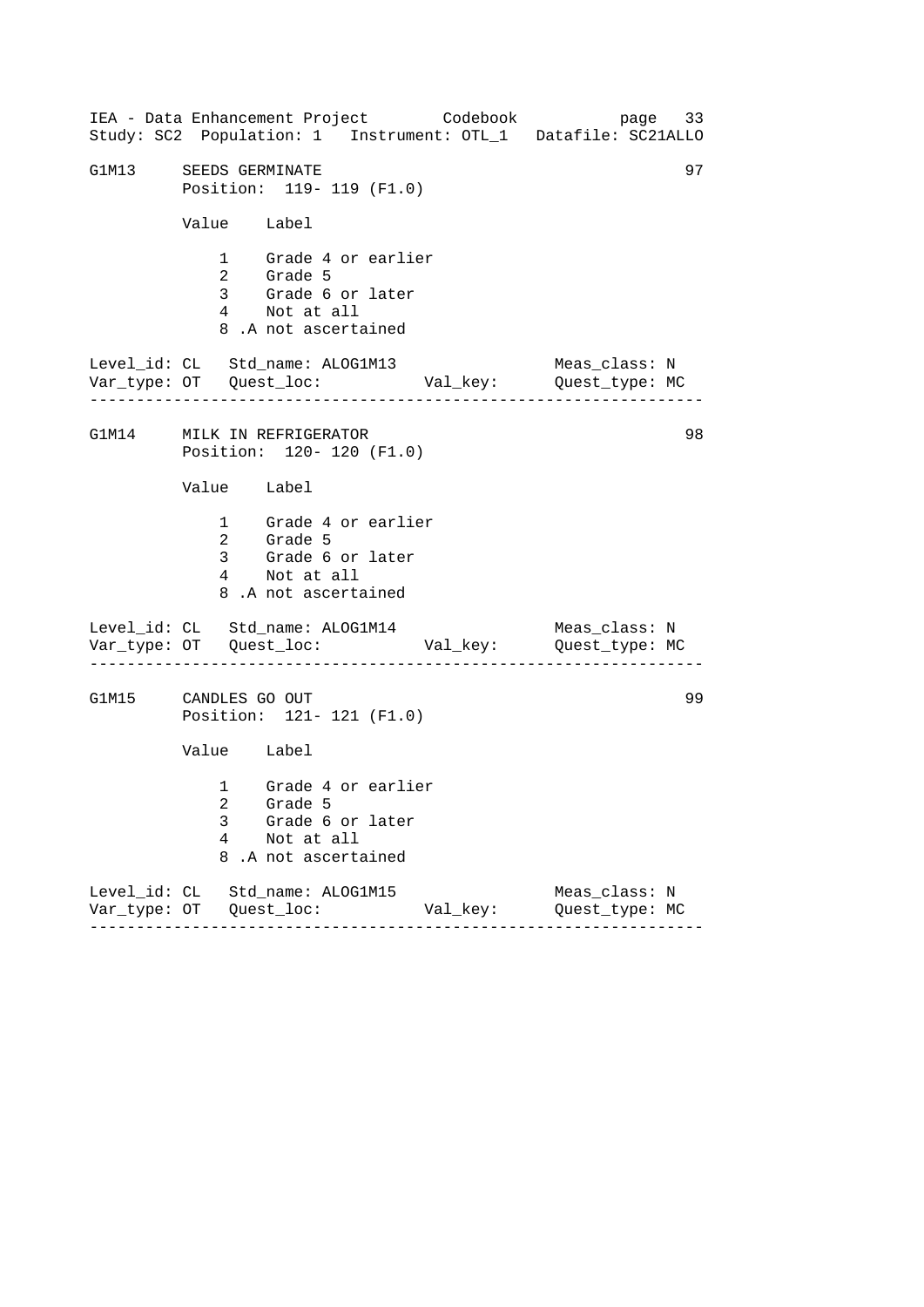------------------------------------------------------------------ ------------------------------------------------------------------ ------------------------------------------------------------------ IEA - Data Enhancement Project Codebook page 33 Study: SC2 Population: 1 Instrument: OTL\_1 Datafile: SC21ALLO G1M13 SEEDS GERMINATE 97 Position: 119- 119 (F1.0) Value Label 1 Grade 4 or earlier 2 Grade 5 3 Grade 6 or later 4 Not at all 8 .A not ascertained Level\_id: CL Std\_name: ALOG1M13 Meas\_class: N Var\_type: OT Quest\_loc: Val\_key: Quest\_type: MC G1M14 MILK IN REFRIGERATOR Position: 120- 120 (F1.0) Value Label 1 Grade 4 or earlier 2 Grade 5 3 Grade 6 or later 4 Not at all 8 .A not ascertained Level\_id: CL Std\_name: ALOG1M14 Var\_type: OT Quest\_loc: Val\_key: Quest\_type: MC Meas\_class: N G1M15 CANDLES GO OUT Position: 121- 121 (F1.0) Value Label 1 Grade 4 or earlier 2 Grade 5 3 Grade 6 or later 4 Not at all 8 .A not ascertained Level\_id: CL Std\_name: ALOG1M15 Meas\_class: N Var\_type: OT Quest\_loc: Val\_key: Quest\_type: MC 98 99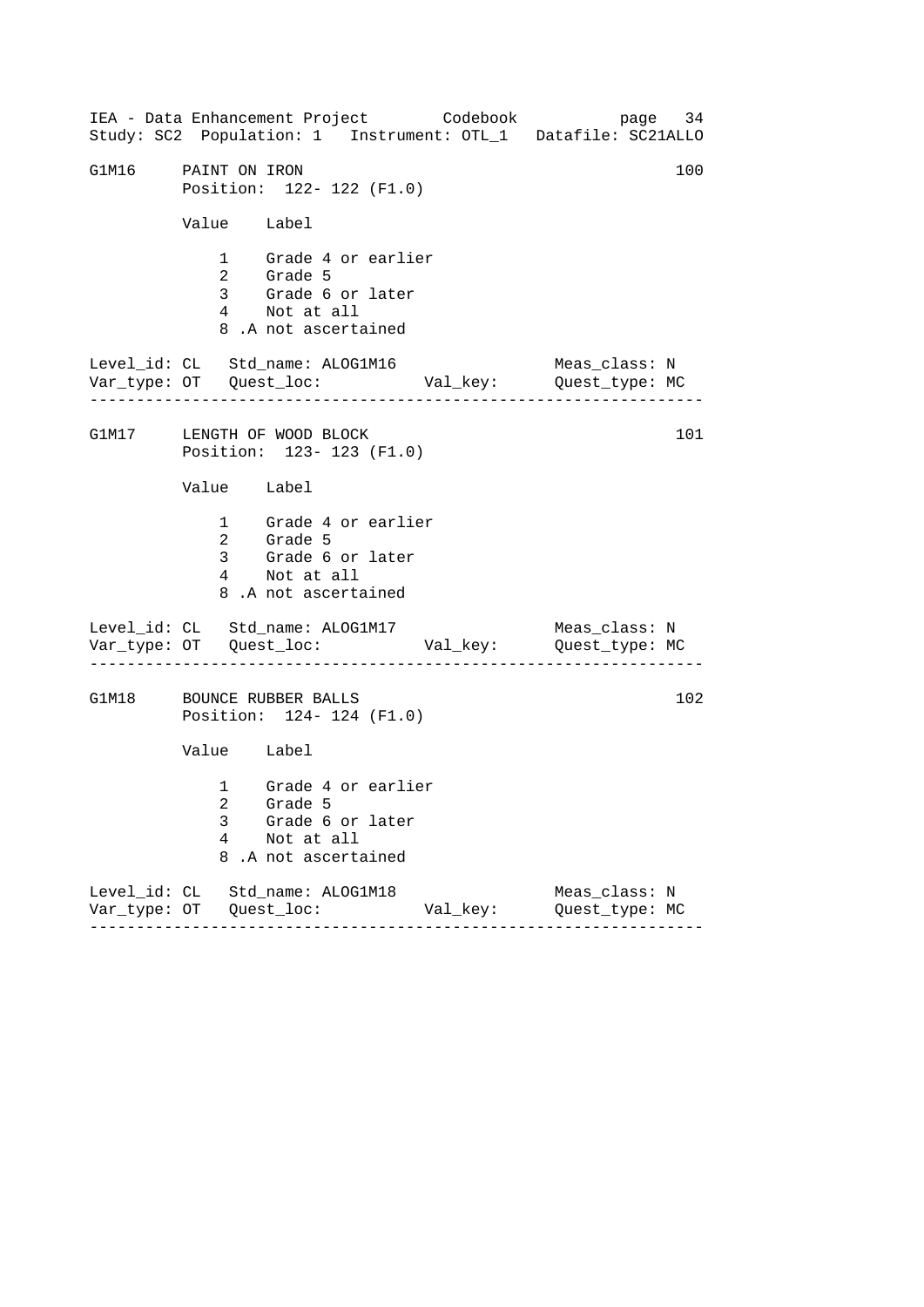|                                 |             |                           |                                                                                                | IEA - Data Enhancement Project Codebook | Study: SC2 Population: 1 Instrument: OTL_1 Datafile: SC21ALLO             | page 34 |
|---------------------------------|-------------|---------------------------|------------------------------------------------------------------------------------------------|-----------------------------------------|---------------------------------------------------------------------------|---------|
| G1M16 PAINT ON IRON             |             |                           | Position: 122- 122 (F1.0)                                                                      |                                         |                                                                           | 100     |
|                                 | Value Label |                           |                                                                                                |                                         |                                                                           |         |
|                                 |             |                           | 1 Grade 4 or earlier<br>2 Grade 5<br>3 Grade 6 or later<br>4 Not at all<br>8.A not ascertained |                                         |                                                                           |         |
|                                 |             |                           | Level_id: CL Std_name: ALOG1M16                                                                |                                         | Meas_class: N                                                             |         |
| G1M17 LENGTH OF WOOD BLOCK      |             |                           | Position: 123- 123 (F1.0)                                                                      |                                         |                                                                           | 101     |
|                                 | Value Label |                           |                                                                                                |                                         |                                                                           |         |
|                                 |             | 2 Grade 5<br>4 Not at all | 1 Grade 4 or earlier<br>3 Grade 6 or later<br>8.A not ascertained                              |                                         |                                                                           |         |
| Level_id: CL Std_name: ALOG1M17 |             |                           |                                                                                                |                                         | Meas_class: N<br>Var_type: OT    Quest_loc:    Val_key:    Quest_type: MC |         |
| G1M18 BOUNCE RUBBER BALLS       |             |                           | Position: 124- 124 (F1.0)                                                                      |                                         |                                                                           | 102     |
|                                 | Value Label |                           |                                                                                                |                                         |                                                                           |         |
|                                 | 3<br>4      | Not at all                | 1 Grade 4 or earlier<br>2 Grade 5<br>Grade 6 or later<br>8.A not ascertained                   |                                         |                                                                           |         |
| Level_id: CL Std_name: ALOG1M18 |             |                           |                                                                                                | Val_key:                                | Meas_class: N<br>Quest_type: MC                                           |         |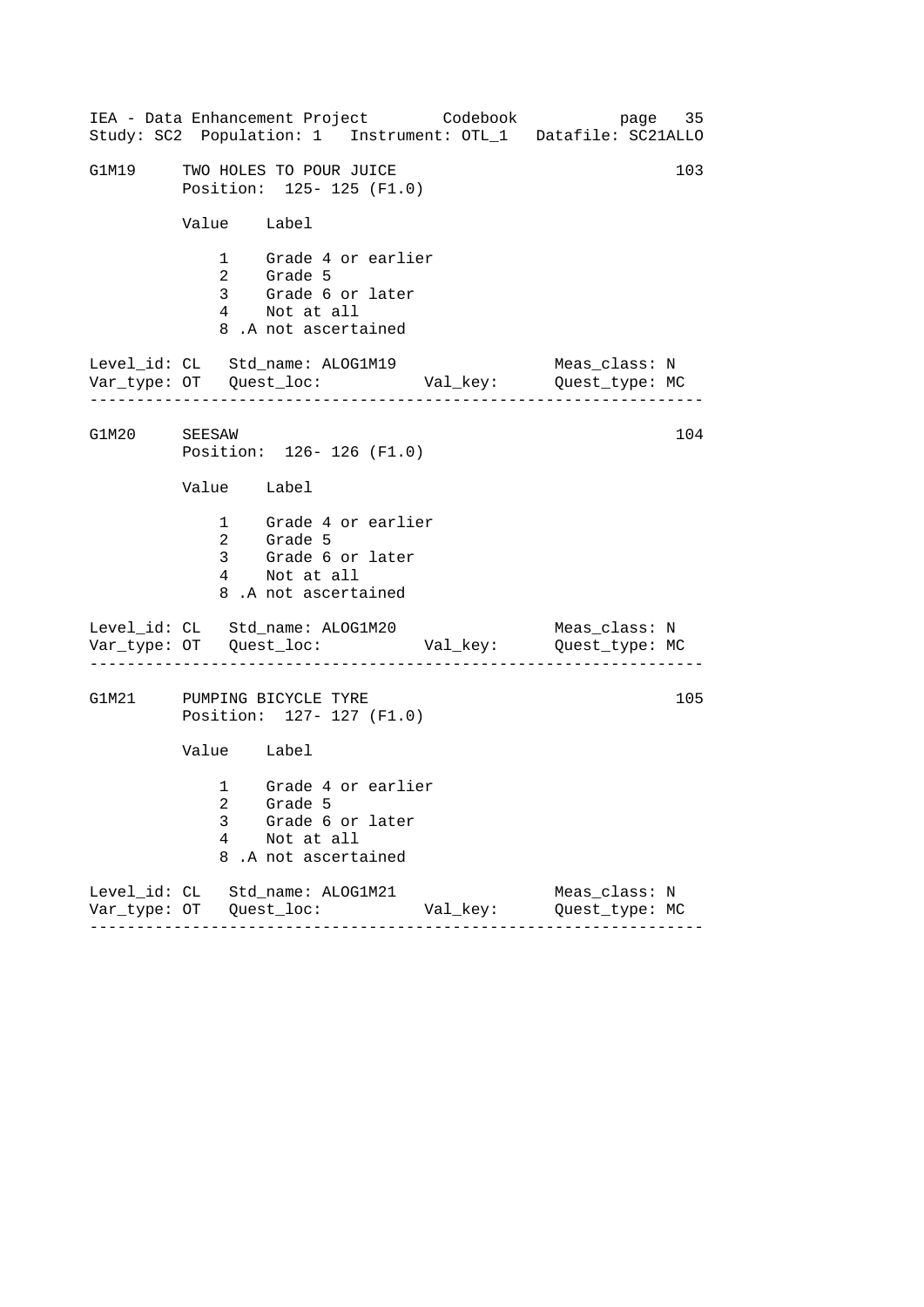|              | IEA - Data Enhancement Project Codebook<br>Study: SC2 Population: 1 Instrument: OTL_1 Datafile: SC21ALLO | page 35                         |
|--------------|----------------------------------------------------------------------------------------------------------|---------------------------------|
| G1M19        | TWO HOLES TO POUR JUICE<br>Position: 125- 125 (F1.0)                                                     | 103                             |
|              | Value Label                                                                                              |                                 |
|              | 1 Grade 4 or earlier<br>2 Grade 5<br>3 Grade 6 or later<br>4 Not at all<br>8.A not ascertained           |                                 |
|              | Level_id: CL Std_name: ALOG1M19                                                                          | Meas_class: N                   |
| G1M20 SEESAW | Position: 126-126 (F1.0)                                                                                 | 104                             |
|              | Value Label                                                                                              |                                 |
|              | 1 Grade 4 or earlier<br>2 Grade 5<br>3 Grade 6 or later<br>4 Not at all<br>8.A not ascertained           |                                 |
|              | Level_id: CL Std_name: ALOG1M20                                                                          | Meas_class: N                   |
|              | G1M21 PUMPING BICYCLE TYRE<br>Position: 127- 127 (F1.0)                                                  | 105                             |
|              | Value Label                                                                                              |                                 |
|              | 1 Grade 4 or earlier<br>2 Grade 5<br>3<br>Grade 6 or later<br>4<br>Not at all<br>8<br>.A not ascertained |                                 |
|              | Level_id: CL Std_name: ALOG1M21<br>Val_key:<br>-------                                                   | Meas_class: N<br>Quest_type: MC |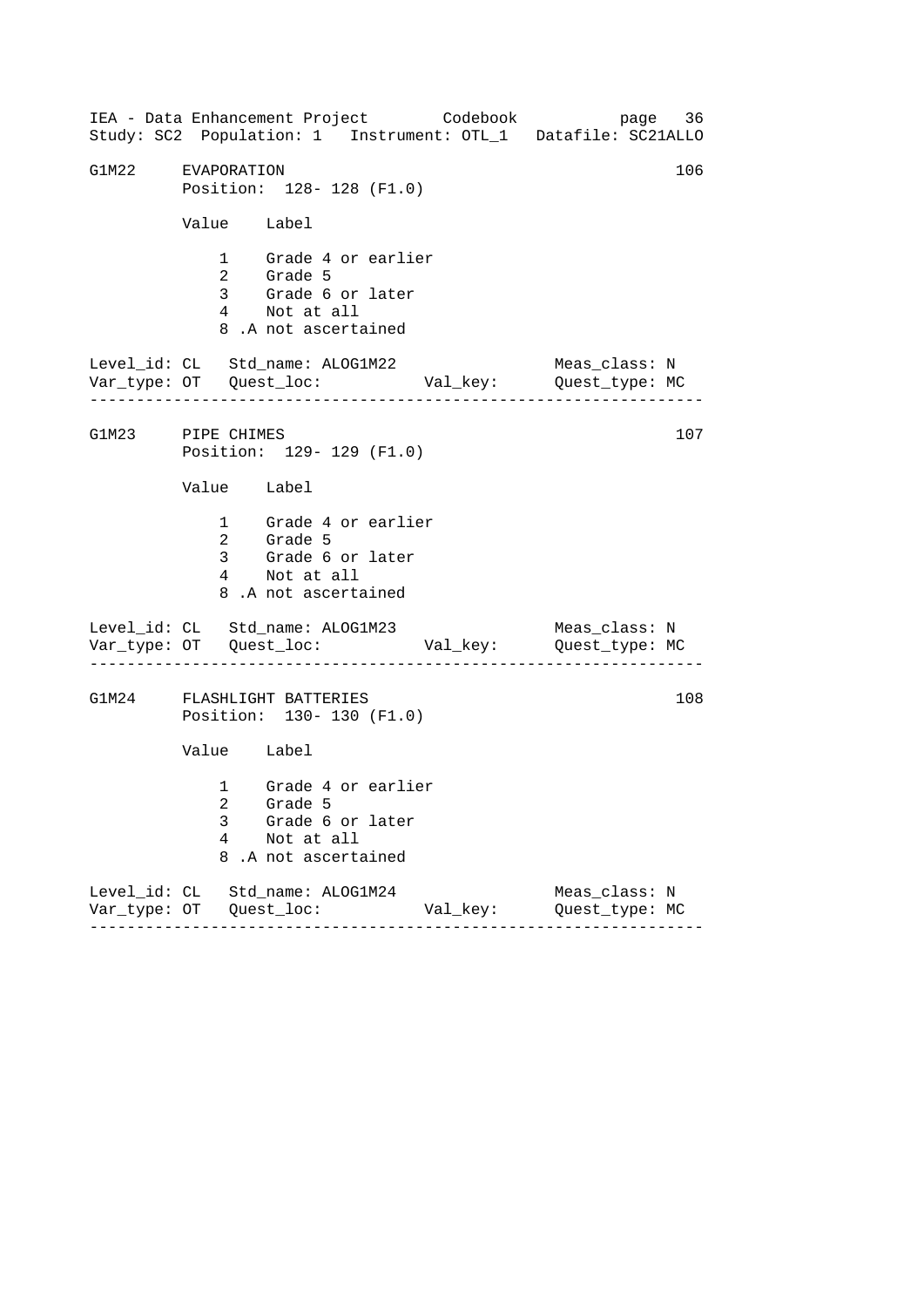| IEA - Data Enhancement Project Codebook<br>Study: SC2 Population: 1 Instrument: OTL_1 Datafile: SC21ALLO | page 36                                  |
|----------------------------------------------------------------------------------------------------------|------------------------------------------|
| G1M22 EVAPORATION<br>Position: 128- 128 (F1.0)                                                           | 106                                      |
| Value Label                                                                                              |                                          |
| 1 Grade 4 or earlier<br>2 Grade 5<br>3 Grade 6 or later<br>4 Not at all<br>8.A not ascertained           |                                          |
| Level_id: CL Std_name: ALOG1M22                                                                          | Meas_class: N                            |
| G1M23 PIPE CHIMES<br>Position: 129- 129 (F1.0)                                                           | 107                                      |
| Value Label                                                                                              |                                          |
| 1 Grade 4 or earlier<br>2 Grade 5<br>3 Grade 6 or later<br>4 Not at all<br>8.A not ascertained           |                                          |
| Level_id: CL Std_name: ALOG1M23<br>Var_type: OT    Quest_loc:    Val_key:    Quest_type: MC              | Meas_class: N<br>----------------------- |
| G1M24 FLASHLIGHT BATTERIES<br>Position: 130- 130 (F1.0)                                                  | 108                                      |
| Value Label                                                                                              |                                          |
| 1 Grade 4 or earlier<br>2 Grade 5<br>3<br>Grade 6 or later<br>4<br>Not at all<br>8<br>.A not ascertained |                                          |
| Level_id: CL Std_name: ALOG1M24<br>Val_key:<br>$- - - - - - -$<br>- - - - - - - - - - -                  | Meas_class: N<br>Quest_type: MC          |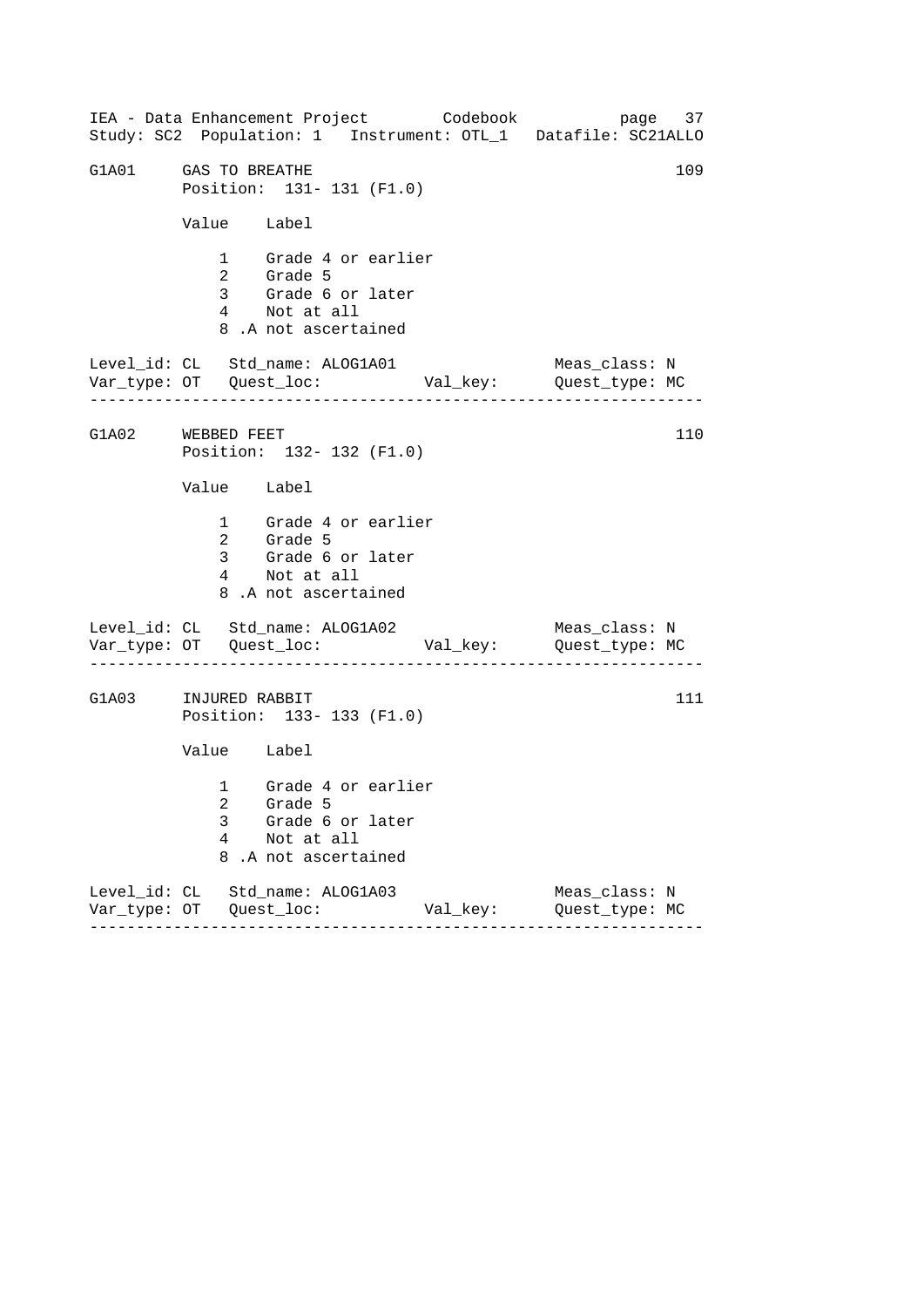------------------------------------------------------------------ ------------------------------------------------------------------ ------------------------------------------------------------------ IEA - Data Enhancement Project Codebook page 37 Study: SC2 Population: 1 Instrument: OTL\_1 Datafile: SC21ALLO G1A01 GAS TO BREATHE 109 Position: 131- 131 (F1.0) Value Label 1 Grade 4 or earlier 2 Grade 5 3 Grade 6 or later 4 Not at all 8 .A not ascertained Level\_id: CL Std\_name: ALOG1A01 Meas\_class: N Var\_type: OT Quest\_loc: Val\_key: Quest\_type: MC G1A02 WEBBED FEET Position: 132- 132 (F1.0) Value Label 1 Grade 4 or earlier 2 Grade 5 3 Grade 6 or later 4 Not at all 8 .A not ascertained Level\_id: CL Std\_name: ALOG1A02 Var\_type: OT Quest\_loc: Val\_key: Quest\_type: MC Meas\_class: N G1A03 INJURED RABBIT Position: 133- 133 (F1.0) Value Label 1 Grade 4 or earlier 2 Grade 5 3 Grade 6 or later 4 Not at all 8 .A not ascertained Level\_id: CL Std\_name: ALOG1A03 Meas\_class: N Var\_type: OT Quest\_loc: Val\_key: Quest\_type: MC 110 111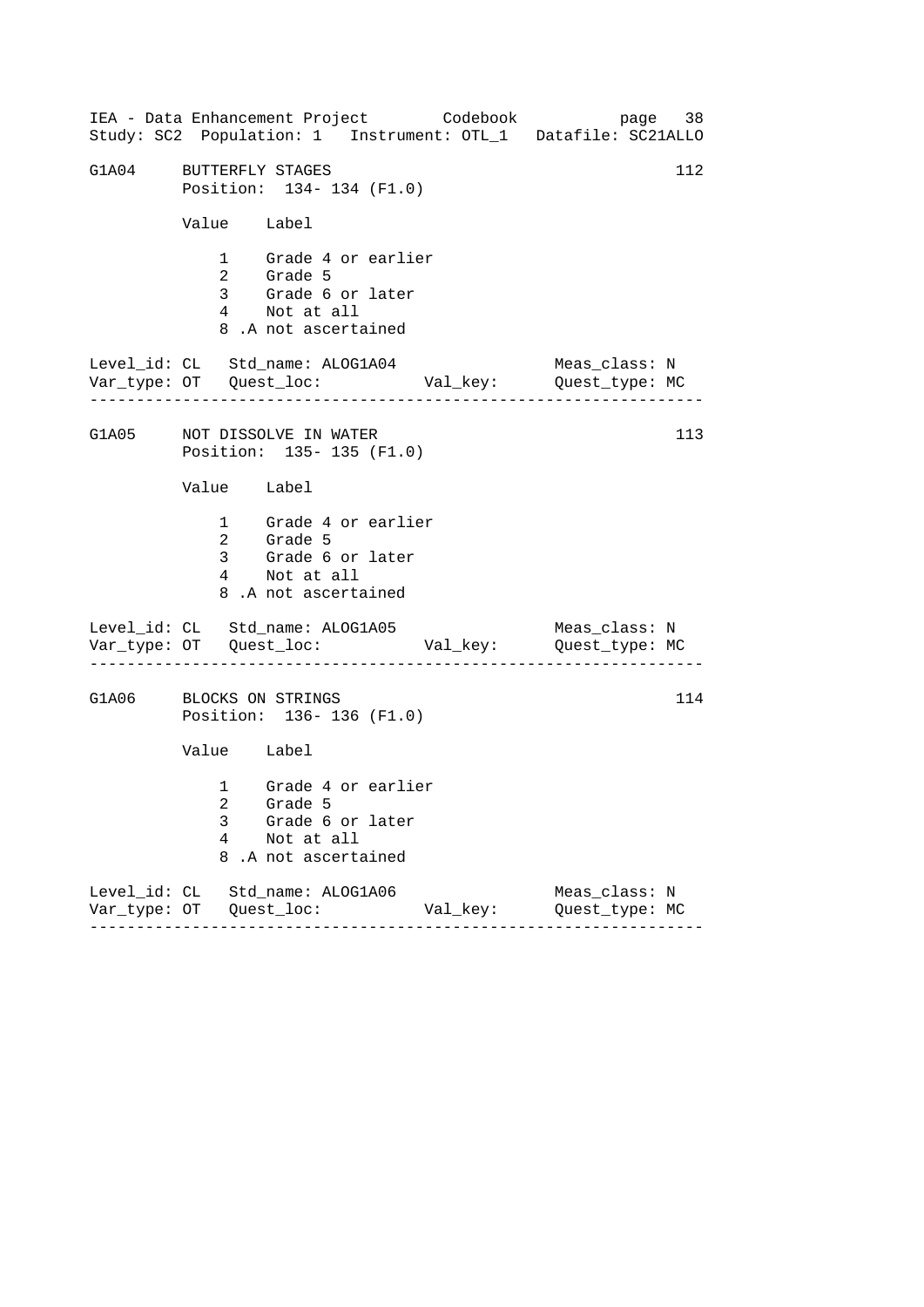| IEA - Data Enhancement Project Codebook<br>Study: SC2 Population: 1 Instrument: OTL_1 Datafile: SC21ALLO | page 38                         |
|----------------------------------------------------------------------------------------------------------|---------------------------------|
| G1A04 BUTTERFLY STAGES<br>Position: 134- 134 (F1.0)                                                      | 112                             |
| Value Label                                                                                              |                                 |
| 1 Grade 4 or earlier<br>2 Grade 5<br>3 Grade 6 or later<br>4 Not at all<br>8.A not ascertained           |                                 |
| Level_id: CL Std_name: ALOG1A04                                                                          | Meas_class: N                   |
| G1A05 NOT DISSOLVE IN WATER<br>Position: 135- 135 (F1.0)                                                 | 113                             |
| Value Label                                                                                              |                                 |
| 1 Grade 4 or earlier<br>2 Grade 5<br>3 Grade 6 or later<br>4 Not at all<br>8.A not ascertained           |                                 |
| Level_id: CL Std_name: ALOG1A05                                                                          | Meas_class: N                   |
| G1A06 BLOCKS ON STRINGS<br>Position: 136-136 (F1.0)                                                      | 114                             |
| Value Label                                                                                              |                                 |
| 1 Grade 4 or earlier<br>2 Grade 5<br>3<br>Grade 6 or later<br>4<br>Not at all<br>8<br>.A not ascertained |                                 |
| Level_id: CL Std_name: ALOG1A06<br>Val_key:<br>$- - - - - - - - -$                                       | Meas_class: N<br>Quest_type: MC |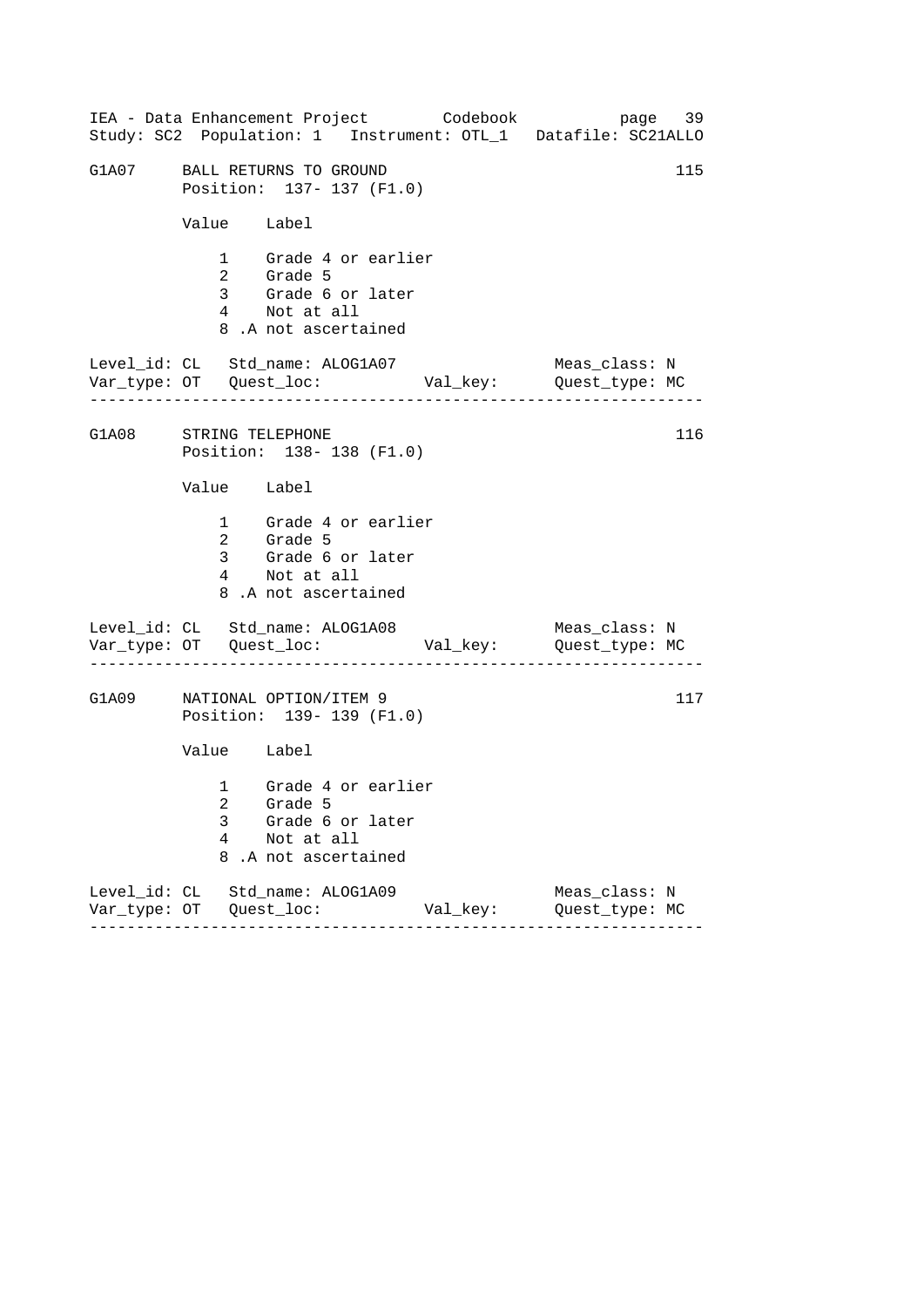|                        |             | IEA - Data Enhancement Project Codebook                                                        |         |          | Study: SC2 Population: 1 Instrument: OTL_1 Datafile: SC21ALLO | page 39 |
|------------------------|-------------|------------------------------------------------------------------------------------------------|---------|----------|---------------------------------------------------------------|---------|
|                        |             | G1A07 BALL RETURNS TO GROUND<br>Position: 137- 137 (F1.0)                                      |         |          |                                                               | 115     |
|                        |             | Value Label                                                                                    |         |          |                                                               |         |
|                        |             | 1 Grade 4 or earlier<br>2 Grade 5<br>3 Grade 6 or later<br>4 Not at all<br>8.A not ascertained |         |          |                                                               |         |
|                        |             | Level_id: CL Std_name: ALOG1A07                                                                |         |          | Meas_class: N                                                 |         |
| G1A08 STRING TELEPHONE |             | Position: 138-138 (F1.0)                                                                       |         |          |                                                               | 116     |
|                        |             | Value Label                                                                                    |         |          |                                                               |         |
|                        |             | 1 Grade 4 or earlier<br>2 Grade 5<br>3 Grade 6 or later<br>4 Not at all<br>8.A not ascertained |         |          |                                                               |         |
|                        |             | Level_id: CL Std_name: ALOG1A08                                                                |         |          | Meas_class: N                                                 |         |
| G1A09                  |             | NATIONAL OPTION/ITEM 9<br>Position: 139- 139 (F1.0)                                            |         |          |                                                               | 117     |
|                        |             | Value Label                                                                                    |         |          |                                                               |         |
|                        | 3<br>4<br>8 | 1 Grade 4 or earlier<br>2 Grade 5<br>Grade 6 or later<br>Not at all<br>.A not ascertained      |         |          |                                                               |         |
|                        |             | Level_id: CL Std_name: ALOG1A09                                                                | ------- | Val_key: | Meas_class: N<br>Quest_type: MC                               |         |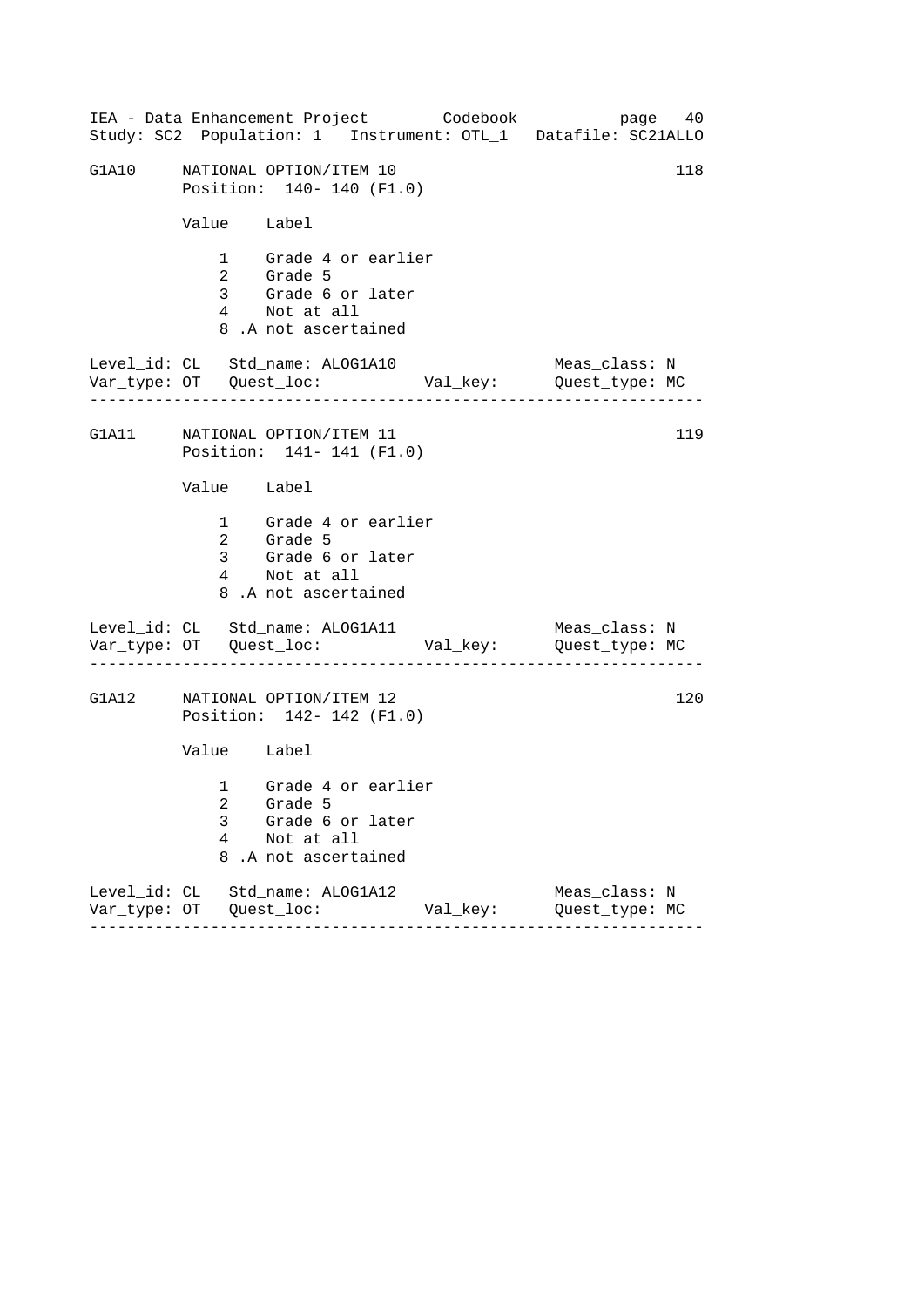|       |             | IEA - Data Enhancement Project Codebook<br>Study: SC2 Population: 1 Instrument: OTL_1 Datafile: SC21ALLO |          | page 40                         |     |
|-------|-------------|----------------------------------------------------------------------------------------------------------|----------|---------------------------------|-----|
| G1A10 |             | NATIONAL OPTION/ITEM 10<br>Position: 140- 140 (F1.0)                                                     |          |                                 | 118 |
|       | Value Label |                                                                                                          |          |                                 |     |
|       |             | 1 Grade 4 or earlier<br>2 Grade 5<br>3 Grade 6 or later<br>4 Not at all<br>8.A not ascertained           |          |                                 |     |
|       |             | Level_id: CL Std_name: ALOG1A10                                                                          |          | Meas_class: N                   |     |
|       |             | G1A11 NATIONAL OPTION/ITEM 11<br>Position: 141- 141 (F1.0)                                               |          |                                 | 119 |
|       | Value Label |                                                                                                          |          |                                 |     |
|       |             | 1 Grade 4 or earlier<br>2 Grade 5<br>3 Grade 6 or later<br>4 Not at all<br>8.A not ascertained           |          |                                 |     |
|       |             | Level_id: CL Std_name: ALOG1A11                                                                          |          | Meas_class: N                   |     |
|       |             | G1A12 NATIONAL OPTION/ITEM 12<br>Position: 142- 142 (F1.0)                                               |          |                                 | 120 |
|       | Value Label |                                                                                                          |          |                                 |     |
|       | 3<br>4<br>8 | 1 Grade 4 or earlier<br>2 Grade 5<br>Grade 6 or later<br>Not at all<br>.A not ascertained                |          |                                 |     |
|       |             | Level_id: CL Std_name: ALOG1A12                                                                          | Val_key: | Meas_class: N<br>Quest_type: MC |     |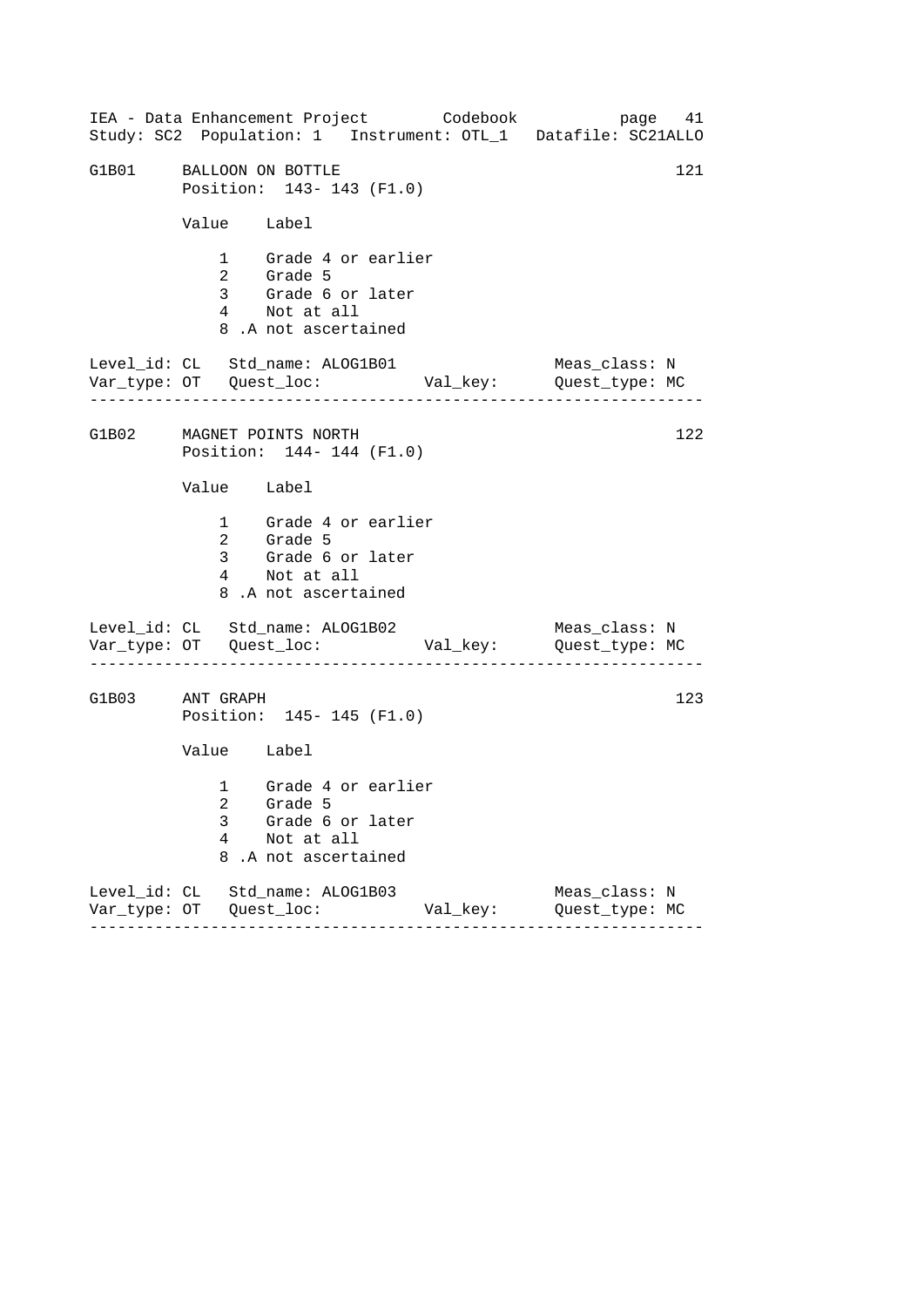------------------------------------------------------------------ ------------------------------------------------------------------ ------------------------------------------------------------------ IEA - Data Enhancement Project Codebook page 41 Study: SC2 Population: 1 Instrument: OTL\_1 Datafile: SC21ALLO G1B01 BALLOON ON BOTTLE 121 Position: 143- 143 (F1.0) Value Label 1 Grade 4 or earlier 2 Grade 5 3 Grade 6 or later 4 Not at all 8 .A not ascertained Level\_id: CL Std\_name: ALOG1B01 Meas\_class: N Var\_type: OT Quest\_loc: Val\_key: Quest\_type: MC G1B02 MAGNET POINTS NORTH Position: 144- 144 (F1.0) Value Label 1 Grade 4 or earlier 2 Grade 5 3 Grade 6 or later 4 Not at all 8 .A not ascertained Level\_id: CL Std\_name: ALOG1B02 Var\_type: OT Quest\_loc: Val\_key: Quest\_type: MC Meas\_class: N G1B03 ANT GRAPH Position: 145- 145 (F1.0) Value Label 1 Grade 4 or earlier 2 Grade 5 3 Grade 6 or later 4 Not at all 8 .A not ascertained Level\_id: CL Std\_name: ALOG1B03 Meas\_class: N Var\_type: OT Quest\_loc: Val\_key: Quest\_type: MC 122 123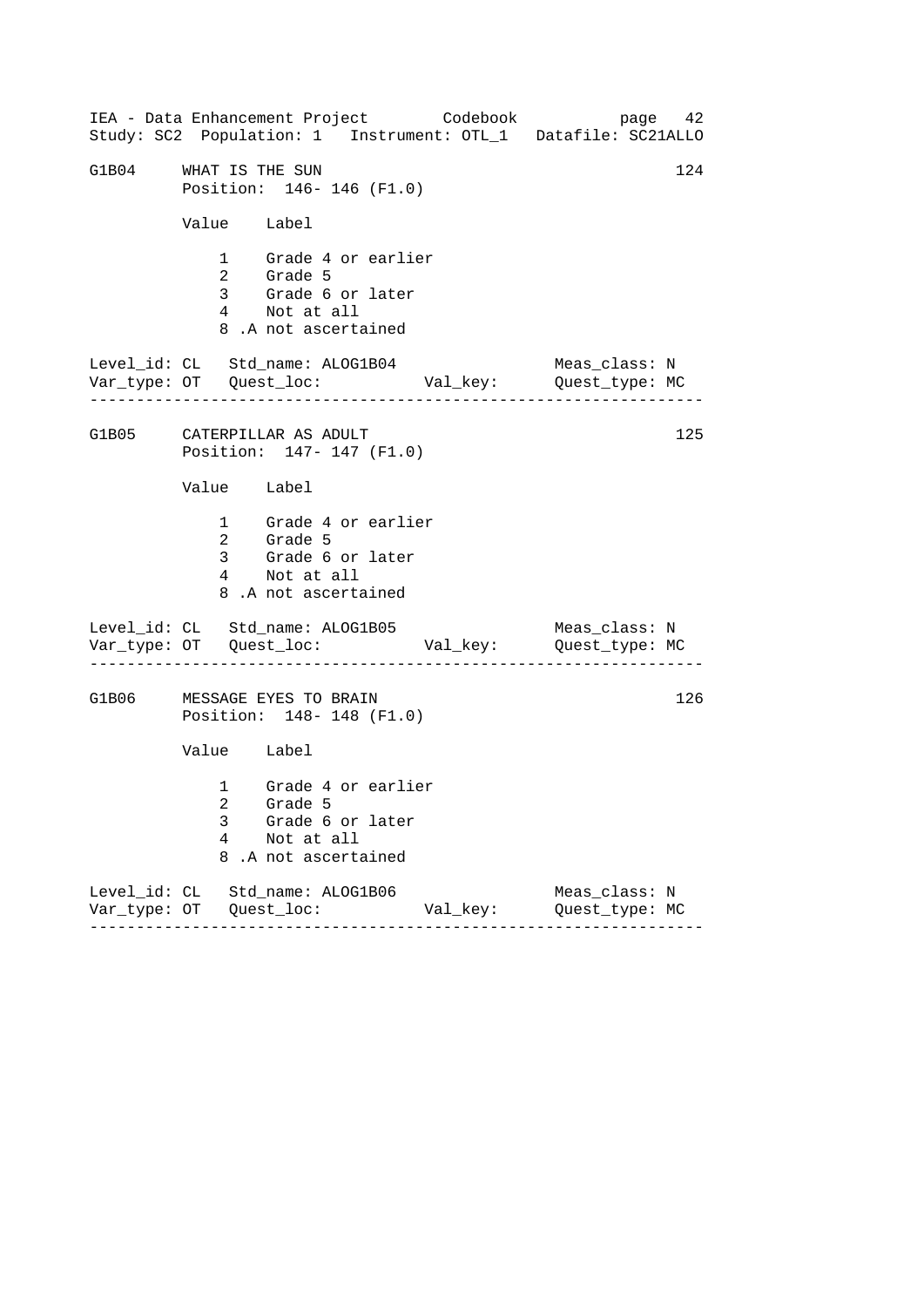| IEA - Data Enhancement Project Codebook<br>Study: SC2 Population: 1 Instrument: OTL_1 Datafile: SC21ALLO |               | page 42                         |
|----------------------------------------------------------------------------------------------------------|---------------|---------------------------------|
| G1B04 WHAT IS THE SUN<br>Position: 146-146 (F1.0)                                                        |               | 124                             |
| Value Label                                                                                              |               |                                 |
| 1 Grade 4 or earlier<br>2 Grade 5<br>3 Grade 6 or later<br>4 Not at all<br>8.A not ascertained           |               |                                 |
| Level_id: CL Std_name: ALOG1B04                                                                          |               | Meas_class: N                   |
| G1B05 CATERPILLAR AS ADULT<br>Position: 147- 147 (F1.0)                                                  |               | 125                             |
| Value Label                                                                                              |               |                                 |
| 1 Grade 4 or earlier<br>2 Grade 5<br>3 Grade 6 or later<br>4 Not at all<br>8.A not ascertained           |               |                                 |
| Level_id: CL Std_name: ALOG1B05<br>Var_type: OT    Quest_loc:    Val_key:    Quest_type: MC              |               | Meas_class: N                   |
| G1B06 MESSAGE EYES TO BRAIN<br>Position: 148-148 (F1.0)                                                  |               | 126                             |
| Value Label                                                                                              |               |                                 |
| 1 Grade 4 or earlier<br>2 Grade 5<br>Grade 6 or later<br>3<br>4<br>Not at all<br>8<br>.A not ascertained |               |                                 |
| Level_id: CL Std_name: ALOG1B06<br>$- - - - - -$<br>.                                                    | Val_key:<br>. | Meas_class: N<br>Quest_type: MC |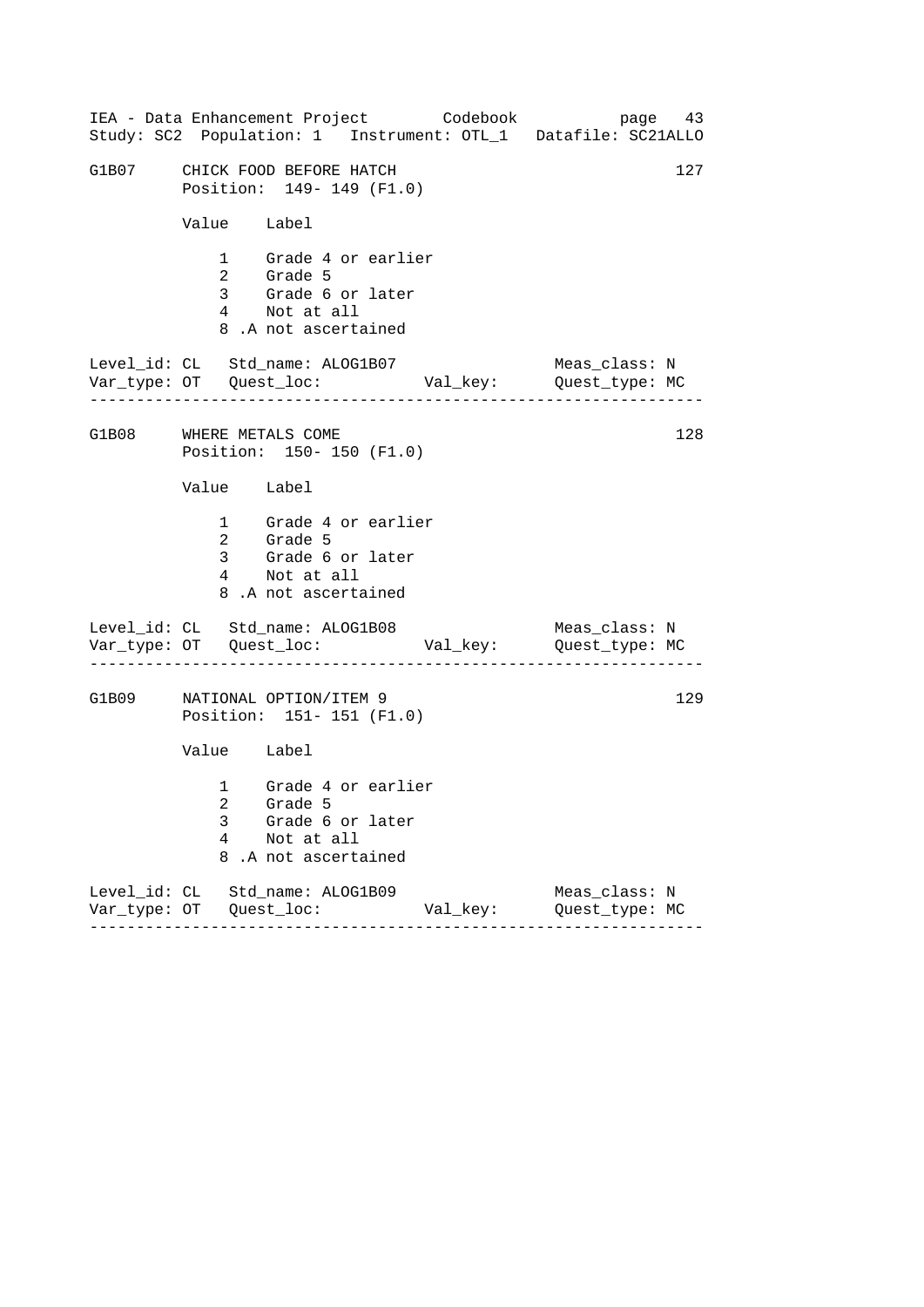| IEA - Data Enhancement Project Codebook<br>Study: SC2 Population: 1 Instrument: OTL_1 Datafile: SC21ALLO |          | page 43                         |
|----------------------------------------------------------------------------------------------------------|----------|---------------------------------|
| G1B07 CHICK FOOD BEFORE HATCH<br>Position: 149- 149 (F1.0)                                               |          | 127                             |
| Value Label                                                                                              |          |                                 |
| 1 Grade 4 or earlier<br>2 Grade 5<br>3 Grade 6 or later<br>4 Not at all<br>8.A not ascertained           |          |                                 |
| Level_id: CL Std_name: ALOG1B07                                                                          |          | Meas_class: N                   |
| G1B08 WHERE METALS COME<br>Position: 150- 150 (F1.0)                                                     |          | 128                             |
| Value Label                                                                                              |          |                                 |
| 1 Grade 4 or earlier<br>2 Grade 5<br>3 Grade 6 or later<br>4 Not at all<br>8.A not ascertained           |          |                                 |
| Level_id: CL Std_name: ALOG1B08                                                                          |          | Meas_class: N                   |
| G1B09 NATIONAL OPTION/ITEM 9<br>Position: 151- 151 (F1.0)                                                |          | 129                             |
| Value Label                                                                                              |          |                                 |
| 1 Grade 4 or earlier<br>2 Grade 5<br>3<br>Grade 6 or later<br>4<br>Not at all<br>8<br>.A not ascertained |          |                                 |
| Level_id: CL Std_name: ALOG1B09                                                                          | Val_key: | Meas_class: N<br>Quest_type: MC |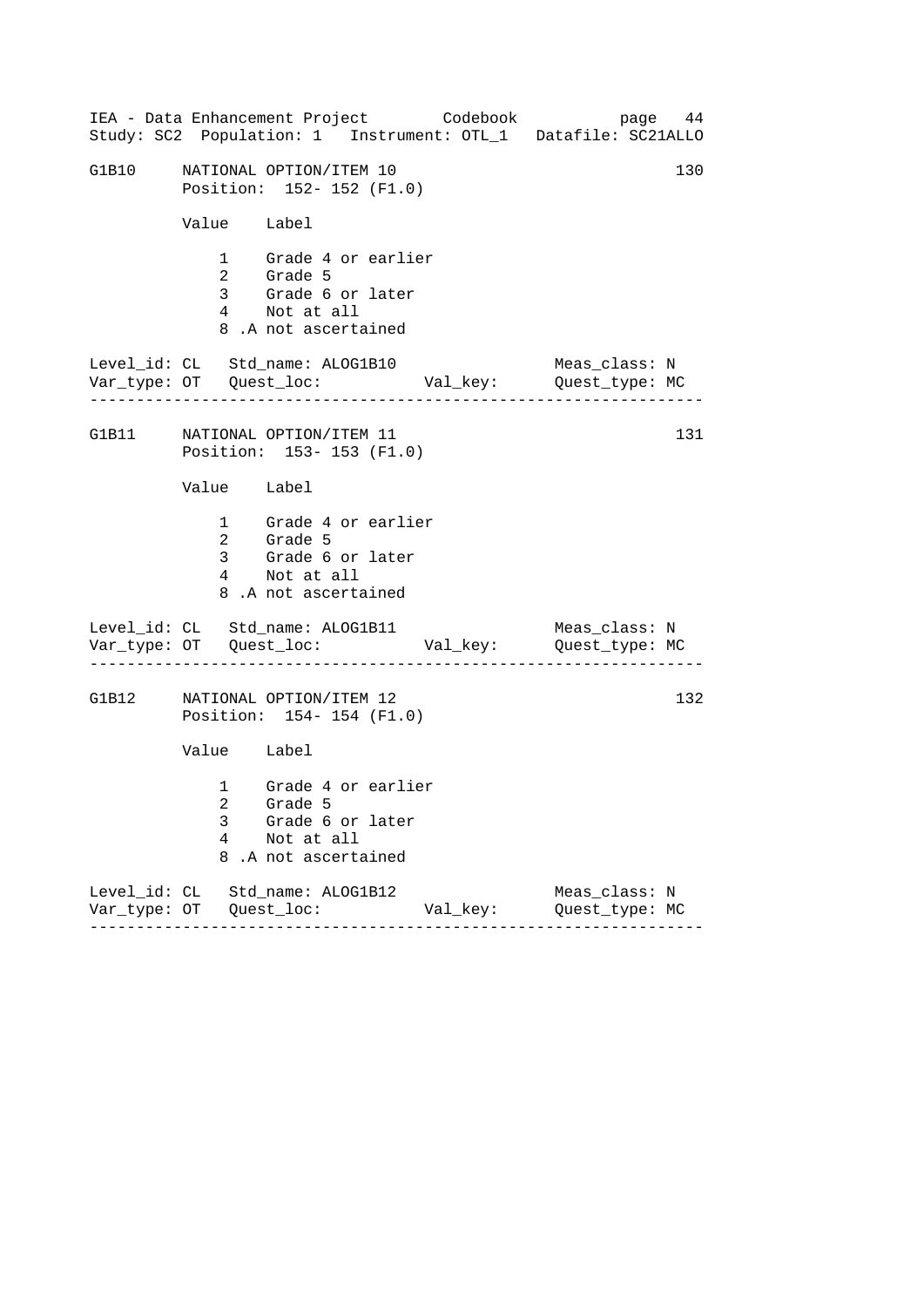|       |             | IEA - Data Enhancement Project Codebook                                                        |          | page 44<br>Study: SC2 Population: 1 Instrument: OTL_1 Datafile: SC21ALLO |
|-------|-------------|------------------------------------------------------------------------------------------------|----------|--------------------------------------------------------------------------|
| G1B10 |             | NATIONAL OPTION/ITEM 10<br>Position: 152- 152 (F1.0)                                           |          | 130                                                                      |
|       | Value Label |                                                                                                |          |                                                                          |
|       |             | 1 Grade 4 or earlier<br>2 Grade 5<br>3 Grade 6 or later<br>4 Not at all<br>8.A not ascertained |          |                                                                          |
|       |             | Level_id: CL Std_name: ALOG1B10                                                                |          | Meas_class: N                                                            |
|       |             | G1B11 NATIONAL OPTION/ITEM 11<br>Position: 153-153 (F1.0)                                      |          | 131                                                                      |
|       | Value Label |                                                                                                |          |                                                                          |
|       |             | 1 Grade 4 or earlier<br>2 Grade 5<br>3 Grade 6 or later<br>4 Not at all<br>8.A not ascertained |          |                                                                          |
|       |             | Level_id: CL Std_name: ALOG1B11                                                                |          | Meas_class: N                                                            |
|       |             | G1B12 NATIONAL OPTION/ITEM 12<br>Position: 154-154 (F1.0)                                      |          | 132                                                                      |
|       | Value Label |                                                                                                |          |                                                                          |
|       | 3<br>4<br>8 | 1 Grade 4 or earlier<br>2 Grade 5<br>Grade 6 or later<br>Not at all<br>.A not ascertained      |          |                                                                          |
|       |             | Level_id: CL Std_name: ALOG1B12                                                                | Val_key: | Meas_class: N<br>Quest_type: MC                                          |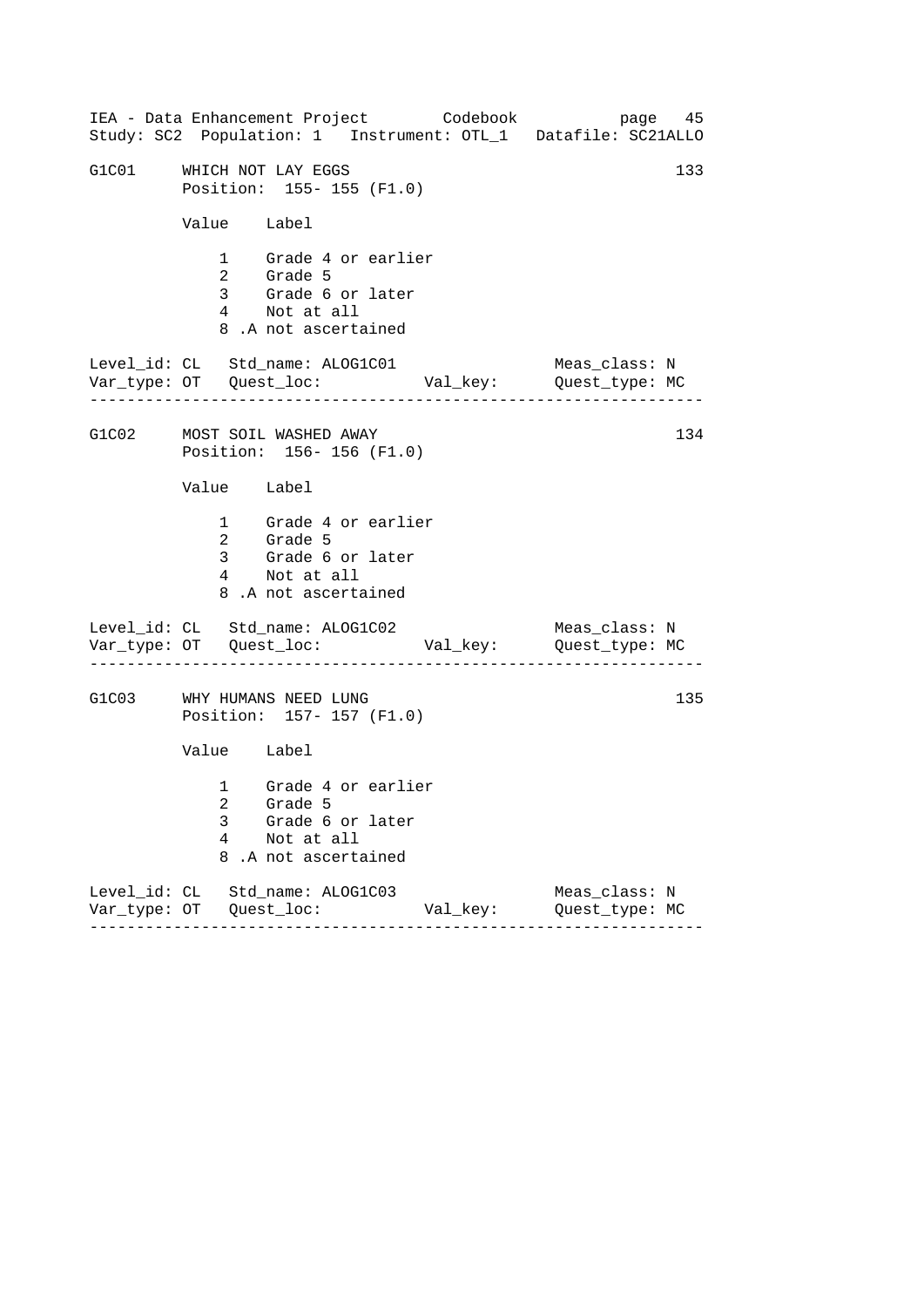|                             | IEA - Data Enhancement Project Codebook                                                        |          | page 45<br>Study: SC2 Population: 1 Instrument: OTL_1 Datafile: SC21ALLO |  |
|-----------------------------|------------------------------------------------------------------------------------------------|----------|--------------------------------------------------------------------------|--|
| G1C01 WHICH NOT LAY EGGS    | Position: 155-155 (F1.0)                                                                       |          | 133                                                                      |  |
| Value Label                 |                                                                                                |          |                                                                          |  |
|                             | 1 Grade 4 or earlier<br>2 Grade 5<br>3 Grade 6 or later<br>4 Not at all<br>8.A not ascertained |          |                                                                          |  |
|                             | Level_id: CL Std_name: ALOG1C01                                                                |          | Meas_class: N                                                            |  |
| G1C02 MOST SOIL WASHED AWAY | Position: 156-156 (F1.0)                                                                       |          | 134                                                                      |  |
| Value Label                 |                                                                                                |          |                                                                          |  |
| 2 Grade 5                   | 1 Grade 4 or earlier<br>3 Grade 6 or later<br>4 Not at all<br>8.A not ascertained              |          |                                                                          |  |
|                             | Level_id: CL Std_name: ALOG1C02                                                                |          | Meas_class: N                                                            |  |
| G1C03 WHY HUMANS NEED LUNG  | Position: 157- 157 (F1.0)                                                                      |          | 135                                                                      |  |
| Value Label                 |                                                                                                |          |                                                                          |  |
| 3<br>4<br>8                 | 1 Grade 4 or earlier<br>2 Grade 5<br>Grade 6 or later<br>Not at all<br>.A not ascertained      |          |                                                                          |  |
|                             | Level_id: CL Std_name: ALOG1C03                                                                | Val_key: | Meas_class: N<br>Quest_type: MC                                          |  |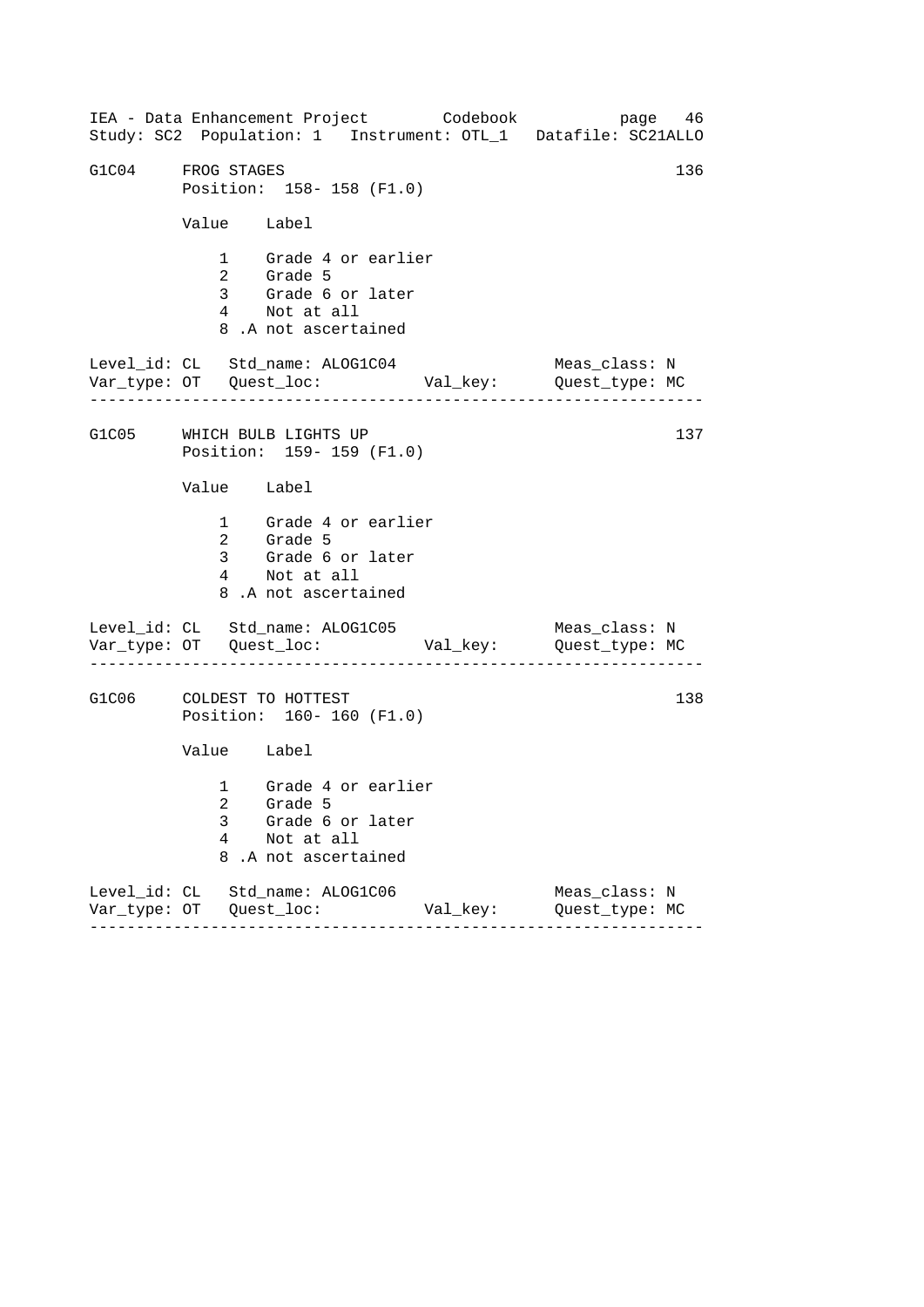|                   |                 | IEA - Data Enhancement Project Codebook<br>Study: SC2 Population: 1 Instrument: OTL_1 Datafile: SC21ALLO |          |                                 | page 46 |
|-------------------|-----------------|----------------------------------------------------------------------------------------------------------|----------|---------------------------------|---------|
| G1C04 FROG STAGES |                 | Position: 158-158 (F1.0)                                                                                 |          |                                 | 136     |
|                   | Value Label     |                                                                                                          |          |                                 |         |
|                   |                 | 1 Grade 4 or earlier<br>2 Grade 5<br>3 Grade 6 or later<br>4 Not at all<br>8.A not ascertained           |          |                                 |         |
|                   |                 | Level_id: CL Std_name: ALOG1C04                                                                          |          | Meas_class: N                   |         |
|                   |                 | G1C05 WHICH BULB LIGHTS UP<br>Position: 159-159 (F1.0)                                                   |          |                                 | 137     |
|                   | Value Label     |                                                                                                          |          |                                 |         |
|                   |                 | 1 Grade 4 or earlier<br>2 Grade 5<br>3 Grade 6 or later<br>4 Not at all<br>8.A not ascertained           |          |                                 |         |
|                   |                 | Level_id: CL Std_name: ALOG1C05<br>Var_type: OT    Quest_loc:    Val_key:    Quest_type: MC              |          | Meas_class: N                   |         |
|                   |                 | G1C06 COLDEST TO HOTTEST<br>Position: 160- 160 (F1.0)                                                    |          |                                 | 138     |
|                   | Value Label     |                                                                                                          |          |                                 |         |
|                   | 3<br>4<br>8     | 1 Grade 4 or earlier<br>2 Grade 5<br>Grade 6 or later<br>Not at all<br>.A not ascertained                |          |                                 |         |
|                   | $- - - - - - -$ | Level_id: CL Std_name: ALOG1C06<br>- - - - - - - - - -                                                   | Val_key: | Meas_class: N<br>Quest_type: MC |         |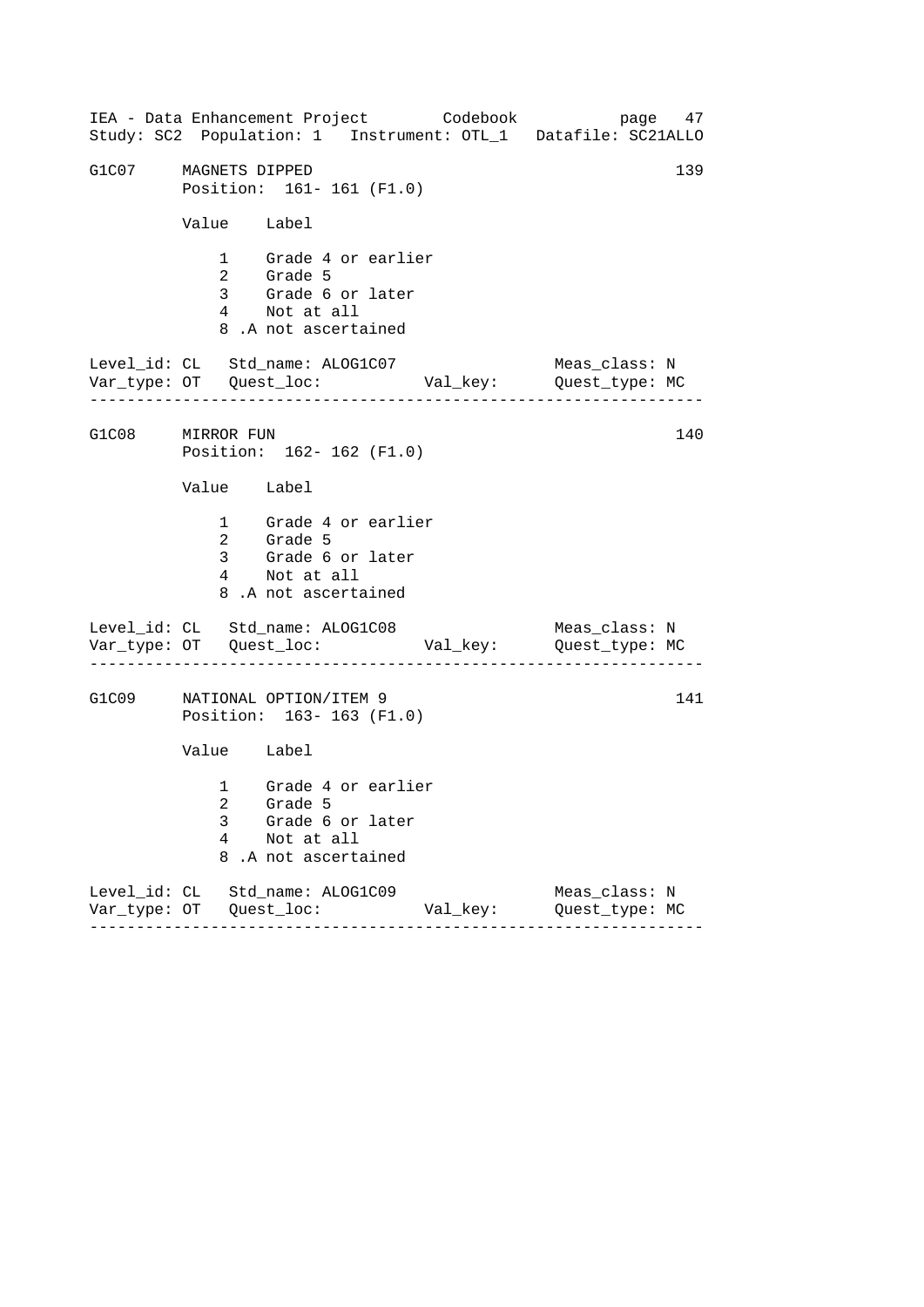|                      |                   | IEA - Data Enhancement Project Codebook                                                        |                             | page 47<br>Study: SC2 Population: 1 Instrument: OTL_1 Datafile: SC21ALLO                            |  |
|----------------------|-------------------|------------------------------------------------------------------------------------------------|-----------------------------|-----------------------------------------------------------------------------------------------------|--|
| G1C07 MAGNETS DIPPED |                   | Position: 161-161 (F1.0)                                                                       |                             | 139                                                                                                 |  |
|                      | Value Label       |                                                                                                |                             |                                                                                                     |  |
|                      |                   | 1 Grade 4 or earlier<br>2 Grade 5<br>3 Grade 6 or later<br>4 Not at all<br>8.A not ascertained |                             |                                                                                                     |  |
|                      |                   | Level_id: CL Std_name: ALOG1C07                                                                |                             | Meas_class: N                                                                                       |  |
| G1C08 MIRROR FUN     |                   | Position: 162- 162 (F1.0)                                                                      |                             | 140                                                                                                 |  |
|                      | Value Label       |                                                                                                |                             |                                                                                                     |  |
|                      |                   | 1 Grade 4 or earlier<br>2 Grade 5<br>3 Grade 6 or later<br>4 Not at all<br>8.A not ascertained |                             |                                                                                                     |  |
|                      |                   | Level_id: CL Std_name: ALOG1C08                                                                |                             | Meas_class: N<br>Var_type: OT    Quest_loc:    Val_key:    Quest_type: MC<br>______________________ |  |
| G1C09                |                   | NATIONAL OPTION/ITEM 9<br>Position: 163-163 (F1.0)                                             |                             | 141                                                                                                 |  |
|                      | Value Label       |                                                                                                |                             |                                                                                                     |  |
|                      | 2.<br>3<br>4<br>8 | 1 Grade 4 or earlier<br>Grade 5<br>Grade 6 or later<br>Not at all<br>.A not ascertained        |                             |                                                                                                     |  |
|                      | ------            | Level_id: CL Std_name: ALOG1C09<br>- - - - - - - - - - - <b>-</b>                              | Val_key:<br>- - - - - - - - | Meas_class: N<br>Quest_type: MC                                                                     |  |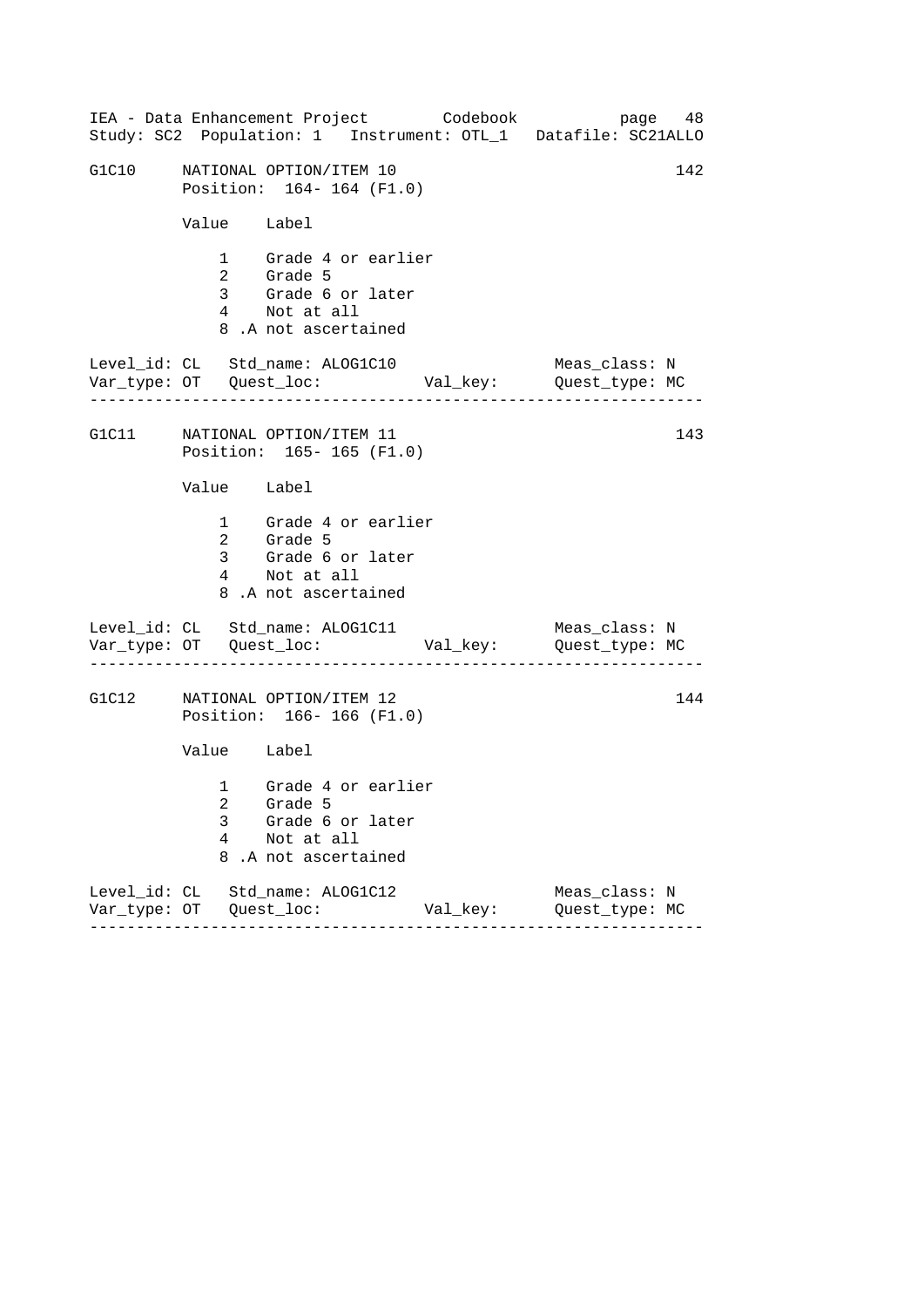|       |             | IEA - Data Enhancement Project Codebook                                                        |          | page 48<br>Study: SC2 Population: 1 Instrument: OTL_1 Datafile: SC21ALLO |
|-------|-------------|------------------------------------------------------------------------------------------------|----------|--------------------------------------------------------------------------|
| G1C10 |             | NATIONAL OPTION/ITEM 10<br>Position: 164-164 (F1.0)                                            |          | 142                                                                      |
|       | Value Label |                                                                                                |          |                                                                          |
|       |             | 1 Grade 4 or earlier<br>2 Grade 5<br>3 Grade 6 or later<br>4 Not at all<br>8.A not ascertained |          |                                                                          |
|       |             | Level_id: CL Std_name: ALOG1C10                                                                |          | Meas_class: N                                                            |
|       |             | G1C11 NATIONAL OPTION/ITEM 11<br>Position: 165-165 (F1.0)                                      |          | 143                                                                      |
|       | Value Label |                                                                                                |          |                                                                          |
|       |             | 1 Grade 4 or earlier<br>2 Grade 5<br>3 Grade 6 or later<br>4 Not at all<br>8.A not ascertained |          |                                                                          |
|       |             | Level_id: CL Std_name: ALOG1C11                                                                |          | Meas_class: N                                                            |
|       |             | G1C12 NATIONAL OPTION/ITEM 12<br>Position: 166-166 (F1.0)                                      |          | 144                                                                      |
|       | Value Label |                                                                                                |          |                                                                          |
|       | 3<br>4<br>8 | 1 Grade 4 or earlier<br>2 Grade 5<br>Grade 6 or later<br>Not at all<br>.A not ascertained      |          |                                                                          |
|       |             | Level_id: CL Std_name: ALOG1C12                                                                | Val_key: | Meas_class: N<br>Quest_type: MC                                          |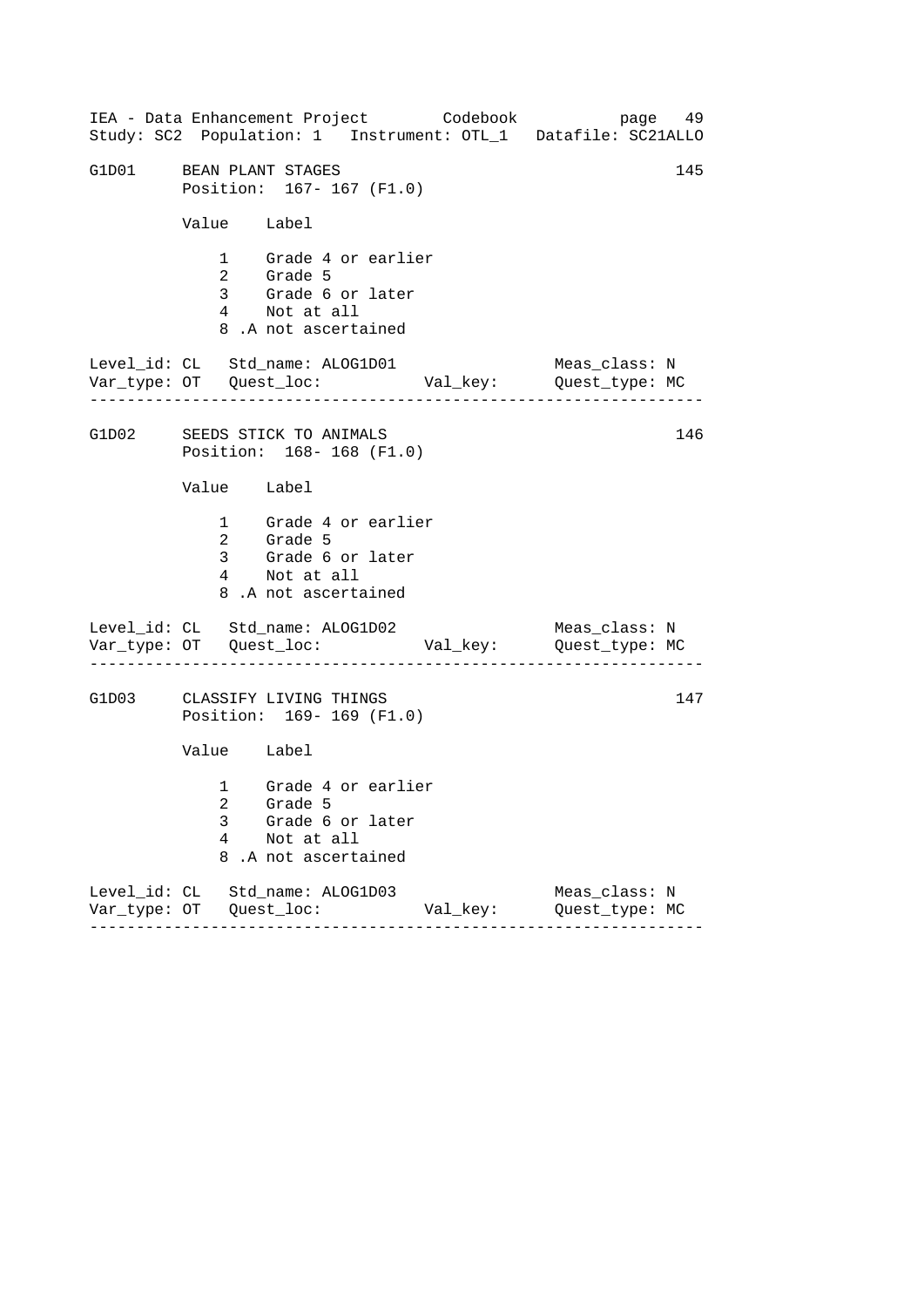|                         |             | IEA - Data Enhancement Project Codebook<br>Study: SC2 Population: 1 Instrument: OTL_1 Datafile: SC21ALLO |          |                                 | page 49 |
|-------------------------|-------------|----------------------------------------------------------------------------------------------------------|----------|---------------------------------|---------|
| G1D01 BEAN PLANT STAGES |             | Position: 167- 167 (F1.0)                                                                                |          |                                 | 145     |
|                         | Value Label |                                                                                                          |          |                                 |         |
|                         |             | 1 Grade 4 or earlier<br>2 Grade 5<br>3 Grade 6 or later<br>4 Not at all<br>8.A not ascertained           |          |                                 |         |
|                         |             | Level_id: CL Std_name: ALOG1D01                                                                          |          | Meas_class: N                   |         |
|                         |             | G1D02 SEEDS STICK TO ANIMALS<br>Position: 168-168 (F1.0)                                                 |          |                                 | 146     |
|                         | Value Label |                                                                                                          |          |                                 |         |
|                         |             | 1 Grade 4 or earlier<br>2 Grade 5<br>3 Grade 6 or later<br>4 Not at all<br>8.A not ascertained           |          |                                 |         |
|                         |             | Level_id: CL Std_name: ALOG1D02<br>------------                                                          |          | Meas_class: N                   |         |
|                         |             | G1D03 CLASSIFY LIVING THINGS<br>Position: 169-169 (F1.0)                                                 |          |                                 | 147     |
|                         | Value Label |                                                                                                          |          |                                 |         |
|                         | 3<br>4<br>8 | 1 Grade 4 or earlier<br>2 Grade 5<br>Grade 6 or later<br>Not at all<br>.A not ascertained                |          |                                 |         |
|                         |             | Level_id: CL Std_name: ALOG1D03<br>-------                                                               | Val_key: | Meas_class: N<br>Quest_type: MC |         |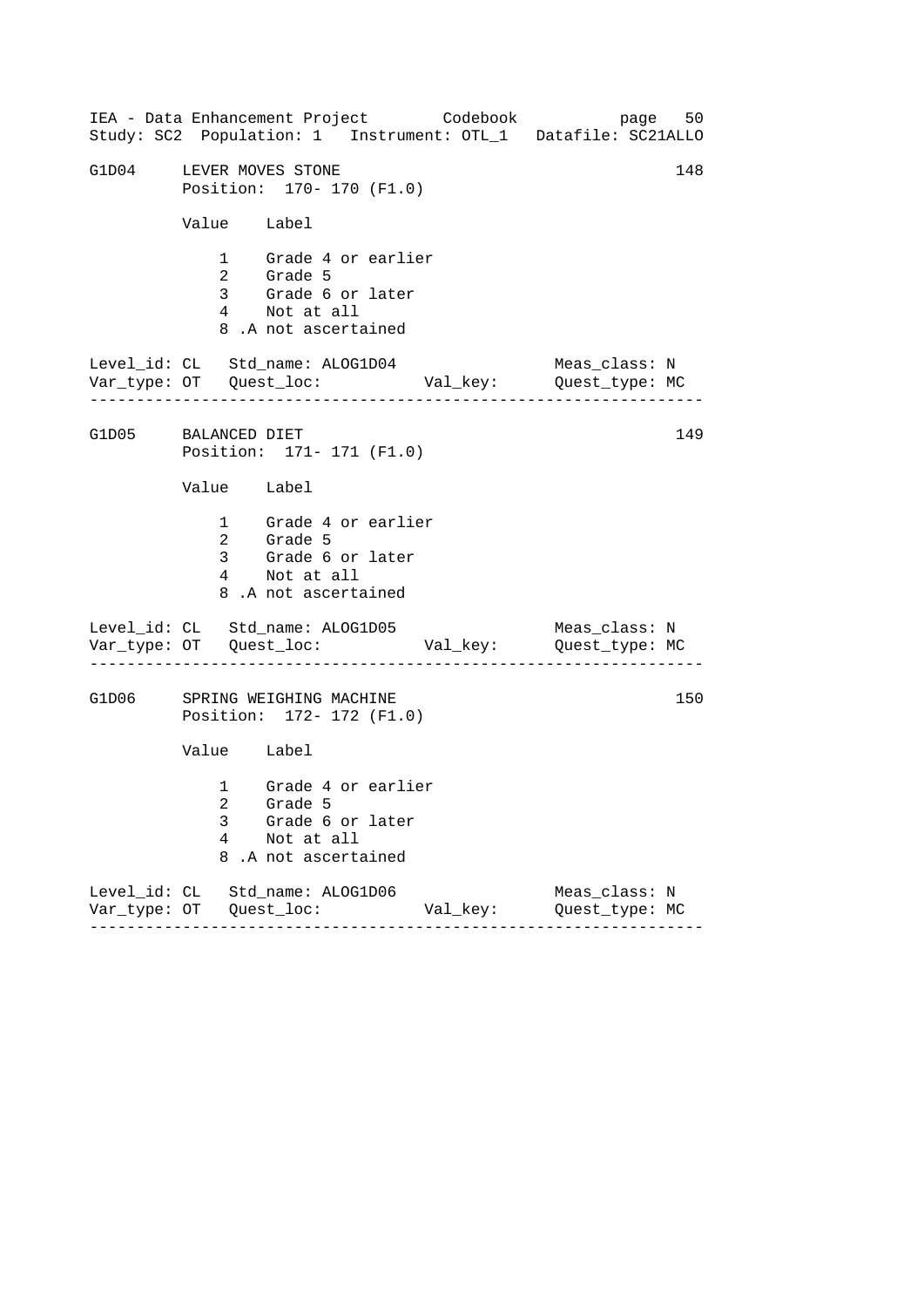|                         |             | IEA - Data Enhancement Project Codebook<br>Study: SC2 Population: 1 Instrument: OTL_1 Datafile: SC21ALLO |          | page 50                         |     |
|-------------------------|-------------|----------------------------------------------------------------------------------------------------------|----------|---------------------------------|-----|
| G1D04 LEVER MOVES STONE |             | Position: 170- 170 (F1.0)                                                                                |          |                                 | 148 |
|                         | Value Label |                                                                                                          |          |                                 |     |
|                         |             | 1 Grade 4 or earlier<br>2 Grade 5<br>3 Grade 6 or later<br>4 Not at all<br>8.A not ascertained           |          |                                 |     |
|                         |             | Level_id: CL Std_name: ALOG1D04                                                                          |          | Meas_class: N                   |     |
| G1D05 BALANCED DIET     |             | Position: 171- 171 (F1.0)                                                                                |          |                                 | 149 |
|                         | Value Label |                                                                                                          |          |                                 |     |
|                         |             | 1 Grade 4 or earlier<br>2 Grade 5<br>3 Grade 6 or later<br>4 Not at all<br>8.A not ascertained           |          |                                 |     |
|                         |             | Level_id: CL Std_name: ALOG1D05<br>. <u>.</u> .                                                          |          | Meas_class: N                   |     |
|                         |             | G1D06 SPRING WEIGHING MACHINE<br>Position: 172- 172 (F1.0)                                               |          |                                 | 150 |
|                         | Value Label |                                                                                                          |          |                                 |     |
|                         | 3<br>4<br>8 | 1 Grade 4 or earlier<br>2 Grade 5<br>Grade 6 or later<br>Not at all<br>.A not ascertained                |          |                                 |     |
|                         |             | Level_id: CL Std_name: ALOG1D06<br>$- - - - - - - - -$                                                   | Val_key: | Meas_class: N<br>Quest_type: MC |     |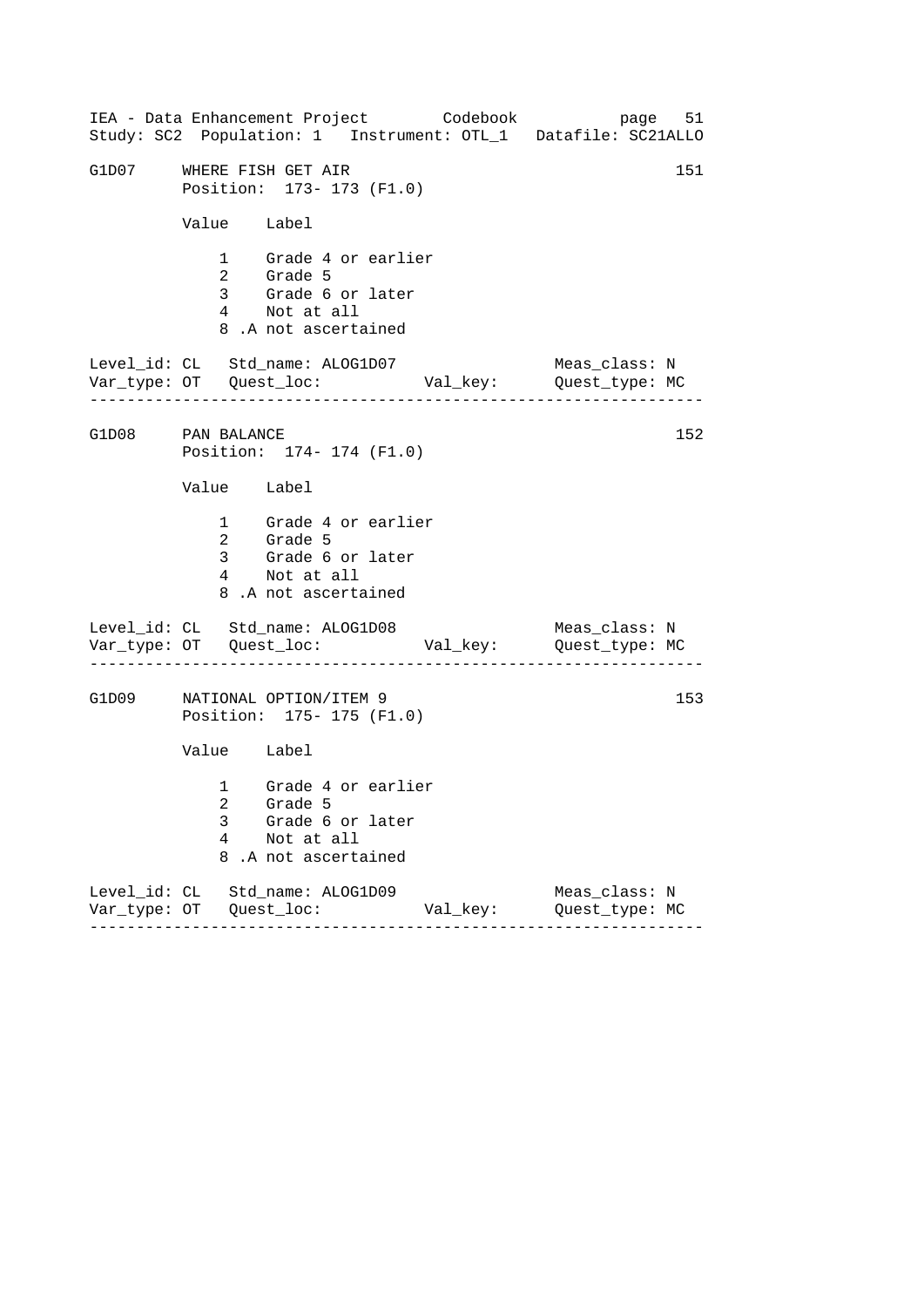|                   |             | IEA - Data Enhancement Project Codebook<br>Study: SC2 Population: 1 Instrument: OTL_1 Datafile: SC21ALLO |          | page 51                         |     |
|-------------------|-------------|----------------------------------------------------------------------------------------------------------|----------|---------------------------------|-----|
|                   |             | G1D07 WHERE FISH GET AIR<br>Position: 173- 173 (F1.0)                                                    |          |                                 | 151 |
|                   | Value Label |                                                                                                          |          |                                 |     |
|                   |             | 1 Grade 4 or earlier<br>2 Grade 5<br>3 Grade 6 or later<br>4 Not at all<br>8.A not ascertained           |          |                                 |     |
|                   |             | Level_id: CL Std_name: ALOG1D07                                                                          |          | Meas_class: N                   |     |
| G1D08 PAN BALANCE |             | Position: 174- 174 (F1.0)                                                                                |          |                                 | 152 |
|                   | Value Label |                                                                                                          |          |                                 |     |
|                   |             | 1 Grade 4 or earlier<br>2 Grade 5<br>3 Grade 6 or later<br>4 Not at all<br>8.A not ascertained           |          |                                 |     |
|                   |             | Level_id: CL Std_name: ALOG1D08                                                                          |          | Meas_class: N                   |     |
| G1D09             |             | NATIONAL OPTION/ITEM 9<br>Position: 175- 175 (F1.0)                                                      |          |                                 | 153 |
|                   | Value Label |                                                                                                          |          |                                 |     |
|                   | 3<br>4<br>8 | 1 Grade 4 or earlier<br>2 Grade 5<br>Grade 6 or later<br>Not at all<br>.A not ascertained                |          |                                 |     |
|                   |             | Level_id: CL Std_name: ALOG1D09<br>-------                                                               | Val_key: | Meas_class: N<br>Quest_type: MC |     |